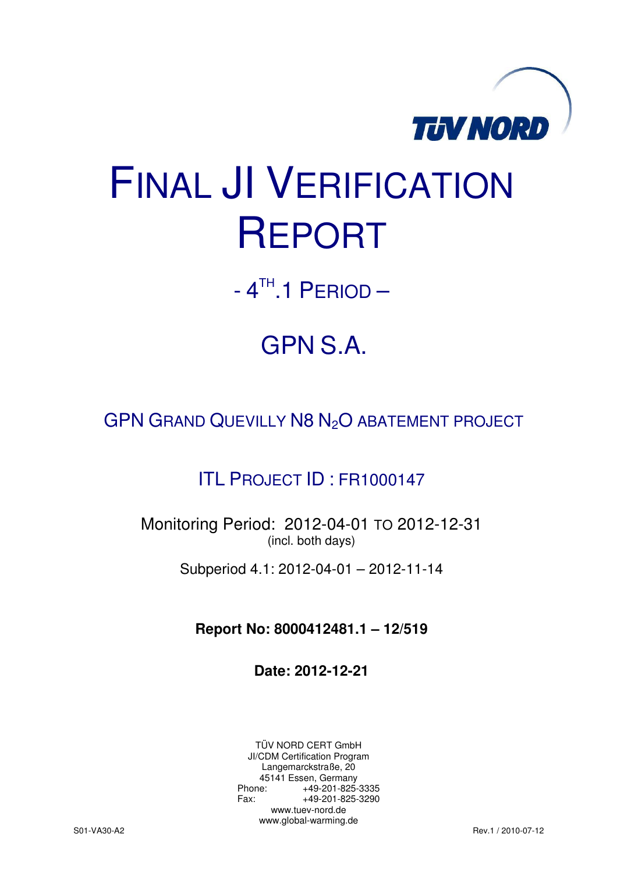

# FINAL JI VERIFICATION REPORT

 $-4$ <sup>TH</sup>.1 PERIOD  $-$ 

# GPN S.A.

GPN GRAND QUEVILLY N8 N<sub>2</sub>O ABATEMENT PROJECT

### ITL PROJECT ID : FR1000147

Monitoring Period: 2012-04-01 TO 2012-12-31 (incl. both days)

Subperiod 4.1: 2012-04-01 – 2012-11-14

**Report No: 8000412481.1 – 12/519** 

**Date: 2012-12-21** 

TÜV NORD CERT GmbH JI/CDM Certification Program Langemarckstraße, 20 45141 Essen, Germany<br>+49-201-825-49 +49-201-825-3335 Fax: +49-201-825-3290 www.tuev-nord.de www.global-warming.de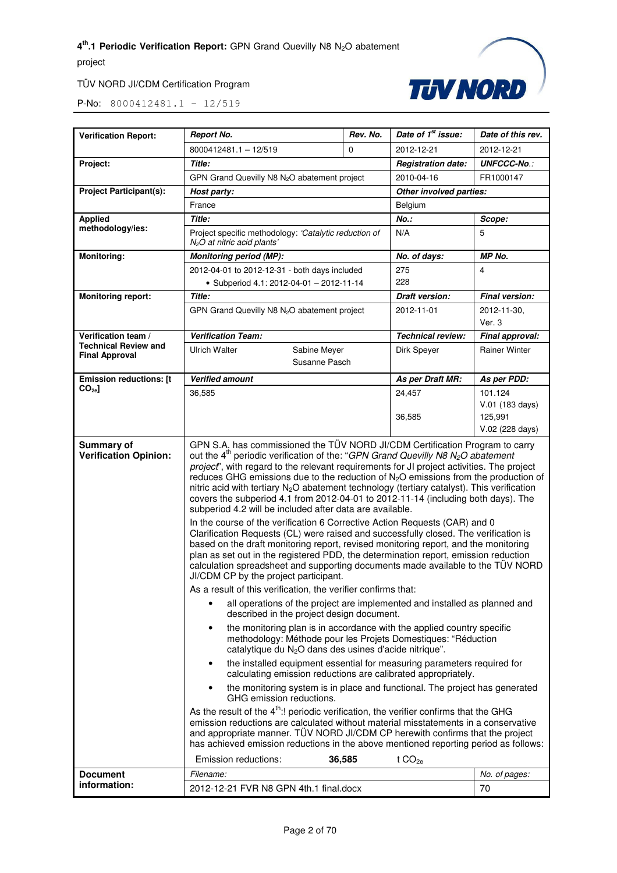

| 8000412481.1 - 12/519<br>2012-12-21<br>0<br>Title:<br>Project:<br><b>Registration date:</b><br>GPN Grand Quevilly N8 N <sub>2</sub> O abatement project<br>2010-04-16<br><b>Project Participant(s):</b><br>Host party:<br>France<br>Belgium<br><b>Applied</b><br>Title:<br>$No.$ :<br>methodology/ies:<br>Project specific methodology: 'Catalytic reduction of<br>N/A<br>$N2O$ at nitric acid plants'<br><b>Monitoring:</b><br><b>Monitoring period (MP):</b><br>No. of days:<br>275<br>2012-04-01 to 2012-12-31 - both days included<br>228<br>• Subperiod 4.1: 2012-04-01 - 2012-11-14<br><b>Monitoring report:</b><br>Title:<br><b>Draft version:</b><br>GPN Grand Quevilly N8 N <sub>2</sub> O abatement project<br>2012-11-01<br>Verification team /<br><b>Verification Team:</b><br><b>Technical review:</b><br><b>Technical Review and</b><br><b>Ulrich Walter</b><br>Sabine Meyer<br>Dirk Speyer<br><b>Final Approval</b><br>Susanne Pasch<br><b>Emission reductions: [t</b><br><b>Verified amount</b><br>As per Draft MR:<br>$CO_{2e}$ ]<br>36,585<br>24,457<br>36,585<br>GPN S.A. has commissioned the TÜV NORD JI/CDM Certification Program to carry<br>Summary of<br><b>Verification Opinion:</b> | 2012-12-21<br><b>UNFCCC-No.:</b><br>FR1000147<br>Other involved parties:                                                                                                                                                                                                                                                                                                                                                                                                                                                                                                                                                                                                                                                                                                                                                                                                                                                                                                                                                                                                                                                                                                                                                                                                                                                                                                                                                                                                                                                                                                                                                                                                                                                                                                                                                 |  |  |
|----------------------------------------------------------------------------------------------------------------------------------------------------------------------------------------------------------------------------------------------------------------------------------------------------------------------------------------------------------------------------------------------------------------------------------------------------------------------------------------------------------------------------------------------------------------------------------------------------------------------------------------------------------------------------------------------------------------------------------------------------------------------------------------------------------------------------------------------------------------------------------------------------------------------------------------------------------------------------------------------------------------------------------------------------------------------------------------------------------------------------------------------------------------------------------------------------------------|--------------------------------------------------------------------------------------------------------------------------------------------------------------------------------------------------------------------------------------------------------------------------------------------------------------------------------------------------------------------------------------------------------------------------------------------------------------------------------------------------------------------------------------------------------------------------------------------------------------------------------------------------------------------------------------------------------------------------------------------------------------------------------------------------------------------------------------------------------------------------------------------------------------------------------------------------------------------------------------------------------------------------------------------------------------------------------------------------------------------------------------------------------------------------------------------------------------------------------------------------------------------------------------------------------------------------------------------------------------------------------------------------------------------------------------------------------------------------------------------------------------------------------------------------------------------------------------------------------------------------------------------------------------------------------------------------------------------------------------------------------------------------------------------------------------------------|--|--|
|                                                                                                                                                                                                                                                                                                                                                                                                                                                                                                                                                                                                                                                                                                                                                                                                                                                                                                                                                                                                                                                                                                                                                                                                                |                                                                                                                                                                                                                                                                                                                                                                                                                                                                                                                                                                                                                                                                                                                                                                                                                                                                                                                                                                                                                                                                                                                                                                                                                                                                                                                                                                                                                                                                                                                                                                                                                                                                                                                                                                                                                          |  |  |
|                                                                                                                                                                                                                                                                                                                                                                                                                                                                                                                                                                                                                                                                                                                                                                                                                                                                                                                                                                                                                                                                                                                                                                                                                |                                                                                                                                                                                                                                                                                                                                                                                                                                                                                                                                                                                                                                                                                                                                                                                                                                                                                                                                                                                                                                                                                                                                                                                                                                                                                                                                                                                                                                                                                                                                                                                                                                                                                                                                                                                                                          |  |  |
|                                                                                                                                                                                                                                                                                                                                                                                                                                                                                                                                                                                                                                                                                                                                                                                                                                                                                                                                                                                                                                                                                                                                                                                                                |                                                                                                                                                                                                                                                                                                                                                                                                                                                                                                                                                                                                                                                                                                                                                                                                                                                                                                                                                                                                                                                                                                                                                                                                                                                                                                                                                                                                                                                                                                                                                                                                                                                                                                                                                                                                                          |  |  |
|                                                                                                                                                                                                                                                                                                                                                                                                                                                                                                                                                                                                                                                                                                                                                                                                                                                                                                                                                                                                                                                                                                                                                                                                                |                                                                                                                                                                                                                                                                                                                                                                                                                                                                                                                                                                                                                                                                                                                                                                                                                                                                                                                                                                                                                                                                                                                                                                                                                                                                                                                                                                                                                                                                                                                                                                                                                                                                                                                                                                                                                          |  |  |
|                                                                                                                                                                                                                                                                                                                                                                                                                                                                                                                                                                                                                                                                                                                                                                                                                                                                                                                                                                                                                                                                                                                                                                                                                |                                                                                                                                                                                                                                                                                                                                                                                                                                                                                                                                                                                                                                                                                                                                                                                                                                                                                                                                                                                                                                                                                                                                                                                                                                                                                                                                                                                                                                                                                                                                                                                                                                                                                                                                                                                                                          |  |  |
|                                                                                                                                                                                                                                                                                                                                                                                                                                                                                                                                                                                                                                                                                                                                                                                                                                                                                                                                                                                                                                                                                                                                                                                                                | Scope:                                                                                                                                                                                                                                                                                                                                                                                                                                                                                                                                                                                                                                                                                                                                                                                                                                                                                                                                                                                                                                                                                                                                                                                                                                                                                                                                                                                                                                                                                                                                                                                                                                                                                                                                                                                                                   |  |  |
|                                                                                                                                                                                                                                                                                                                                                                                                                                                                                                                                                                                                                                                                                                                                                                                                                                                                                                                                                                                                                                                                                                                                                                                                                | 5                                                                                                                                                                                                                                                                                                                                                                                                                                                                                                                                                                                                                                                                                                                                                                                                                                                                                                                                                                                                                                                                                                                                                                                                                                                                                                                                                                                                                                                                                                                                                                                                                                                                                                                                                                                                                        |  |  |
|                                                                                                                                                                                                                                                                                                                                                                                                                                                                                                                                                                                                                                                                                                                                                                                                                                                                                                                                                                                                                                                                                                                                                                                                                | MP No.                                                                                                                                                                                                                                                                                                                                                                                                                                                                                                                                                                                                                                                                                                                                                                                                                                                                                                                                                                                                                                                                                                                                                                                                                                                                                                                                                                                                                                                                                                                                                                                                                                                                                                                                                                                                                   |  |  |
|                                                                                                                                                                                                                                                                                                                                                                                                                                                                                                                                                                                                                                                                                                                                                                                                                                                                                                                                                                                                                                                                                                                                                                                                                | 4                                                                                                                                                                                                                                                                                                                                                                                                                                                                                                                                                                                                                                                                                                                                                                                                                                                                                                                                                                                                                                                                                                                                                                                                                                                                                                                                                                                                                                                                                                                                                                                                                                                                                                                                                                                                                        |  |  |
|                                                                                                                                                                                                                                                                                                                                                                                                                                                                                                                                                                                                                                                                                                                                                                                                                                                                                                                                                                                                                                                                                                                                                                                                                |                                                                                                                                                                                                                                                                                                                                                                                                                                                                                                                                                                                                                                                                                                                                                                                                                                                                                                                                                                                                                                                                                                                                                                                                                                                                                                                                                                                                                                                                                                                                                                                                                                                                                                                                                                                                                          |  |  |
|                                                                                                                                                                                                                                                                                                                                                                                                                                                                                                                                                                                                                                                                                                                                                                                                                                                                                                                                                                                                                                                                                                                                                                                                                | <b>Final version:</b>                                                                                                                                                                                                                                                                                                                                                                                                                                                                                                                                                                                                                                                                                                                                                                                                                                                                                                                                                                                                                                                                                                                                                                                                                                                                                                                                                                                                                                                                                                                                                                                                                                                                                                                                                                                                    |  |  |
|                                                                                                                                                                                                                                                                                                                                                                                                                                                                                                                                                                                                                                                                                                                                                                                                                                                                                                                                                                                                                                                                                                                                                                                                                | 2012-11-30,<br>Ver. 3                                                                                                                                                                                                                                                                                                                                                                                                                                                                                                                                                                                                                                                                                                                                                                                                                                                                                                                                                                                                                                                                                                                                                                                                                                                                                                                                                                                                                                                                                                                                                                                                                                                                                                                                                                                                    |  |  |
|                                                                                                                                                                                                                                                                                                                                                                                                                                                                                                                                                                                                                                                                                                                                                                                                                                                                                                                                                                                                                                                                                                                                                                                                                | Final approval:                                                                                                                                                                                                                                                                                                                                                                                                                                                                                                                                                                                                                                                                                                                                                                                                                                                                                                                                                                                                                                                                                                                                                                                                                                                                                                                                                                                                                                                                                                                                                                                                                                                                                                                                                                                                          |  |  |
|                                                                                                                                                                                                                                                                                                                                                                                                                                                                                                                                                                                                                                                                                                                                                                                                                                                                                                                                                                                                                                                                                                                                                                                                                | <b>Rainer Winter</b>                                                                                                                                                                                                                                                                                                                                                                                                                                                                                                                                                                                                                                                                                                                                                                                                                                                                                                                                                                                                                                                                                                                                                                                                                                                                                                                                                                                                                                                                                                                                                                                                                                                                                                                                                                                                     |  |  |
|                                                                                                                                                                                                                                                                                                                                                                                                                                                                                                                                                                                                                                                                                                                                                                                                                                                                                                                                                                                                                                                                                                                                                                                                                | As per PDD:                                                                                                                                                                                                                                                                                                                                                                                                                                                                                                                                                                                                                                                                                                                                                                                                                                                                                                                                                                                                                                                                                                                                                                                                                                                                                                                                                                                                                                                                                                                                                                                                                                                                                                                                                                                                              |  |  |
|                                                                                                                                                                                                                                                                                                                                                                                                                                                                                                                                                                                                                                                                                                                                                                                                                                                                                                                                                                                                                                                                                                                                                                                                                | 101.124<br>V.01 (183 days)<br>125.991<br>V.02 (228 days)                                                                                                                                                                                                                                                                                                                                                                                                                                                                                                                                                                                                                                                                                                                                                                                                                                                                                                                                                                                                                                                                                                                                                                                                                                                                                                                                                                                                                                                                                                                                                                                                                                                                                                                                                                 |  |  |
| subperiod 4.2 will be included after data are available.<br>JI/CDM CP by the project participant.<br>As a result of this verification, the verifier confirms that:<br>٠<br>described in the project design document.<br>$\bullet$<br>$\bullet$<br>$\bullet$<br>GHG emission reductions.<br>36,585<br>Emission reductions:<br>t CO <sub>2e</sub>                                                                                                                                                                                                                                                                                                                                                                                                                                                                                                                                                                                                                                                                                                                                                                                                                                                                | out the 4 <sup>th</sup> periodic verification of the: "GPN Grand Quevilly N8 $N_2O$ abatement<br>project", with regard to the relevant requirements for JI project activities. The project<br>reduces GHG emissions due to the reduction of $N_2O$ emissions from the production of<br>nitric acid with tertiary N <sub>2</sub> O abatement technology (tertiary catalyst). This verification<br>covers the subperiod 4.1 from 2012-04-01 to 2012-11-14 (including both days). The<br>In the course of the verification 6 Corrective Action Requests (CAR) and 0<br>Clarification Requests (CL) were raised and successfully closed. The verification is<br>based on the draft monitoring report, revised monitoring report, and the monitoring<br>plan as set out in the registered PDD, the determination report, emission reduction<br>calculation spreadsheet and supporting documents made available to the TÜV NORD<br>all operations of the project are implemented and installed as planned and<br>the monitoring plan is in accordance with the applied country specific<br>methodology: Méthode pour les Projets Domestiques: "Réduction<br>catalytique du N <sub>2</sub> O dans des usines d'acide nitrique".<br>the installed equipment essential for measuring parameters required for<br>calculating emission reductions are calibrated appropriately.<br>the monitoring system is in place and functional. The project has generated<br>As the result of the 4 <sup>th</sup> :! periodic verification, the verifier confirms that the GHG<br>emission reductions are calculated without material misstatements in a conservative<br>and appropriate manner. TÜV NORD JI/CDM CP herewith confirms that the project<br>has achieved emission reductions in the above mentioned reporting period as follows: |  |  |
| <b>Document</b><br>Filename:<br>information:<br>2012-12-21 FVR N8 GPN 4th.1 final.docx                                                                                                                                                                                                                                                                                                                                                                                                                                                                                                                                                                                                                                                                                                                                                                                                                                                                                                                                                                                                                                                                                                                         |                                                                                                                                                                                                                                                                                                                                                                                                                                                                                                                                                                                                                                                                                                                                                                                                                                                                                                                                                                                                                                                                                                                                                                                                                                                                                                                                                                                                                                                                                                                                                                                                                                                                                                                                                                                                                          |  |  |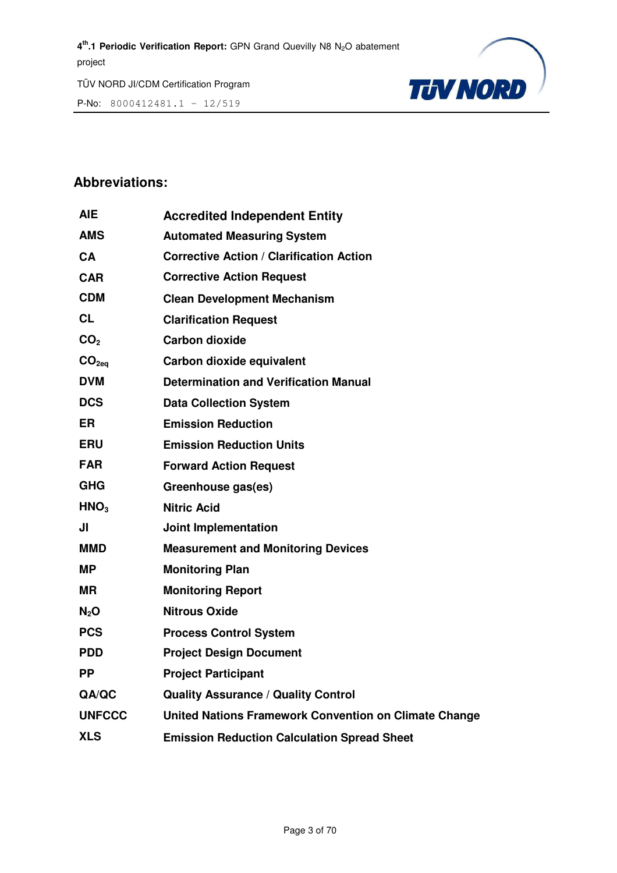P-No: 8000412481.1 – 12/519



#### **Abbreviations:**

| AIE               | <b>Accredited Independent Entity</b>                  |
|-------------------|-------------------------------------------------------|
| <b>AMS</b>        | <b>Automated Measuring System</b>                     |
| CA                | <b>Corrective Action / Clarification Action</b>       |
| CAR               | <b>Corrective Action Request</b>                      |
| <b>CDM</b>        | <b>Clean Development Mechanism</b>                    |
| <b>CL</b>         | <b>Clarification Request</b>                          |
| CO <sub>2</sub>   | <b>Carbon dioxide</b>                                 |
| CO <sub>2eq</sub> | Carbon dioxide equivalent                             |
| <b>DVM</b>        | <b>Determination and Verification Manual</b>          |
| <b>DCS</b>        | <b>Data Collection System</b>                         |
| <b>ER</b>         | <b>Emission Reduction</b>                             |
| <b>ERU</b>        | <b>Emission Reduction Units</b>                       |
| <b>FAR</b>        | <b>Forward Action Request</b>                         |
| <b>GHG</b>        | Greenhouse gas(es)                                    |
| HNO <sub>3</sub>  | <b>Nitric Acid</b>                                    |
| JI                | Joint Implementation                                  |
| MMD               | <b>Measurement and Monitoring Devices</b>             |
| MΡ                | <b>Monitoring Plan</b>                                |
| <b>MR</b>         | <b>Monitoring Report</b>                              |
| N <sub>2</sub> O  | <b>Nitrous Oxide</b>                                  |
| <b>PCS</b>        | <b>Process Control System</b>                         |
| <b>PDD</b>        | <b>Project Design Document</b>                        |
| <b>PP</b>         | <b>Project Participant</b>                            |
| QA/QC             | <b>Quality Assurance / Quality Control</b>            |
| <b>UNFCCC</b>     | United Nations Framework Convention on Climate Change |
| <b>XLS</b>        | <b>Emission Reduction Calculation Spread Sheet</b>    |
|                   |                                                       |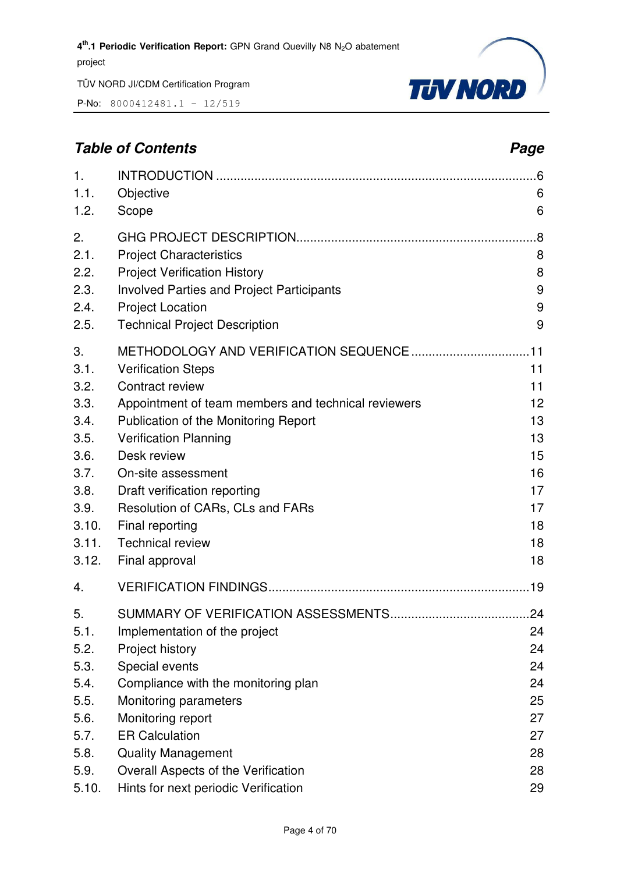P-No: 8000412481.1 – 12/519



### **Table of Contents** *Page* **Page 2014**

| 1.                                                                                                    |                                                                                                                                                                                                                                                                                                                                                      | .6                                                                   |
|-------------------------------------------------------------------------------------------------------|------------------------------------------------------------------------------------------------------------------------------------------------------------------------------------------------------------------------------------------------------------------------------------------------------------------------------------------------------|----------------------------------------------------------------------|
| 1.1.                                                                                                  | Objective                                                                                                                                                                                                                                                                                                                                            | 6                                                                    |
| 1.2.                                                                                                  | Scope                                                                                                                                                                                                                                                                                                                                                | 6                                                                    |
| 2.                                                                                                    |                                                                                                                                                                                                                                                                                                                                                      | .8                                                                   |
| 2.1.                                                                                                  | <b>Project Characteristics</b>                                                                                                                                                                                                                                                                                                                       | 8                                                                    |
| 2.2.                                                                                                  | <b>Project Verification History</b>                                                                                                                                                                                                                                                                                                                  | 8                                                                    |
| 2.3.                                                                                                  | <b>Involved Parties and Project Participants</b>                                                                                                                                                                                                                                                                                                     | 9                                                                    |
| 2.4.                                                                                                  | <b>Project Location</b>                                                                                                                                                                                                                                                                                                                              | 9                                                                    |
| 2.5.                                                                                                  | <b>Technical Project Description</b>                                                                                                                                                                                                                                                                                                                 | 9                                                                    |
| 3.<br>3.1.<br>3.2.<br>3.3.<br>3.4.<br>3.5.<br>3.6.<br>3.7.<br>3.8.<br>3.9.<br>3.10.<br>3.11.<br>3.12. | <b>Verification Steps</b><br>Contract review<br>Appointment of team members and technical reviewers<br>Publication of the Monitoring Report<br><b>Verification Planning</b><br>Desk review<br>On-site assessment<br>Draft verification reporting<br>Resolution of CARs, CLs and FARs<br>Final reporting<br><b>Technical review</b><br>Final approval | 11<br>11<br>12<br>13<br>13<br>15<br>16<br>17<br>17<br>18<br>18<br>18 |
| 4.                                                                                                    |                                                                                                                                                                                                                                                                                                                                                      |                                                                      |
| 5.<br>5.1.<br>5.2.<br>5.3.<br>5.4.<br>5.5.<br>5.6.<br>5.7.<br>5.8.                                    | Implementation of the project<br>Project history<br>Special events<br>Compliance with the monitoring plan<br>Monitoring parameters<br>Monitoring report<br><b>ER Calculation</b><br><b>Quality Management</b>                                                                                                                                        | 24<br>24<br>24<br>24<br>25<br>27<br>27<br>28                         |
| 5.9.                                                                                                  | Overall Aspects of the Verification                                                                                                                                                                                                                                                                                                                  | 28                                                                   |
| 5.10.                                                                                                 | Hints for next periodic Verification                                                                                                                                                                                                                                                                                                                 | 29                                                                   |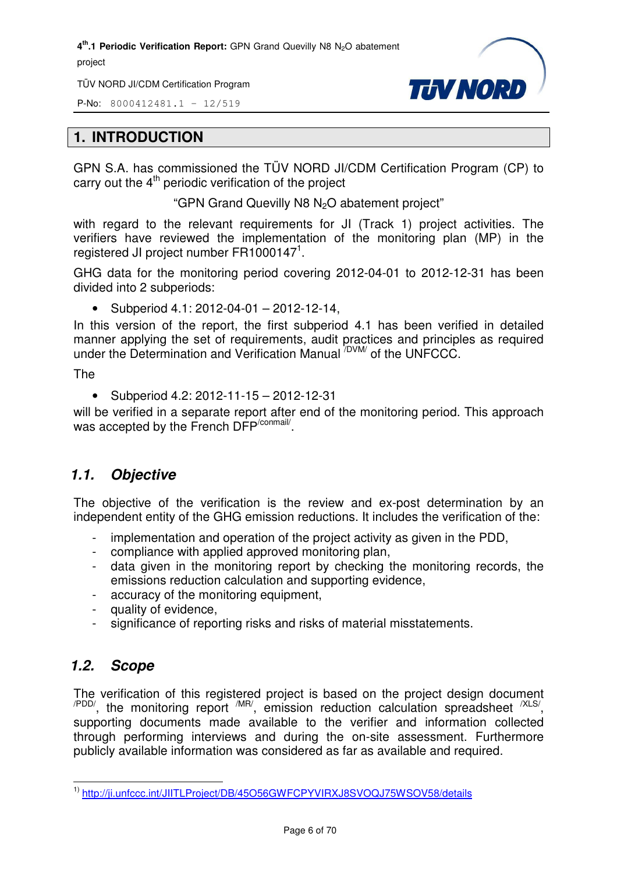TÜV NORD JI/CDM Certification Program

P-No: 8000412481.1 – 12/519



#### **1. INTRODUCTION**

GPN S.A. has commissioned the TÜV NORD JI/CDM Certification Program (CP) to carry out the  $4<sup>th</sup>$  periodic verification of the project

"GPN Grand Quevilly N8 N<sub>2</sub>O abatement project"

with regard to the relevant requirements for JI (Track 1) project activities. The verifiers have reviewed the implementation of the monitoring plan (MP) in the registered JI project number  $FR1000147^1$ .

GHG data for the monitoring period covering 2012-04-01 to 2012-12-31 has been divided into 2 subperiods:

• Subperiod  $4.1: 2012 - 04 - 01 - 2012 - 12 - 14$ ,

In this version of the report, the first subperiod 4.1 has been verified in detailed manner applying the set of requirements, audit practices and principles as required under the Determination and Verification Manual /DVM/ of the UNFCCC.

The

• Subperiod 4.2: 2012-11-15 – 2012-12-31

will be verified in a separate report after end of the monitoring period. This approach was accepted by the French DFP<sup>/conmail/</sup>.

#### *1.1. Objective*

The objective of the verification is the review and ex-post determination by an independent entity of the GHG emission reductions. It includes the verification of the:

- implementation and operation of the project activity as given in the PDD,
- compliance with applied approved monitoring plan,
- data given in the monitoring report by checking the monitoring records, the emissions reduction calculation and supporting evidence,
- accuracy of the monitoring equipment,
- quality of evidence,
- significance of reporting risks and risks of material misstatements.

#### *1.2. Scope*

The verification of this registered project is based on the project design document  $\mu_{\text{PDD}}$ , the monitoring report  $\mu_{\text{IR}}$ , emission reduction calculation spreadsheet  $\mu_{\text{SND}}$ supporting documents made available to the verifier and information collected through performing interviews and during the on-site assessment. Furthermore publicly available information was considered as far as available and required.

l 1) http://ji.unfccc.int/JIITLProject/DB/45O56GWFCPYVIRXJ8SVOQJ75WSOV58/details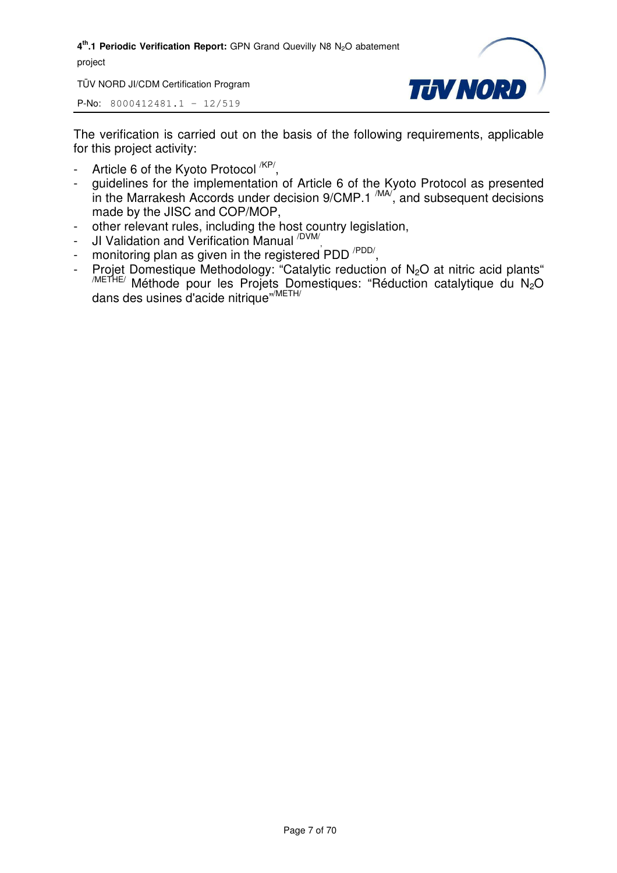TÜV NORD JI/CDM Certification Program



P-No: 8000412481.1 – 12/519

The verification is carried out on the basis of the following requirements, applicable for this project activity:

- Article 6 of the Kyoto Protocol <sup>/KP/</sup>,
- guidelines for the implementation of Article 6 of the Kyoto Protocol as presented in the Marrakesh Accords under decision  $9/CMP.1 \frac{MAV}{M}$ , and subsequent decisions made by the JISC and COP/MOP,
- other relevant rules, including the host country legislation,
- JI Validation and Verification Manual <sup>/DVM/</sup>,
- monitoring plan as given in the registered PDD<sup>/PDD/</sup>,
- Projet Domestique Methodology: "Catalytic reduction of  $N_2O$  at nitric acid plants" /METHE/ Méthode pour les Projets Domestiques: "Réduction catalytique du N2O dans des usines d'acide nitrique"/METH/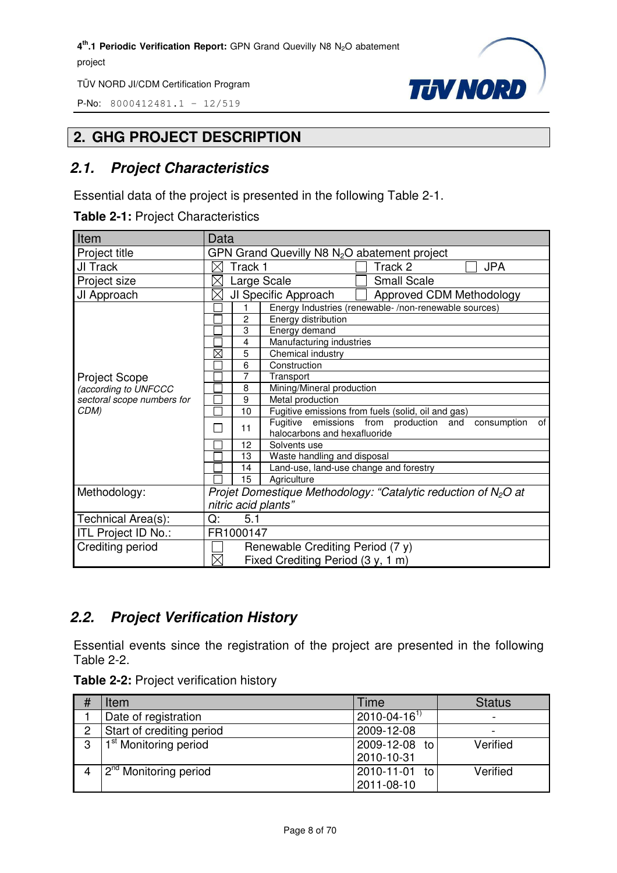P-No: 8000412481.1 – 12/519



#### **2. GHG PROJECT DESCRIPTION**

#### *2.1. Project Characteristics*

Essential data of the project is presented in the following Table 2-1.

**Table 2-1:** Project Characteristics

| Item                       | Data                                                                                              |  |  |
|----------------------------|---------------------------------------------------------------------------------------------------|--|--|
| Project title              | GPN Grand Quevilly N8 N <sub>2</sub> O abatement project                                          |  |  |
| JI Track                   | Track 1<br>Track 2<br><b>JPA</b>                                                                  |  |  |
| Project size               | Large Scale<br><b>Small Scale</b>                                                                 |  |  |
| JI Approach                | JI Specific Approach<br>Approved CDM Methodology<br>$\boxtimes$                                   |  |  |
|                            | Energy Industries (renewable-/non-renewable sources)                                              |  |  |
|                            | 2<br>Energy distribution                                                                          |  |  |
|                            | 3<br>Energy demand                                                                                |  |  |
|                            | 4<br>Manufacturing industries                                                                     |  |  |
|                            | $\boxtimes$<br>5<br>Chemical industry                                                             |  |  |
|                            | 6<br>Construction                                                                                 |  |  |
| <b>Project Scope</b>       | 7<br>Transport                                                                                    |  |  |
| (according to UNFCCC       | Mining/Mineral production<br>8                                                                    |  |  |
| sectoral scope numbers for | 9<br>Metal production                                                                             |  |  |
| CDM)                       | Fugitive emissions from fuels (solid, oil and gas)<br>10                                          |  |  |
|                            | Fugitive emissions from production and<br>consumption<br>of<br>11<br>halocarbons and hexafluoride |  |  |
|                            | 12<br>Solvents use                                                                                |  |  |
|                            | Waste handling and disposal<br>13                                                                 |  |  |
|                            | Land-use, land-use change and forestry<br>14                                                      |  |  |
|                            | 15<br>Agriculture                                                                                 |  |  |
| Methodology:               | Projet Domestique Methodology: "Catalytic reduction of $N_2O$ at                                  |  |  |
|                            | nitric acid plants"                                                                               |  |  |
| Technical Area(s):         | 5.1<br>Q:                                                                                         |  |  |
| ITL Project ID No.:        | FR1000147                                                                                         |  |  |
| Crediting period           | Renewable Crediting Period (7 y)                                                                  |  |  |
|                            | $\boxtimes$<br>Fixed Crediting Period (3 y, 1 m)                                                  |  |  |

#### *2.2. Project Verification History*

Essential events since the registration of the project are presented in the following Table 2-2.

|  |  | Table 2-2: Project verification history |  |
|--|--|-----------------------------------------|--|
|--|--|-----------------------------------------|--|

| # | Item                              | Time                           | <b>Status</b> |
|---|-----------------------------------|--------------------------------|---------------|
|   | Date of registration              | $2010 - 04 - 16$ <sup>1)</sup> |               |
| 2 | Start of crediting period         | 2009-12-08                     |               |
| 3 | 1 <sup>st</sup> Monitoring period | 2009-12-08 to                  | Verified      |
|   |                                   | 2010-10-31                     |               |
|   | 2 <sup>nd</sup> Monitoring period | 2010-11-01<br>to               | Verified      |
|   |                                   | 2011-08-10                     |               |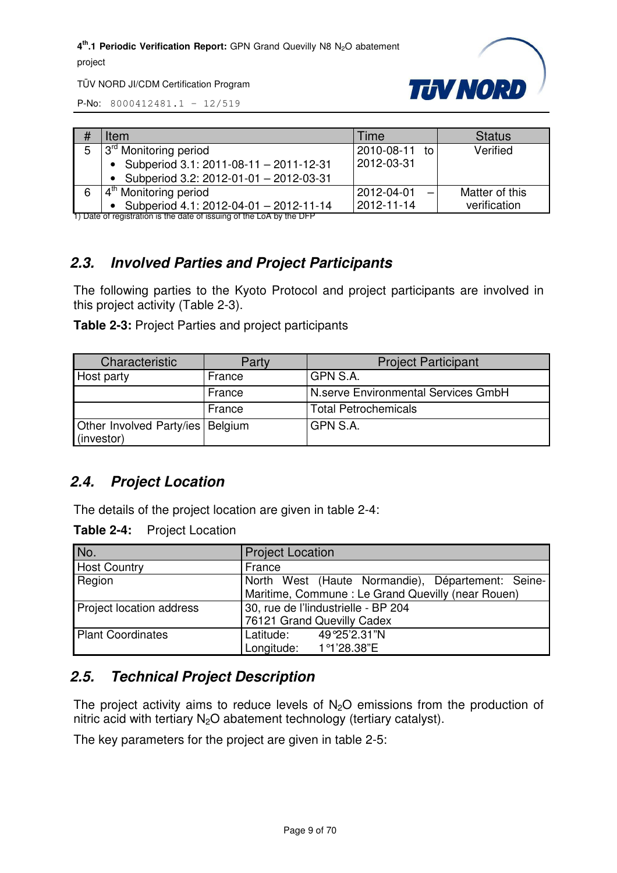

TÜV NORD JI/CDM Certification Program

P-No: 8000412481.1 – 12/519

| # | Item                                                | Time          | <b>Status</b>  |
|---|-----------------------------------------------------|---------------|----------------|
| 5 | 13 <sup>rd</sup> Monitoring period                  | 2010-08-11 to | Verified       |
|   | Subperiod 3.1: 2011-08-11 - 2011-12-31<br>$\bullet$ | 2012-03-31    |                |
|   | Subperiod 3.2: 2012-01-01 - 2012-03-31              |               |                |
| 6 | $\sqrt{4^{th}}$ Monitoring period                   | 2012-04-01    | Matter of this |
|   | Subperiod 4.1: 2012-04-01 - 2012-11-14              | 2012-11-14    | verification   |

1) Date of registration is the date of issuing of the LoA by the DFP

#### *2.3. Involved Parties and Project Participants*

The following parties to the Kyoto Protocol and project participants are involved in this project activity (Table 2-3).

**Table 2-3:** Project Parties and project participants

| Characteristic                                   | Party  | <b>Project Participant</b>          |
|--------------------------------------------------|--------|-------------------------------------|
| Host party                                       | France | GPN S.A.                            |
|                                                  | France | N.serve Environmental Services GmbH |
|                                                  | France | <b>Total Petrochemicals</b>         |
| Other Involved Party/ies   Belgium<br>(investor) |        | GPN S.A.                            |

#### *2.4. Project Location*

The details of the project location are given in table 2-4:

**Table 2-4:** Project Location

| No.                      | <b>Project Location</b>                                                                                |  |  |
|--------------------------|--------------------------------------------------------------------------------------------------------|--|--|
| <b>Host Country</b>      | France                                                                                                 |  |  |
| Region                   | North West (Haute Normandie), Département: Seine-<br>Maritime, Commune: Le Grand Quevilly (near Rouen) |  |  |
| Project location address | 30, rue de l'lindustrielle - BP 204<br>76121 Grand Quevilly Cadex                                      |  |  |
| <b>Plant Coordinates</b> | Latitude: 49°25'2.31"N<br>Longitude: 1 <sup>o</sup> 1'28.38"E                                          |  |  |

#### *2.5. Technical Project Description*

The project activity aims to reduce levels of  $N<sub>2</sub>O$  emissions from the production of nitric acid with tertiary  $N_2O$  abatement technology (tertiary catalyst).

The key parameters for the project are given in table 2-5: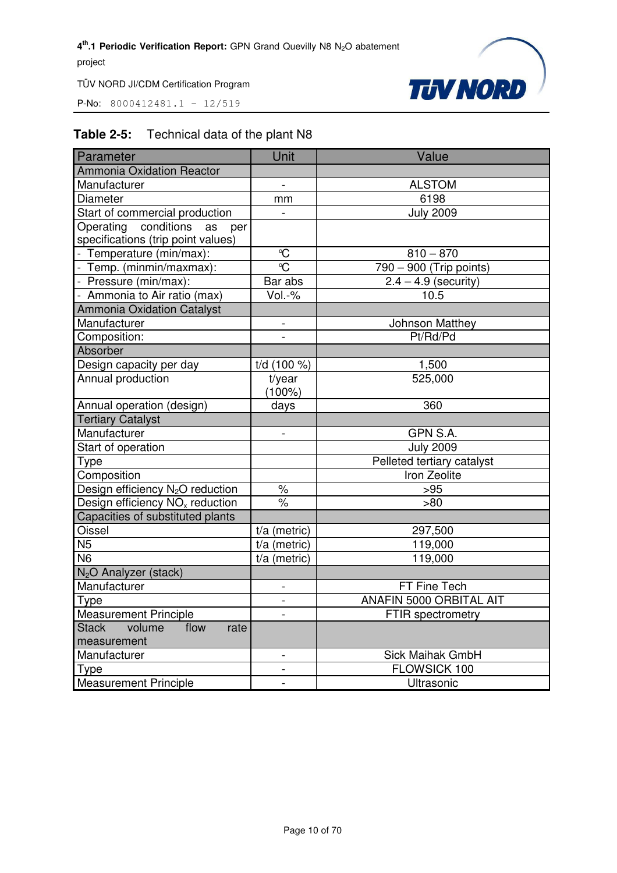P-No: 8000412481.1 – 12/519



#### **Table 2-5:** Technical data of the plant N8

| Parameter                                    | Unit                     | Value                      |
|----------------------------------------------|--------------------------|----------------------------|
| <b>Ammonia Oxidation Reactor</b>             |                          |                            |
| Manufacturer                                 | $\frac{1}{2}$            | <b>ALSTOM</b>              |
| <b>Diameter</b>                              | mm                       | 6198                       |
| Start of commercial production               |                          | <b>July 2009</b>           |
| Operating conditions as<br>per               |                          |                            |
| specifications (trip point values)           |                          |                            |
| - Temperature (min/max):                     | $\mathcal{C}$            | $810 - 870$                |
| - Temp. (minmin/maxmax):                     | $\overline{\mathbb{C}}$  | 790 - 900 (Trip points)    |
| - Pressure (min/max):                        | Bar abs                  | $2.4 - 4.9$ (security)     |
| - Ammonia to Air ratio (max)                 | Vol.-%                   | 10.5                       |
| <b>Ammonia Oxidation Catalyst</b>            |                          |                            |
| Manufacturer                                 |                          | Johnson Matthey            |
| Composition:                                 |                          | Pt/Rd/Pd                   |
| Absorber                                     |                          |                            |
| Design capacity per day                      | $t/d$ (100 %)            | 1,500                      |
| Annual production                            | t/year                   | 525,000                    |
|                                              | $(100\%)$                |                            |
| Annual operation (design)                    | days                     | 360                        |
| <b>Tertiary Catalyst</b>                     |                          |                            |
| Manufacturer                                 | $\overline{\phantom{0}}$ | GPN S.A.                   |
| Start of operation                           |                          | <b>July 2009</b>           |
| Type                                         |                          | Pelleted tertiary catalyst |
| Composition                                  |                          | Iron Zeolite               |
| Design efficiency N <sub>2</sub> O reduction | $\%$                     | >95                        |
| Design efficiency $NOx$ reduction            | $\%$                     | >80                        |
| Capacities of substituted plants             |                          |                            |
| Oissel                                       | $t/a$ (metric)           | 297,500                    |
| N <sub>5</sub>                               | $t/a$ (metric)           | 119,000                    |
| N6                                           | $t/a$ (metric)           | 119,000                    |
| N <sub>2</sub> O Analyzer (stack)            |                          |                            |
| Manufacturer                                 |                          | FT Fine Tech               |
| Type                                         | -                        | ANAFIN 5000 ORBITAL AIT    |
| <b>Measurement Principle</b>                 | $\overline{a}$           | FTIR spectrometry          |
| volume<br><b>Stack</b><br>flow<br>rate       |                          |                            |
| measurement                                  |                          |                            |
| Manufacturer                                 | -                        | Sick Maihak GmbH           |
| Type                                         | -                        | FLOWSICK 100               |
| <b>Measurement Principle</b>                 |                          | Ultrasonic                 |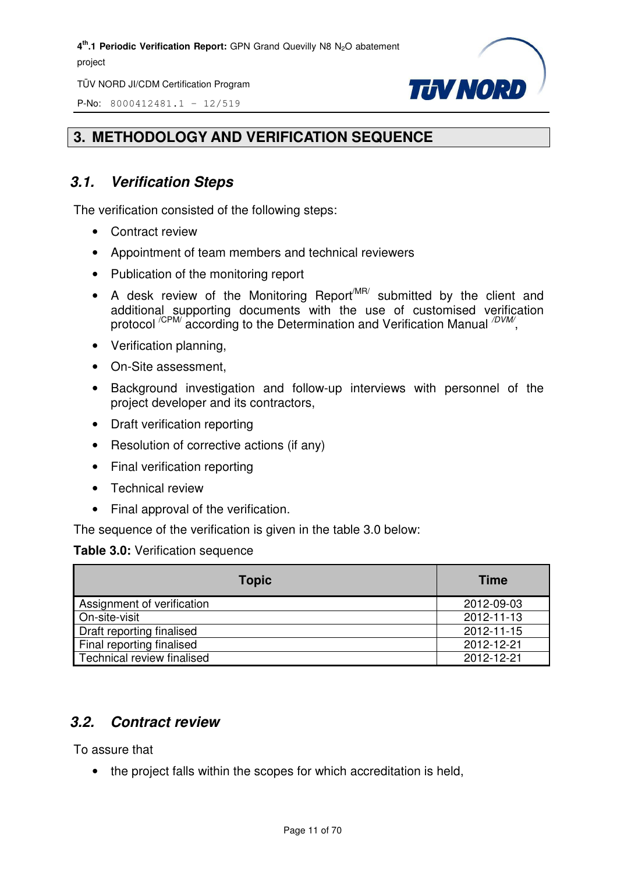TÜV NORD JI/CDM Certification Program

P-No: 8000412481.1 – 12/519



#### **3. METHODOLOGY AND VERIFICATION SEQUENCE**

#### *3.1. Verification Steps*

The verification consisted of the following steps:

- Contract review
- Appointment of team members and technical reviewers
- Publication of the monitoring report
- A desk review of the Monitoring Report<sup>MR/</sup> submitted by the client and additional supporting documents with the use of customised verification protocol <sup>/CPM/</sup> according to the Determination and Verification Manual <sup>/DVM/</sup>,
- Verification planning,
- On-Site assessment,
- Background investigation and follow-up interviews with personnel of the project developer and its contractors,
- Draft verification reporting
- Resolution of corrective actions (if any)
- Final verification reporting
- Technical review
- Final approval of the verification.

The sequence of the verification is given in the table 3.0 below:

#### **Table 3.0:** Verification sequence

| <b>Topic</b>               | <b>Time</b> |
|----------------------------|-------------|
| Assignment of verification | 2012-09-03  |
| On-site-visit              | 2012-11-13  |
| Draft reporting finalised  | 2012-11-15  |
| Final reporting finalised  | 2012-12-21  |
| Technical review finalised | 2012-12-21  |

#### *3.2. Contract review*

To assure that

• the project falls within the scopes for which accreditation is held,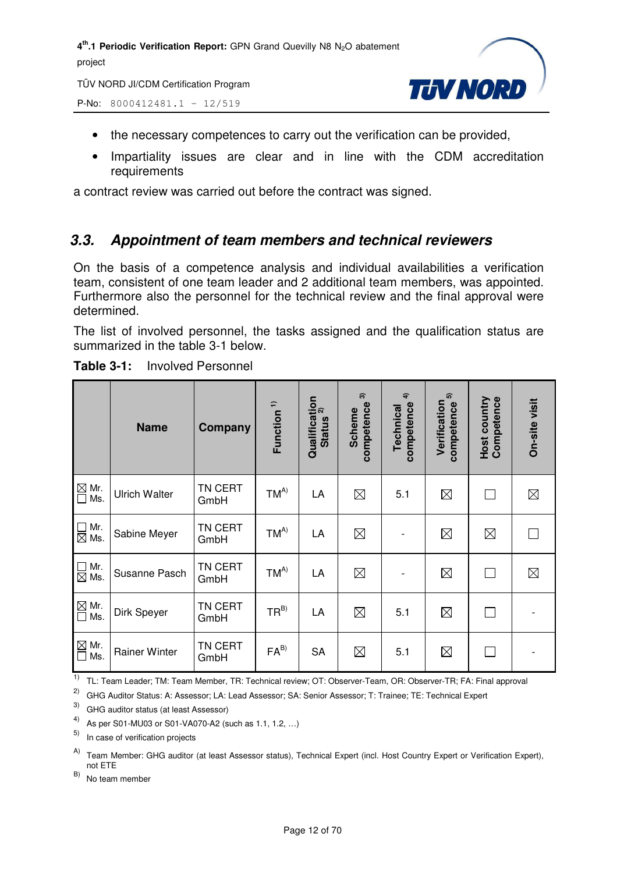TÜV NORD JI/CDM Certification Program



P-No: 8000412481.1 – 12/519

- the necessary competences to carry out the verification can be provided,
- Impartiality issues are clear and in line with the CDM accreditation requirements

a contract review was carried out before the contract was signed.

#### *3.3. Appointment of team members and technical reviewers*

On the basis of a competence analysis and individual availabilities a verification team, consistent of one team leader and 2 additional team members, was appointed. Furthermore also the personnel for the technical review and the final approval were determined.

The list of involved personnel, the tasks assigned and the qualification status are summarized in the table 3-1 below.

|                                                       | <b>Name</b>          | Company         | Function <sup>1)</sup> | Qualification<br>Chatting <sup>2)</sup><br><b>Status</b> | $\widehat{\mathcal{E}}$<br>competence<br><b>Scheme</b> | $\hat{+}$<br>competence<br>Technical | 5<br>Verification<br>competence | Host country<br>Competence | On-site visit |
|-------------------------------------------------------|----------------------|-----------------|------------------------|----------------------------------------------------------|--------------------------------------------------------|--------------------------------------|---------------------------------|----------------------------|---------------|
| $\mathbb{\underline{\boxtimes}}$ Mr.<br>$\Box$<br>Ms. | <b>Ulrich Walter</b> | TN CERT<br>GmbH | $TM^{A)}$              | LA                                                       | $\boxtimes$                                            | 5.1                                  | $\boxtimes$                     | $\mathbf{I}$               | $\boxtimes$   |
| $\Box$ Mr.<br>$\boxtimes$ Ms.                         | Sabine Meyer         | TN CERT<br>GmbH | $TM^{A)}$              | LA                                                       | $\boxtimes$                                            |                                      | $\boxtimes$                     | $\boxtimes$                | $\mathbf{I}$  |
| $\Box$ Mr.<br>$\boxtimes$ Ms.                         | Susanne Pasch        | TN CERT<br>GmbH | $TM^{A)}$              | LA                                                       | $\boxtimes$                                            |                                      | $\boxtimes$                     | П                          | $\boxtimes$   |
| $\boxtimes$ Mr.<br>Ms.<br>$\Box$                      | Dirk Speyer          | TN CERT<br>GmbH | $TR^{B)}$              | LA                                                       | $\boxtimes$                                            | 5.1                                  | $\boxtimes$                     | $\mathbf{L}$               |               |
| $\boxtimes$ Mr.<br>Ms.<br>$\Box$                      | <b>Rainer Winter</b> | TN CERT<br>GmbH | $FA^{B)}$              | <b>SA</b>                                                | $\boxtimes$                                            | 5.1                                  | $\boxtimes$                     |                            |               |

**Table 3-1:** Involved Personnel

<sup>1)</sup> TL: Team Leader; TM: Team Member, TR: Technical review; OT: Observer-Team, OR: Observer-TR; FA: Final approval

2) GHG Auditor Status: A: Assessor; LA: Lead Assessor; SA: Senior Assessor; T: Trainee; TE: Technical Expert

3) GHG auditor status (at least Assessor)

4) As per S01-MU03 or S01-VA070-A2 (such as 1.1, 1.2, …)

5) In case of verification projects

A) Team Member: GHG auditor (at least Assessor status), Technical Expert (incl. Host Country Expert or Verification Expert), not ETE

B) No team member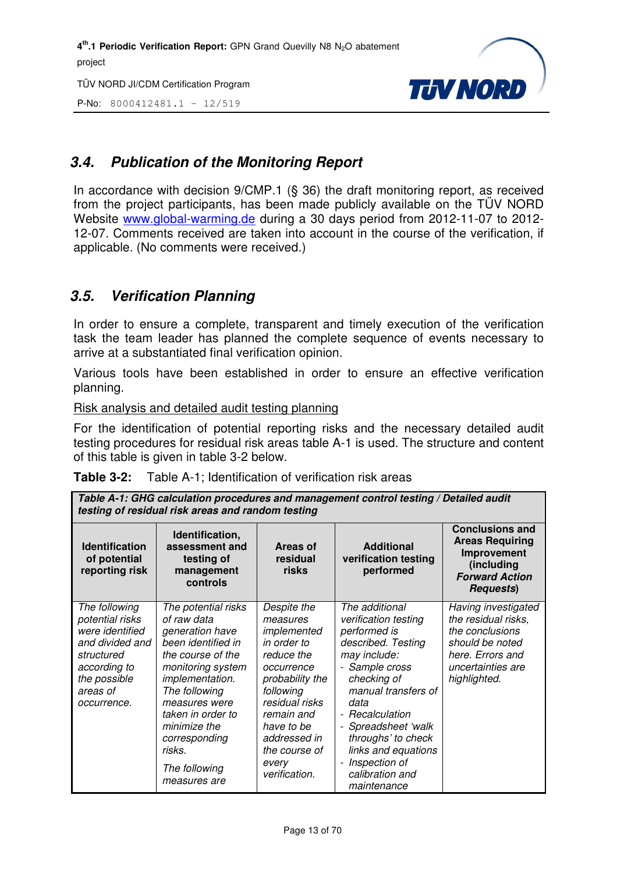TÜV NORD JI/CDM Certification Program

P-No: 8000412481.1 – 12/519



#### *3.4. Publication of the Monitoring Report*

In accordance with decision 9/CMP.1 (§ 36) the draft monitoring report, as received from the project participants, has been made publicly available on the TÜV NORD Website www.global-warming.de during a 30 days period from 2012-11-07 to 2012- 12-07. Comments received are taken into account in the course of the verification, if applicable. (No comments were received.)

#### *3.5. Verification Planning*

In order to ensure a complete, transparent and timely execution of the verification task the team leader has planned the complete sequence of events necessary to arrive at a substantiated final verification opinion.

Various tools have been established in order to ensure an effective verification planning.

Risk analysis and detailed audit testing planning

For the identification of potential reporting risks and the necessary detailed audit testing procedures for residual risk areas table A-1 is used. The structure and content of this table is given in table 3-2 below.

|  | <b>Table 3-2:</b> Table A-1; Identification of verification risk areas |
|--|------------------------------------------------------------------------|
|--|------------------------------------------------------------------------|

| Table A-1: GHG calculation procedures and management control testing / Detailed audit<br>testing of residual risk areas and random testing      |                                                                                                                                                                                                                                                                             |                                                                                                                                                                                                                            |                                                                                                                                                                                                                                                                                                                                    |                                                                                                                                           |  |
|-------------------------------------------------------------------------------------------------------------------------------------------------|-----------------------------------------------------------------------------------------------------------------------------------------------------------------------------------------------------------------------------------------------------------------------------|----------------------------------------------------------------------------------------------------------------------------------------------------------------------------------------------------------------------------|------------------------------------------------------------------------------------------------------------------------------------------------------------------------------------------------------------------------------------------------------------------------------------------------------------------------------------|-------------------------------------------------------------------------------------------------------------------------------------------|--|
| <b>Identification</b><br>of potential<br>reporting risk                                                                                         | Identification,<br>assessment and<br>testing of<br>management<br>controls                                                                                                                                                                                                   | Areas of<br>residual<br>risks                                                                                                                                                                                              | <b>Additional</b><br>verification testing<br>performed                                                                                                                                                                                                                                                                             | <b>Conclusions and</b><br><b>Areas Requiring</b><br>Improvement<br>(including<br><b>Forward Action</b><br><b>Requests</b> )               |  |
| The following<br>potential risks<br>were identified<br>and divided and<br>structured<br>according to<br>the possible<br>areas of<br>occurrence. | The potential risks<br>of raw data<br>generation have<br>been identified in<br>the course of the<br>monitoring system<br>implementation.<br>The following<br>measures were<br>taken in order to<br>minimize the<br>corresponding<br>risks.<br>The following<br>measures are | Despite the<br>measures<br>implemented<br>in order to<br>reduce the<br>occurrence<br>probability the<br>following<br>residual risks<br>remain and<br>have to be<br>addressed in<br>the course of<br>every<br>verification. | The additional<br>verification testing<br>performed is<br>described. Testing<br>may include:<br>- Sample cross<br>checking of<br>manual transfers of<br>data<br>- Recalculation<br>- Spreadsheet 'walk<br>throughs' to check<br>links and equations<br>Inspection of<br>$\overline{\phantom{a}}$<br>calibration and<br>maintenance | Having investigated<br>the residual risks,<br>the conclusions<br>should be noted<br>here. Errors and<br>uncertainties are<br>highlighted. |  |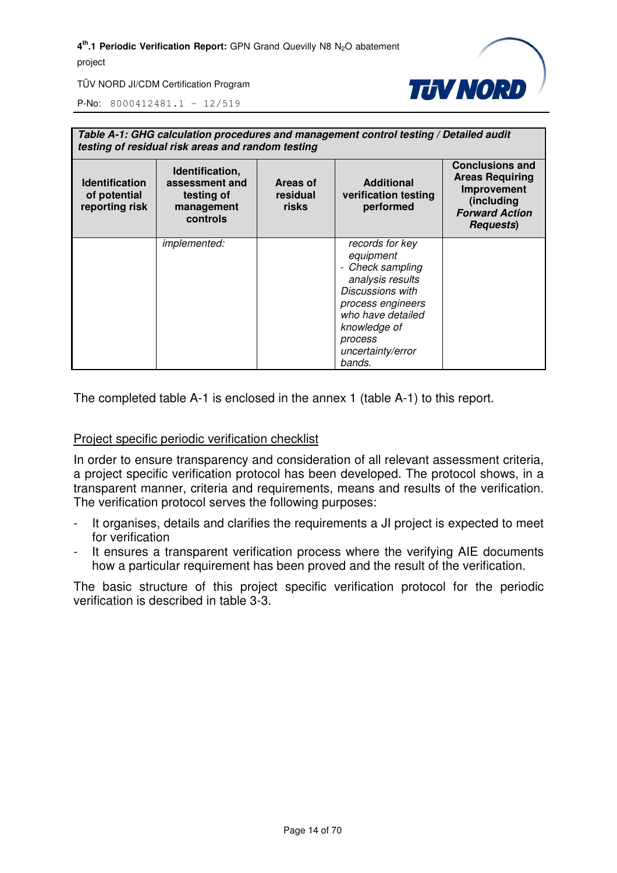

TÜV NORD JI/CDM Certification Program

P-No: 8000412481.1 – 12/519

| Table A-1: GHG calculation procedures and management control testing / Detailed audit<br>testing of residual risk areas and random testing |                                                                           |                               |                                                                                                                                                                                              |                                                                                                                             |  |
|--------------------------------------------------------------------------------------------------------------------------------------------|---------------------------------------------------------------------------|-------------------------------|----------------------------------------------------------------------------------------------------------------------------------------------------------------------------------------------|-----------------------------------------------------------------------------------------------------------------------------|--|
| <b>Identification</b><br>of potential<br>reporting risk                                                                                    | Identification,<br>assessment and<br>testing of<br>management<br>controls | Areas of<br>residual<br>risks | <b>Additional</b><br>verification testing<br>performed                                                                                                                                       | <b>Conclusions and</b><br><b>Areas Requiring</b><br>Improvement<br>(including<br><b>Forward Action</b><br><b>Requests</b> ) |  |
|                                                                                                                                            | <i>implemented:</i>                                                       |                               | records for key<br>equipment<br>- Check sampling<br>analysis results<br>Discussions with<br>process engineers<br>who have detailed<br>knowledge of<br>process<br>uncertainty/error<br>bands. |                                                                                                                             |  |

The completed table A-1 is enclosed in the annex 1 (table A-1) to this report.

#### Project specific periodic verification checklist

In order to ensure transparency and consideration of all relevant assessment criteria, a project specific verification protocol has been developed. The protocol shows, in a transparent manner, criteria and requirements, means and results of the verification. The verification protocol serves the following purposes:

- It organises, details and clarifies the requirements a JI project is expected to meet for verification
- It ensures a transparent verification process where the verifying AIE documents how a particular requirement has been proved and the result of the verification.

The basic structure of this project specific verification protocol for the periodic verification is described in table 3-3.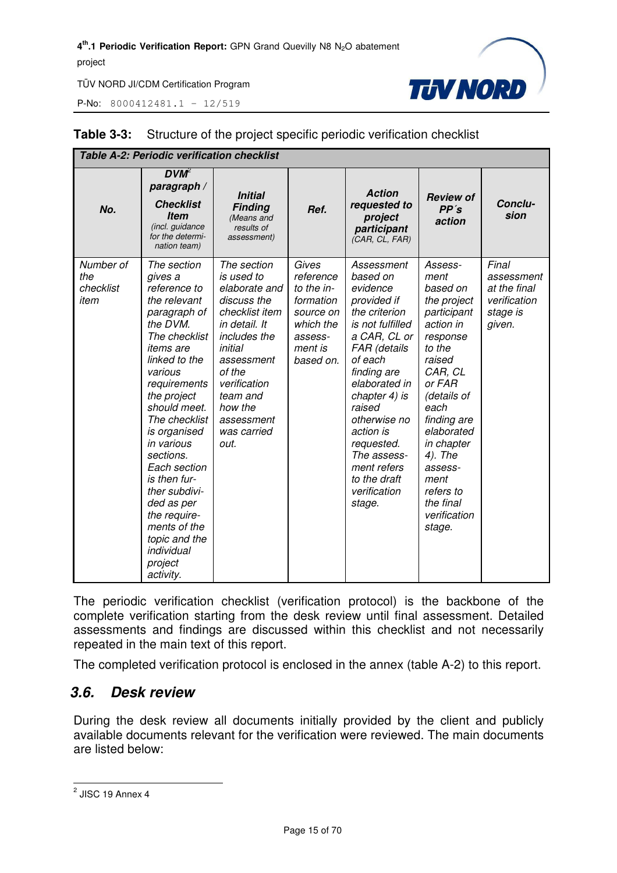P-No: 8000412481.1 – 12/519



| <b>Table A-2: Periodic verification checklist</b> |                                                                                                                                                                                                                                                                                                                                                                                                               |                                                                                                                                                                                                                             |                                                                                                            |                                                                                                                                                                                                                                                                                                                 |                                                                                                                                                                                                                                                                                 |                                                                           |
|---------------------------------------------------|---------------------------------------------------------------------------------------------------------------------------------------------------------------------------------------------------------------------------------------------------------------------------------------------------------------------------------------------------------------------------------------------------------------|-----------------------------------------------------------------------------------------------------------------------------------------------------------------------------------------------------------------------------|------------------------------------------------------------------------------------------------------------|-----------------------------------------------------------------------------------------------------------------------------------------------------------------------------------------------------------------------------------------------------------------------------------------------------------------|---------------------------------------------------------------------------------------------------------------------------------------------------------------------------------------------------------------------------------------------------------------------------------|---------------------------------------------------------------------------|
| No.                                               | $DVM^2$<br>paragraph /<br><b>Checklist</b><br><b>Item</b><br>(incl. guidance<br>for the determi-<br>nation team)                                                                                                                                                                                                                                                                                              | <b>Initial</b><br><b>Finding</b><br>(Means and<br>results of<br>assessment)                                                                                                                                                 | Ref.                                                                                                       | <b>Action</b><br>requested to<br>project<br>participant<br>(CAR, CL, FAR)                                                                                                                                                                                                                                       | <b>Review of</b><br>PP's<br>action                                                                                                                                                                                                                                              | Conclu-<br>sion                                                           |
| Number of<br>the<br>checklist<br>item             | The section<br>gives a<br>reference to<br>the relevant<br>paragraph of<br>the DVM.<br>The checklist<br>items are<br>linked to the<br>various<br>requirements<br>the project<br>should meet.<br>The checklist<br>is organised<br>in various<br>sections.<br>Each section<br>is then fur-<br>ther subdivi-<br>ded as per<br>the require-<br>ments of the<br>topic and the<br>individual<br>project<br>activity. | The section<br>is used to<br>elaborate and<br>discuss the<br>checklist item<br>in detail. It<br>includes the<br>initial<br>assessment<br>of the<br>verification<br>team and<br>how the<br>assessment<br>was carried<br>out. | Gives<br>reference<br>to the in-<br>formation<br>source on<br>which the<br>assess-<br>ment is<br>based on. | Assessment<br>based on<br>evidence<br>provided if<br>the criterion<br>is not fulfilled<br>a CAR, CL or<br>FAR (details<br>of each<br>finding are<br>elaborated in<br>chapter 4) is<br>raised<br>otherwise no<br>action is<br>requested.<br>The assess-<br>ment refers<br>to the draft<br>verification<br>stage. | Assess-<br>ment<br>based on<br>the project<br>participant<br>action in<br>response<br>to the<br>raised<br>CAR, CL<br>or FAR<br>(details of<br>each<br>finding are<br>elaborated<br>in chapter<br>4). The<br>assess-<br>ment<br>refers to<br>the final<br>verification<br>stage. | Final<br>assessment<br>at the final<br>verification<br>stage is<br>given. |

#### **Table 3-3:** Structure of the project specific periodic verification checklist

The periodic verification checklist (verification protocol) is the backbone of the complete verification starting from the desk review until final assessment. Detailed assessments and findings are discussed within this checklist and not necessarily repeated in the main text of this report.

The completed verification protocol is enclosed in the annex (table A-2) to this report.

#### *3.6. Desk review*

During the desk review all documents initially provided by the client and publicly available documents relevant for the verification were reviewed. The main documents are listed below:

<sup>&</sup>lt;u>2</u><br>2 JISC 19 Annex 4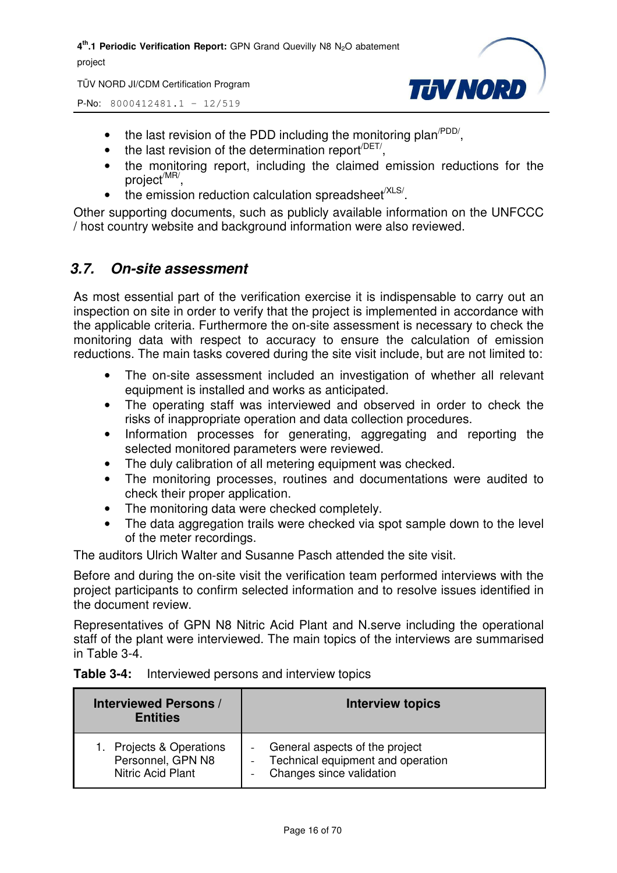TÜV NORD JI/CDM Certification Program



P-No: 8000412481.1 – 12/519

- the last revision of the PDD including the monitoring plan<sup> $PDD/$ </sup>,
- $\bullet$  the last revision of the determination report<sup> $/$ DET/</sup>,
- the monitoring report, including the claimed emission reductions for the project<sup>/MR/</sup>,
- $\bullet$  the emission reduction calculation spreadsheet<sup>/XLS/</sup>.

Other supporting documents, such as publicly available information on the UNFCCC / host country website and background information were also reviewed.

#### *3.7. On-site assessment*

As most essential part of the verification exercise it is indispensable to carry out an inspection on site in order to verify that the project is implemented in accordance with the applicable criteria. Furthermore the on-site assessment is necessary to check the monitoring data with respect to accuracy to ensure the calculation of emission reductions. The main tasks covered during the site visit include, but are not limited to:

- The on-site assessment included an investigation of whether all relevant equipment is installed and works as anticipated.
- The operating staff was interviewed and observed in order to check the risks of inappropriate operation and data collection procedures.
- Information processes for generating, aggregating and reporting the selected monitored parameters were reviewed.
- The duly calibration of all metering equipment was checked.
- The monitoring processes, routines and documentations were audited to check their proper application.
- The monitoring data were checked completely.
- The data aggregation trails were checked via spot sample down to the level of the meter recordings.

The auditors Ulrich Walter and Susanne Pasch attended the site visit.

Before and during the on-site visit the verification team performed interviews with the project participants to confirm selected information and to resolve issues identified in the document review.

Representatives of GPN N8 Nitric Acid Plant and N.serve including the operational staff of the plant were interviewed. The main topics of the interviews are summarised in Table 3-4.

| <b>Table 3-4:</b> | Interviewed persons and interview topics |  |
|-------------------|------------------------------------------|--|
|-------------------|------------------------------------------|--|

| <b>Interviewed Persons /</b><br><b>Entities</b> | <b>Interview topics</b>           |  |
|-------------------------------------------------|-----------------------------------|--|
| 1. Projects & Operations                        | - General aspects of the project  |  |
| Personnel, GPN N8                               | Technical equipment and operation |  |
| Nitric Acid Plant                               | Changes since validation          |  |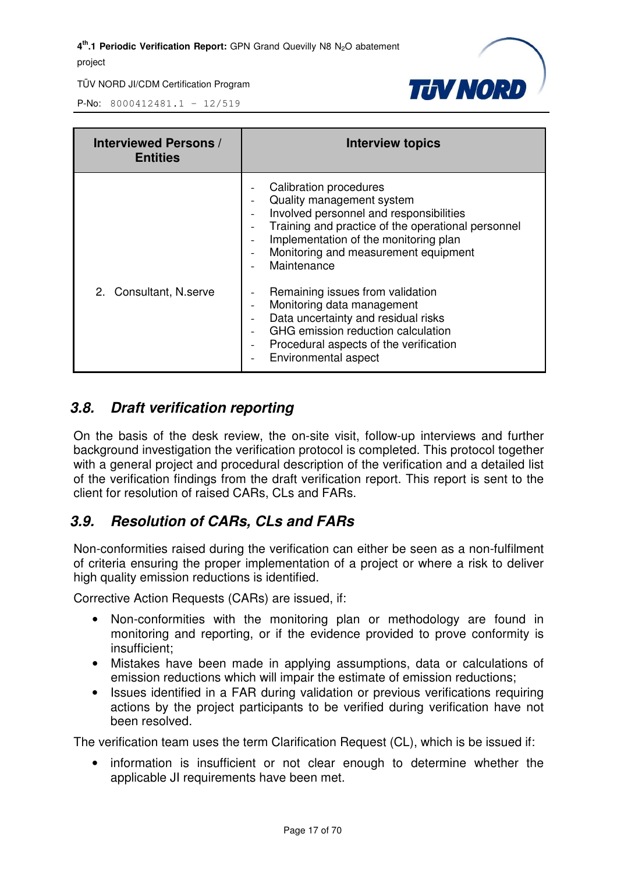

P-No: 8000412481.1 – 12/519

| <b>Interviewed Persons /</b><br><b>Entities</b> | <b>Interview topics</b>                                                                                                                                                                                                                                                                                                                                                                |
|-------------------------------------------------|----------------------------------------------------------------------------------------------------------------------------------------------------------------------------------------------------------------------------------------------------------------------------------------------------------------------------------------------------------------------------------------|
|                                                 | Calibration procedures<br>Quality management system<br>$\overline{\phantom{a}}$<br>Involved personnel and responsibilities<br>$\overline{\phantom{a}}$<br>Training and practice of the operational personnel<br>$\overline{\phantom{a}}$<br>Implementation of the monitoring plan<br>$\blacksquare$<br>Monitoring and measurement equipment<br>$\overline{\phantom{a}}$<br>Maintenance |
| 2. Consultant, N.serve                          | Remaining issues from validation<br>Monitoring data management<br>$\overline{\phantom{a}}$<br>Data uncertainty and residual risks<br>$\qquad \qquad -$<br>GHG emission reduction calculation<br>Procedural aspects of the verification<br>$\overline{\phantom{a}}$<br>Environmental aspect                                                                                             |

#### *3.8. Draft verification reporting*

On the basis of the desk review, the on-site visit, follow-up interviews and further background investigation the verification protocol is completed. This protocol together with a general project and procedural description of the verification and a detailed list of the verification findings from the draft verification report. This report is sent to the client for resolution of raised CARs, CLs and FARs.

#### *3.9. Resolution of CARs, CLs and FARs*

Non-conformities raised during the verification can either be seen as a non-fulfilment of criteria ensuring the proper implementation of a project or where a risk to deliver high quality emission reductions is identified.

Corrective Action Requests (CARs) are issued, if:

- Non-conformities with the monitoring plan or methodology are found in monitoring and reporting, or if the evidence provided to prove conformity is insufficient;
- Mistakes have been made in applying assumptions, data or calculations of emission reductions which will impair the estimate of emission reductions;
- Issues identified in a FAR during validation or previous verifications requiring actions by the project participants to be verified during verification have not been resolved.

The verification team uses the term Clarification Request (CL), which is be issued if:

• information is insufficient or not clear enough to determine whether the applicable JI requirements have been met.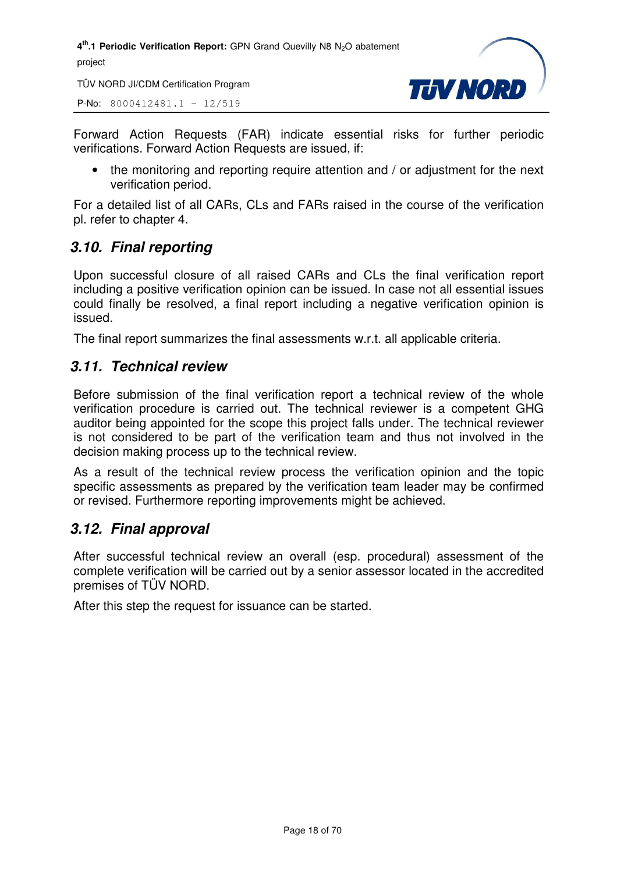TÜV NORD JI/CDM Certification Program

P-No: 8000412481.1 – 12/519



Forward Action Requests (FAR) indicate essential risks for further periodic verifications. Forward Action Requests are issued, if:

• the monitoring and reporting require attention and / or adjustment for the next verification period.

For a detailed list of all CARs, CLs and FARs raised in the course of the verification pl. refer to chapter 4.

#### *3.10. Final reporting*

Upon successful closure of all raised CARs and CLs the final verification report including a positive verification opinion can be issued. In case not all essential issues could finally be resolved, a final report including a negative verification opinion is issued.

The final report summarizes the final assessments w.r.t. all applicable criteria.

#### *3.11. Technical review*

Before submission of the final verification report a technical review of the whole verification procedure is carried out. The technical reviewer is a competent GHG auditor being appointed for the scope this project falls under. The technical reviewer is not considered to be part of the verification team and thus not involved in the decision making process up to the technical review.

As a result of the technical review process the verification opinion and the topic specific assessments as prepared by the verification team leader may be confirmed or revised. Furthermore reporting improvements might be achieved.

#### *3.12. Final approval*

After successful technical review an overall (esp. procedural) assessment of the complete verification will be carried out by a senior assessor located in the accredited premises of TÜV NORD.

After this step the request for issuance can be started.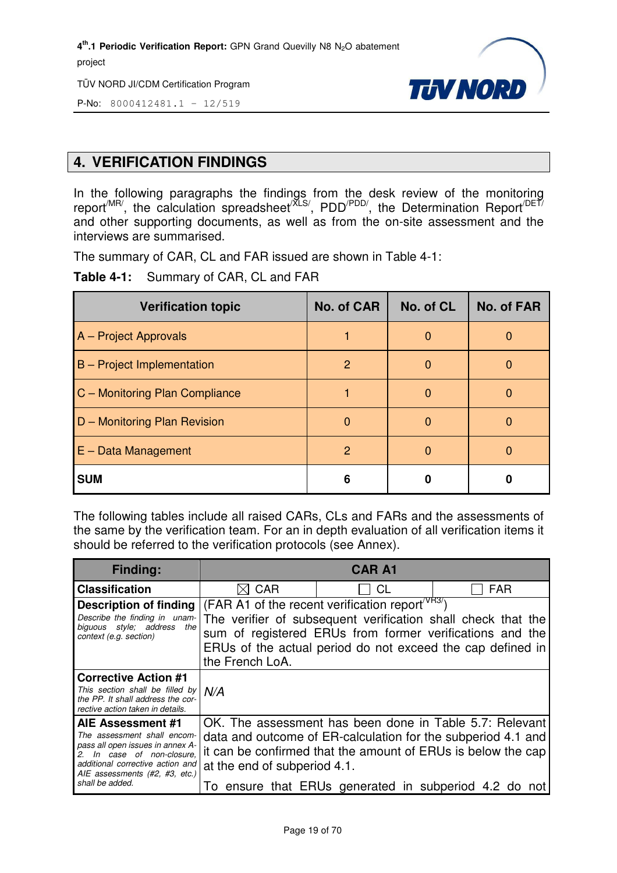TÜV NORD JI/CDM Certification Program



P-No: 8000412481.1 – 12/519

#### **4. VERIFICATION FINDINGS**

In the following paragraphs the findings from the desk review of the monitoring report<sup>/MR/</sup>, the calculation spreadsheet<sup>/XLS/</sup>, PDD<sup>/PDD/</sup>, the Determination Report<sup>/DET/</sup> and other supporting documents, as well as from the on-site assessment and the interviews are summarised.

The summary of CAR, CL and FAR issued are shown in Table 4-1:

**Table 4-1:** Summary of CAR, CL and FAR

| <b>Verification topic</b>      | No. of CAR    | No. of CL    | <b>No. of FAR</b> |
|--------------------------------|---------------|--------------|-------------------|
| A - Project Approvals          |               |              |                   |
| B - Project Implementation     | 2             | <sup>0</sup> |                   |
| C - Monitoring Plan Compliance |               | O            |                   |
| D - Monitoring Plan Revision   | $\Omega$      | O            |                   |
| $E - Data Management$          | $\mathcal{P}$ | O            |                   |
| <b>SUM</b>                     | 6             |              |                   |

The following tables include all raised CARs, CLs and FARs and the assessments of the same by the verification team. For an in depth evaluation of all verification items it should be referred to the verification protocols (see Annex).

| <b>Finding:</b>                                                                                                                                                                                          | <b>CAR A1</b>                                                                                                                                                                                                                                                             |                                                |                                                                                                                                                                                         |  |
|----------------------------------------------------------------------------------------------------------------------------------------------------------------------------------------------------------|---------------------------------------------------------------------------------------------------------------------------------------------------------------------------------------------------------------------------------------------------------------------------|------------------------------------------------|-----------------------------------------------------------------------------------------------------------------------------------------------------------------------------------------|--|
| <b>Classification</b>                                                                                                                                                                                    | <b>CAR</b>                                                                                                                                                                                                                                                                | CL                                             | <b>FAR</b>                                                                                                                                                                              |  |
| Description of finding<br>Describe the finding in unam-<br>biguous style; address<br>the I<br>context (e.g. section)                                                                                     | (FAR A1 of the recent verification report <sup>/VR3/</sup> )<br>The verifier of subsequent verification shall check that the<br>sum of registered ERUs from former verifications and the<br>ERUs of the actual period do not exceed the cap defined in<br>the French LoA. |                                                |                                                                                                                                                                                         |  |
| <b>Corrective Action #1</b><br>This section shall be filled by<br>the PP. It shall address the cor-<br>rective action taken in details.                                                                  | N/A                                                                                                                                                                                                                                                                       |                                                |                                                                                                                                                                                         |  |
| AIE Assessment #1<br>The assessment shall encom-<br>pass all open issues in annex A-<br>In case of non-closure,<br>additional corrective action and<br>AIE assessments (#2, #3, etc.)<br>shall be added. | at the end of subperiod 4.1.<br>10                                                                                                                                                                                                                                        | ensure that ERUs generated in subperiod 4.2 do | OK. The assessment has been done in Table 5.7: Relevant<br>data and outcome of ER-calculation for the subperiod 4.1 and<br>it can be confirmed that the amount of ERUs is below the cap |  |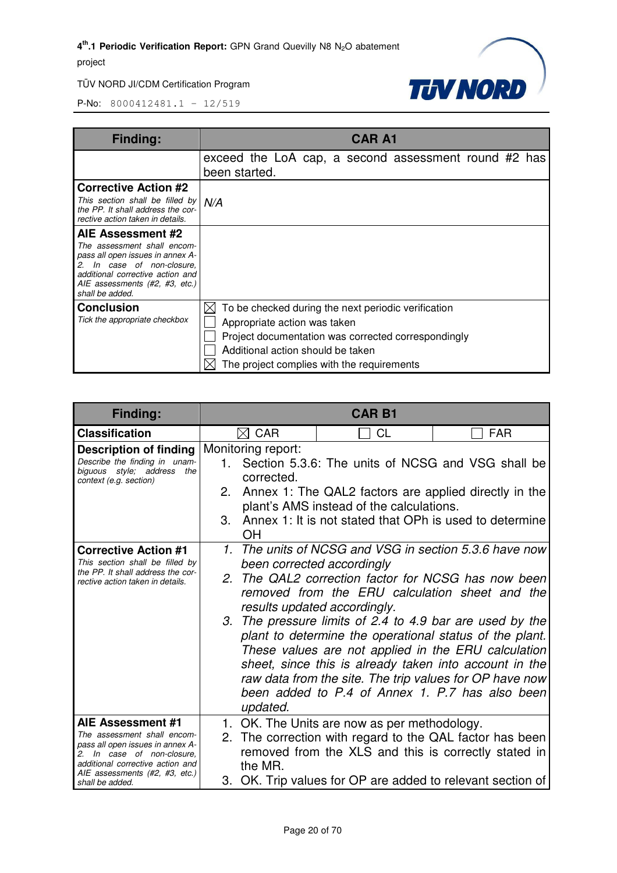

| <b>Finding:</b>                                                                                                                                                                                          | <b>CAR A1</b>                                                                                                                                                                                                                 |
|----------------------------------------------------------------------------------------------------------------------------------------------------------------------------------------------------------|-------------------------------------------------------------------------------------------------------------------------------------------------------------------------------------------------------------------------------|
|                                                                                                                                                                                                          | exceed the LoA cap, a second assessment round #2 has<br>been started.                                                                                                                                                         |
| <b>Corrective Action #2</b><br>This section shall be filled by<br>the PP. It shall address the cor-<br>rective action taken in details.                                                                  | N/A                                                                                                                                                                                                                           |
| AIE Assessment #2<br>The assessment shall encom-<br>pass all open issues in annex A-<br>In case of non-closure,<br>additional corrective action and<br>AIE assessments (#2, #3, etc.)<br>shall be added. |                                                                                                                                                                                                                               |
| <b>Conclusion</b><br>Tick the appropriate checkbox                                                                                                                                                       | To be checked during the next periodic verification<br>Appropriate action was taken<br>Project documentation was corrected correspondingly<br>Additional action should be taken<br>The project complies with the requirements |

| <b>Finding:</b>                                                                                                                                                                                                                                            | <b>CAR B1</b>                                                                                                                                                                                                                                                                                                                                      |                                                                                                                                                                                                                                                                                                                                                                                                   |  |  |
|------------------------------------------------------------------------------------------------------------------------------------------------------------------------------------------------------------------------------------------------------------|----------------------------------------------------------------------------------------------------------------------------------------------------------------------------------------------------------------------------------------------------------------------------------------------------------------------------------------------------|---------------------------------------------------------------------------------------------------------------------------------------------------------------------------------------------------------------------------------------------------------------------------------------------------------------------------------------------------------------------------------------------------|--|--|
| <b>Classification</b>                                                                                                                                                                                                                                      | $\boxtimes$ CAR                                                                                                                                                                                                                                                                                                                                    | <b>CL</b><br><b>FAR</b>                                                                                                                                                                                                                                                                                                                                                                           |  |  |
| Description of finding<br>Describe the finding in unam-<br>biguous style; address the<br>context (e.g. section)<br><b>Corrective Action #1</b><br>This section shall be filled by<br>the PP. It shall address the cor-<br>rective action taken in details. | Monitoring report:<br>1.<br>corrected.<br>2.<br>plant's AMS instead of the calculations.<br>3.<br>ΟH<br>been corrected accordingly<br>results updated accordingly.<br>3.                                                                                                                                                                           | Section 5.3.6: The units of NCSG and VSG shall be<br>Annex 1: The QAL2 factors are applied directly in the<br>Annex 1: It is not stated that OPh is used to determine<br>1. The units of NCSG and VSG in section 5.3.6 have now<br>2. The QAL2 correction factor for NCSG has now been<br>removed from the ERU calculation sheet and the<br>The pressure limits of 2.4 to 4.9 bar are used by the |  |  |
| AIE Assessment #1<br>The assessment shall encom-                                                                                                                                                                                                           | plant to determine the operational status of the plant.<br>These values are not applied in the ERU calculation<br>sheet, since this is already taken into account in the<br>raw data from the site. The trip values for OP have now<br>been added to P.4 of Annex 1. P.7 has also been<br>updated.<br>1. OK. The Units are now as per methodology. |                                                                                                                                                                                                                                                                                                                                                                                                   |  |  |
| pass all open issues in annex A-<br>2. In case of non-closure,<br>additional corrective action and<br>AIE assessments (#2, #3, etc.)<br>shall be added.                                                                                                    | the MR.                                                                                                                                                                                                                                                                                                                                            | 2. The correction with regard to the QAL factor has been<br>removed from the XLS and this is correctly stated in<br>3. OK. Trip values for OP are added to relevant section of                                                                                                                                                                                                                    |  |  |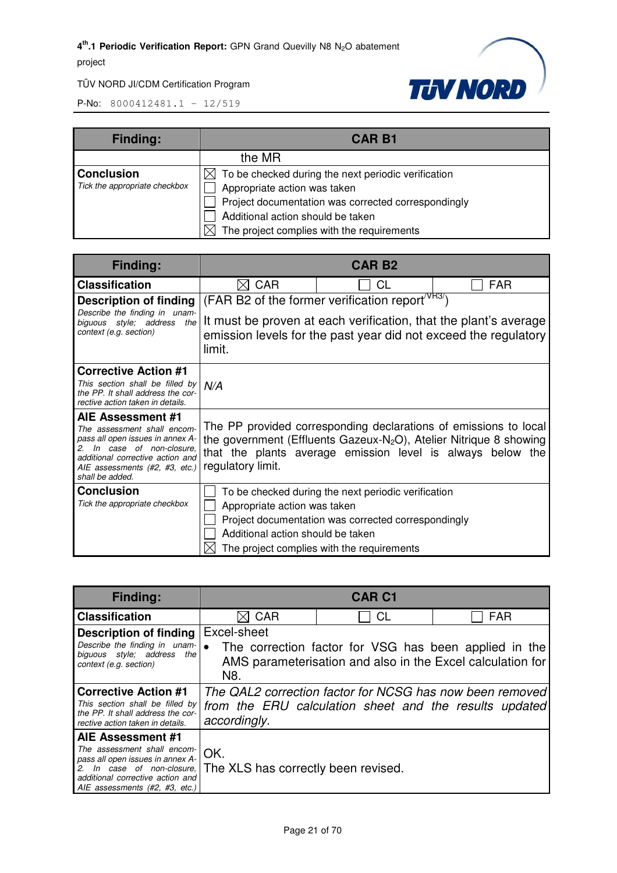

| <b>Finding:</b>               | <b>CAR B1</b>                                                   |  |
|-------------------------------|-----------------------------------------------------------------|--|
|                               | the MR                                                          |  |
| <b>Conclusion</b>             | $\boxtimes$ To be checked during the next periodic verification |  |
| Tick the appropriate checkbox | Appropriate action was taken                                    |  |
|                               | Project documentation was corrected correspondingly             |  |
|                               | Additional action should be taken                               |  |
|                               | The project complies with the requirements<br>$\times$          |  |

| Finding:                                                                                                                                                                                                       |                                                                                                                                                                                                                                       | <b>CAR B2</b>                                                                                                                                            |                                                                                                                                     |
|----------------------------------------------------------------------------------------------------------------------------------------------------------------------------------------------------------------|---------------------------------------------------------------------------------------------------------------------------------------------------------------------------------------------------------------------------------------|----------------------------------------------------------------------------------------------------------------------------------------------------------|-------------------------------------------------------------------------------------------------------------------------------------|
| <b>Classification</b>                                                                                                                                                                                          | <b>CAR</b><br>IXI                                                                                                                                                                                                                     | CL                                                                                                                                                       | FAR                                                                                                                                 |
| <b>Description of finding</b>                                                                                                                                                                                  |                                                                                                                                                                                                                                       | (FAR B2 of the former verification report <sup>/VR37</sup> )                                                                                             |                                                                                                                                     |
| Describe the finding in unam-<br>biguous style; address<br>the<br>context (e.g. section)                                                                                                                       | limit.                                                                                                                                                                                                                                |                                                                                                                                                          | It must be proven at each verification, that the plant's average<br>emission levels for the past year did not exceed the regulatory |
| <b>Corrective Action #1</b><br>This section shall be filled by<br>the PP. It shall address the cor-<br>rective action taken in details.                                                                        | N/A                                                                                                                                                                                                                                   |                                                                                                                                                          |                                                                                                                                     |
| AIE Assessment #1<br>The assessment shall encom-<br>pass all open issues in annex A-<br>In case of non-closure,<br>2.<br>additional corrective action and<br>AIE assessments (#2, #3, etc.)<br>shall be added. | The PP provided corresponding declarations of emissions to local<br>the government (Effluents Gazeux-N <sub>2</sub> O), Atelier Nitrique 8 showing<br>that the plants average emission level is always below the<br>regulatory limit. |                                                                                                                                                          |                                                                                                                                     |
| <b>Conclusion</b><br>Tick the appropriate checkbox                                                                                                                                                             | Appropriate action was taken<br>Additional action should be taken                                                                                                                                                                     | To be checked during the next periodic verification<br>Project documentation was corrected correspondingly<br>The project complies with the requirements |                                                                                                                                     |

| <b>Finding:</b>                                                                                                                                                                                                                       | <b>CAR C1</b>                                                                                                                      |    |                                                                                                                     |
|---------------------------------------------------------------------------------------------------------------------------------------------------------------------------------------------------------------------------------------|------------------------------------------------------------------------------------------------------------------------------------|----|---------------------------------------------------------------------------------------------------------------------|
| <b>Classification</b>                                                                                                                                                                                                                 | <b>CAR</b>                                                                                                                         | СL | <b>FAR</b>                                                                                                          |
| <b>Description of finding</b><br>Describe the finding in unam-<br>biguous style; address the<br>context (e.g. section)                                                                                                                | Excel-sheet<br>N8.                                                                                                                 |    | The correction factor for VSG has been applied in the<br>AMS parameterisation and also in the Excel calculation for |
| <b>Corrective Action #1</b><br>This section shall be filled by<br>the PP. It shall address the cor-<br>rective action taken in details.                                                                                               | The QAL2 correction factor for NCSG has now been removed<br>from the ERU calculation sheet and the results updated<br>accordingly. |    |                                                                                                                     |
| <b>AIE Assessment #1</b><br>The assessment shall encom-<br>pass all open issues in annex A-<br>$2.$ In case of non-closure, The XLS has correctly been revised.<br>additional corrective action and<br>AIE assessments (#2, #3, etc.) | OK.                                                                                                                                |    |                                                                                                                     |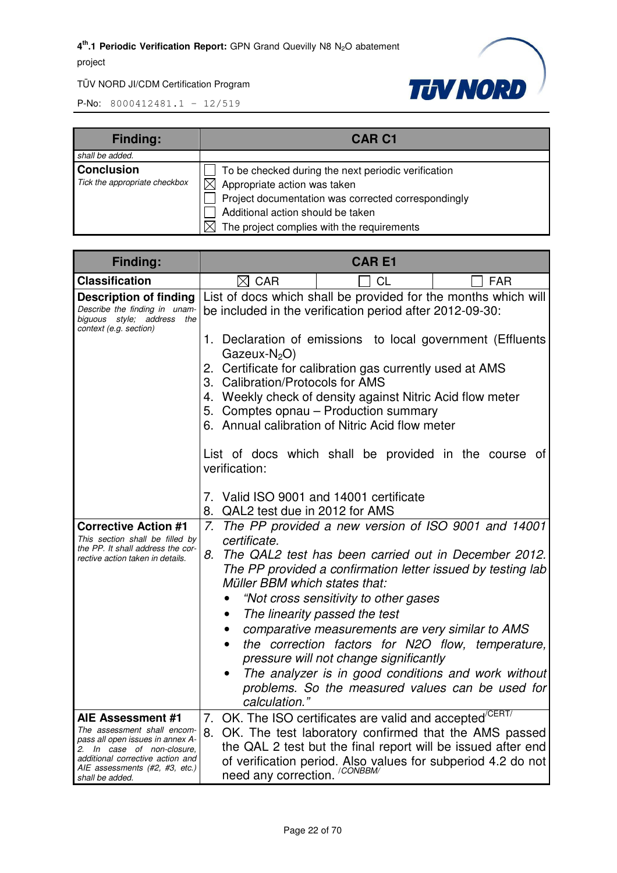

| <b>Finding:</b>                                    | <b>CAR C1</b>                                                                                                                                                                                                                 |
|----------------------------------------------------|-------------------------------------------------------------------------------------------------------------------------------------------------------------------------------------------------------------------------------|
| shall be added.                                    |                                                                                                                                                                                                                               |
| <b>Conclusion</b><br>Tick the appropriate checkbox | To be checked during the next periodic verification<br>Appropriate action was taken<br>Project documentation was corrected correspondingly<br>Additional action should be taken<br>The project complies with the requirements |

| <b>Finding:</b>                                                                                                                                                                                             | <b>CARE1</b>                                                                                                                                                                                                                                                                                                                                                                                                                                                                                                                                                                                               |  |  |
|-------------------------------------------------------------------------------------------------------------------------------------------------------------------------------------------------------------|------------------------------------------------------------------------------------------------------------------------------------------------------------------------------------------------------------------------------------------------------------------------------------------------------------------------------------------------------------------------------------------------------------------------------------------------------------------------------------------------------------------------------------------------------------------------------------------------------------|--|--|
| <b>Classification</b>                                                                                                                                                                                       | $\boxtimes$ CAR<br><b>FAR</b><br>CL                                                                                                                                                                                                                                                                                                                                                                                                                                                                                                                                                                        |  |  |
| <b>Description of finding</b><br>Describe the finding in unam-<br>biguous style; address the<br>context (e.g. section)                                                                                      | List of docs which shall be provided for the months which will<br>be included in the verification period after 2012-09-30:<br>1. Declaration of emissions to local government (Effluents<br>$Gazeux-N2O$<br>2. Certificate for calibration gas currently used at AMS<br>3. Calibration/Protocols for AMS<br>4. Weekly check of density against Nitric Acid flow meter<br>5. Comptes opnau - Production summary<br>6. Annual calibration of Nitric Acid flow meter                                                                                                                                          |  |  |
|                                                                                                                                                                                                             |                                                                                                                                                                                                                                                                                                                                                                                                                                                                                                                                                                                                            |  |  |
|                                                                                                                                                                                                             | List of docs which shall be provided in the course of<br>verification:<br>7. Valid ISO 9001 and 14001 certificate<br>8. QAL2 test due in 2012 for AMS                                                                                                                                                                                                                                                                                                                                                                                                                                                      |  |  |
| <b>Corrective Action #1</b><br>This section shall be filled by<br>the PP. It shall address the cor-<br>rective action taken in details.                                                                     | 7. The PP provided a new version of ISO 9001 and 14001<br>certificate.<br>The QAL2 test has been carried out in December 2012.<br>8.<br>The PP provided a confirmation letter issued by testing lab<br>Müller BBM which states that:<br>"Not cross sensitivity to other gases<br>The linearity passed the test<br>$\bullet$<br>comparative measurements are very similar to AMS<br>the correction factors for N2O flow, temperature,<br>pressure will not change significantly<br>The analyzer is in good conditions and work without<br>problems. So the measured values can be used for<br>calculation." |  |  |
| AIE Assessment #1<br>The assessment shall encom-<br>pass all open issues in annex A-<br>2. In case of non-closure,<br>additional corrective action and<br>AIE assessments (#2, #3, etc.)<br>shall be added. | 7. OK. The ISO certificates are valid and accepted <sup>/CERT/</sup><br>8.<br>OK. The test laboratory confirmed that the AMS passed<br>the QAL 2 test but the final report will be issued after end<br>of verification period. Also values for subperiod 4.2 do not<br>need any correction. <sup>/CONBBM/</sup>                                                                                                                                                                                                                                                                                            |  |  |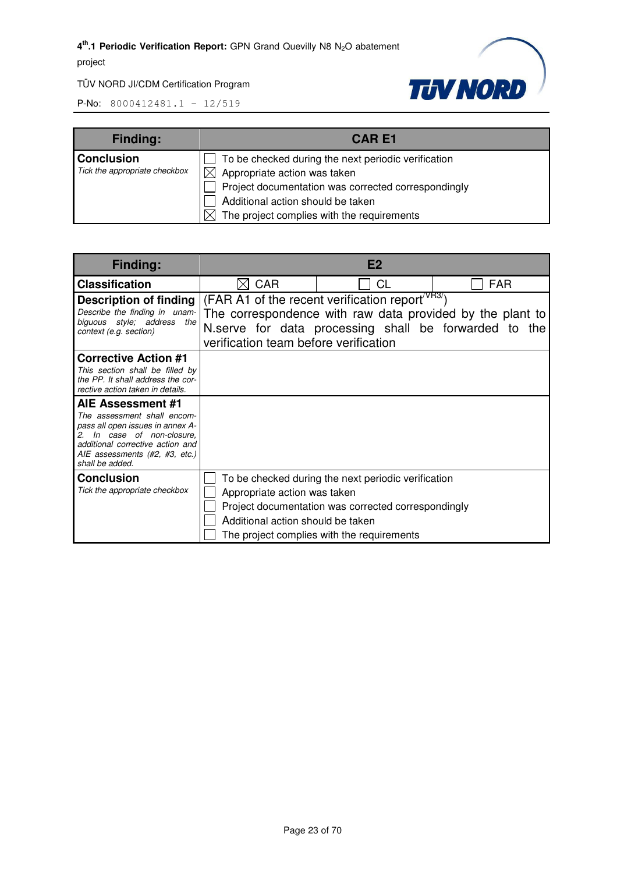

TÜV NORD JI/CDM Certification Program

| <b>Finding:</b>               | <b>CARE1</b>                                        |
|-------------------------------|-----------------------------------------------------|
| <b>Conclusion</b>             | To be checked during the next periodic verification |
| Tick the appropriate checkbox | $\boxtimes$ Appropriate action was taken            |
|                               | Project documentation was corrected correspondingly |
|                               | Additional action should be taken                   |
|                               | The project complies with the requirements          |

| Finding:                                                                                                                                                                                                    | E <sub>2</sub>                                                    |                                                                                                                                                                                    |            |
|-------------------------------------------------------------------------------------------------------------------------------------------------------------------------------------------------------------|-------------------------------------------------------------------|------------------------------------------------------------------------------------------------------------------------------------------------------------------------------------|------------|
| <b>Classification</b>                                                                                                                                                                                       | <b>CAR</b>                                                        | СL                                                                                                                                                                                 | <b>FAR</b> |
| Description of finding<br>Describe the finding in unam-<br>biguous style; address the<br>context (e.g. section)                                                                                             | verification team before verification                             | (FAR A1 of the recent verification report <sup>/VR3/</sup> )<br>The correspondence with raw data provided by the plant to<br>N.serve for data processing shall be forwarded to the |            |
| <b>Corrective Action #1</b><br>This section shall be filled by<br>the PP. It shall address the cor-<br>rective action taken in details.                                                                     |                                                                   |                                                                                                                                                                                    |            |
| AIE Assessment #1<br>The assessment shall encom-<br>pass all open issues in annex A-<br>2. In case of non-closure.<br>additional corrective action and<br>AIE assessments (#2, #3, etc.)<br>shall be added. |                                                                   |                                                                                                                                                                                    |            |
| <b>Conclusion</b><br>Tick the appropriate checkbox                                                                                                                                                          | Appropriate action was taken<br>Additional action should be taken | To be checked during the next periodic verification<br>Project documentation was corrected correspondingly<br>The project complies with the requirements                           |            |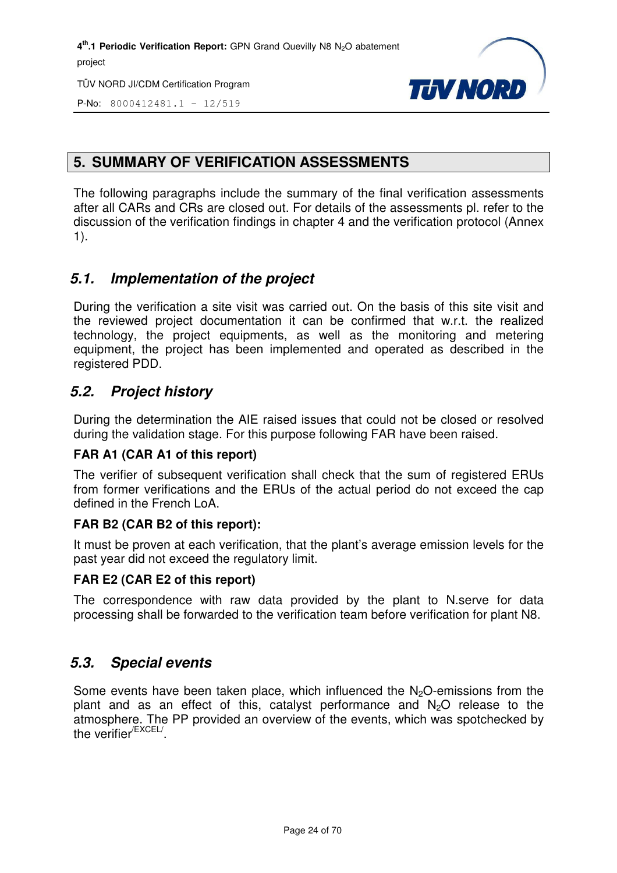TÜV NORD JI/CDM Certification Program



P-No: 8000412481.1 – 12/519

#### **5. SUMMARY OF VERIFICATION ASSESSMENTS**

The following paragraphs include the summary of the final verification assessments after all CARs and CRs are closed out. For details of the assessments pl. refer to the discussion of the verification findings in chapter 4 and the verification protocol (Annex 1).

#### *5.1. Implementation of the project*

During the verification a site visit was carried out. On the basis of this site visit and the reviewed project documentation it can be confirmed that w.r.t. the realized technology, the project equipments, as well as the monitoring and metering equipment, the project has been implemented and operated as described in the registered PDD.

#### *5.2. Project history*

During the determination the AIE raised issues that could not be closed or resolved during the validation stage. For this purpose following FAR have been raised.

#### **FAR A1 (CAR A1 of this report)**

The verifier of subsequent verification shall check that the sum of registered ERUs from former verifications and the ERUs of the actual period do not exceed the cap defined in the French LoA.

#### **FAR B2 (CAR B2 of this report):**

It must be proven at each verification, that the plant's average emission levels for the past year did not exceed the regulatory limit.

#### **FAR E2 (CAR E2 of this report)**

The correspondence with raw data provided by the plant to N.serve for data processing shall be forwarded to the verification team before verification for plant N8.

#### *5.3. Special events*

Some events have been taken place, which influenced the N<sub>2</sub>O-emissions from the plant and as an effect of this, catalyst performance and  $N_2O$  release to the atmosphere. The PP provided an overview of the events, which was spotchecked by the verifier<sup>/EXCEL/</sup>.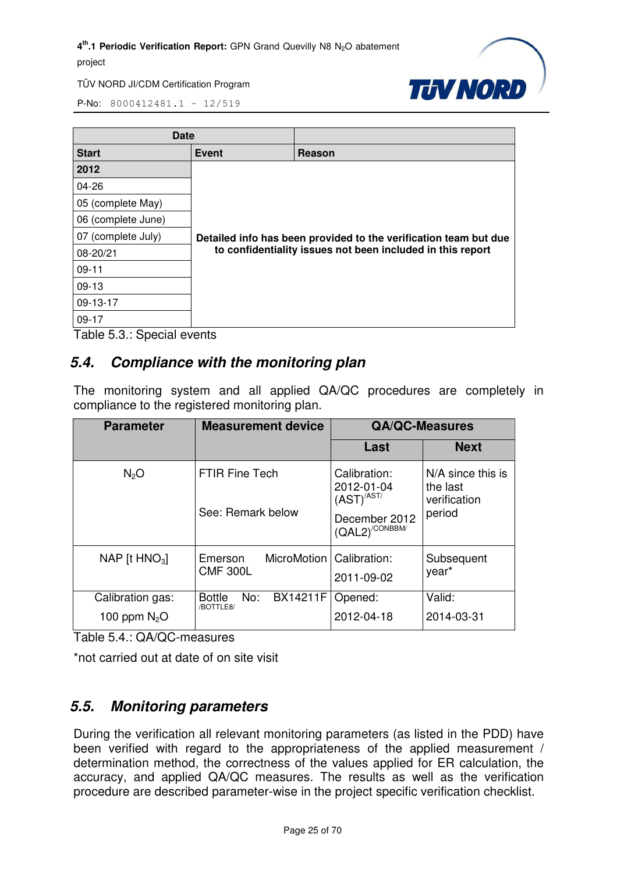

P-No: 8000412481.1 – 12/519

| <b>Date</b>            |                                                                                                                                |        |  |
|------------------------|--------------------------------------------------------------------------------------------------------------------------------|--------|--|
| <b>Start</b>           | <b>Event</b>                                                                                                                   | Reason |  |
| 2012                   |                                                                                                                                |        |  |
| 04-26                  |                                                                                                                                |        |  |
| 05 (complete May)      |                                                                                                                                |        |  |
| 06 (complete June)     |                                                                                                                                |        |  |
| 07 (complete July)     | Detailed info has been provided to the verification team but due<br>to confidentiality issues not been included in this report |        |  |
| 08-20/21               |                                                                                                                                |        |  |
| $09-11$                |                                                                                                                                |        |  |
| $09-13$                |                                                                                                                                |        |  |
| 09-13-17               |                                                                                                                                |        |  |
| $09-17$<br>. .<br>-- - |                                                                                                                                |        |  |

Table 5.3.: Special events

#### *5.4. Compliance with the monitoring plan*

The monitoring system and all applied QA/QC procedures are completely in compliance to the registered monitoring plan.

| <b>Parameter</b>                   | <b>Measurement device</b>                                |                                                                                            | <b>QA/QC-Measures</b>                                   |
|------------------------------------|----------------------------------------------------------|--------------------------------------------------------------------------------------------|---------------------------------------------------------|
|                                    |                                                          | Last                                                                                       | <b>Next</b>                                             |
| N <sub>2</sub> O                   | <b>FTIR Fine Tech</b><br>See: Remark below               | Calibration:<br>2012-01-04<br>$(AST)^{/AST/}$<br>December 2012<br>$(QAL2)^{\text{CONBBM}}$ | N/A since this is<br>the last<br>verification<br>period |
| NAP [t $HNO3$ ]                    | MicroMotion   Calibration:<br>Emerson<br><b>CMF 300L</b> | 2011-09-02                                                                                 | Subsequent<br>year <sup>*</sup>                         |
| Calibration gas:<br>100 ppm $N_2O$ | <b>BX14211F</b><br>No:<br><b>Bottle</b><br>/BOTTLE8/     | Opened:<br>2012-04-18                                                                      | Valid:<br>2014-03-31                                    |

Table 5.4.: QA/QC-measures

\*not carried out at date of on site visit

#### *5.5. Monitoring parameters*

During the verification all relevant monitoring parameters (as listed in the PDD) have been verified with regard to the appropriateness of the applied measurement / determination method, the correctness of the values applied for ER calculation, the accuracy, and applied QA/QC measures. The results as well as the verification procedure are described parameter-wise in the project specific verification checklist.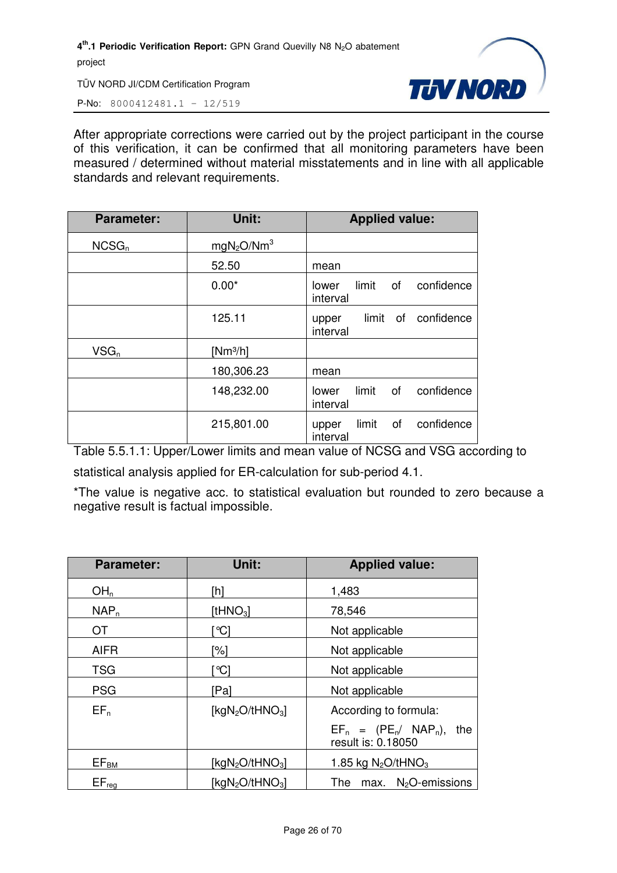TÜV NORD JI/CDM Certification Program



P-No: 8000412481.1 – 12/519

After appropriate corrections were carried out by the project participant in the course of this verification, it can be confirmed that all monitoring parameters have been measured / determined without material misstatements and in line with all applicable standards and relevant requirements.

| <b>Parameter:</b> | Unit:                              | <b>Applied value:</b>                          |
|-------------------|------------------------------------|------------------------------------------------|
| NCSG <sub>n</sub> | mgN <sub>2</sub> O/Nm <sup>3</sup> |                                                |
|                   | 52.50                              | mean                                           |
|                   | $0.00*$                            | limit<br>of<br>confidence<br>lower<br>interval |
|                   | 125.11                             | confidence<br>limit<br>of<br>upper<br>interval |
| $VSG_n$           | $[Nm^3/h]$                         |                                                |
|                   | 180,306.23                         | mean                                           |
|                   | 148,232.00                         | limit<br>confidence<br>of<br>lower<br>interval |
|                   | 215,801.00                         | confidence<br>limit<br>of<br>upper<br>interval |

Table 5.5.1.1: Upper/Lower limits and mean value of NCSG and VSG according to

statistical analysis applied for ER-calculation for sub-period 4.1.

\*The value is negative acc. to statistical evaluation but rounded to zero because a negative result is factual impossible.

| <b>Parameter:</b> | Unit:                                   | <b>Applied value:</b>                                 |
|-------------------|-----------------------------------------|-------------------------------------------------------|
| OH <sub>n</sub>   | [h]                                     | 1,483                                                 |
| NAP <sub>n</sub>  | [t $HNO3$ ]                             | 78,546                                                |
| <b>OT</b>         | ଂଠା                                     | Not applicable                                        |
| <b>AIFR</b>       | '%]                                     | Not applicable                                        |
| <b>TSG</b>        | `℃]                                     | Not applicable                                        |
| <b>PSG</b>        | [Pa]                                    | Not applicable                                        |
| $EF_n$            | [ $kgN2O/tHNO3$ ]                       | According to formula:                                 |
|                   |                                         | $EF_n = (PE_n / NAP_n),$<br>the<br>result is: 0.18050 |
| $EF_{BM}$         | [kg $N_2O$ /tHNO <sub>3</sub> ]         | 1.85 kg $N_2$ O/tHNO <sub>3</sub>                     |
| $EF_{reg}$        | [kgN <sub>2</sub> O/tHNO <sub>3</sub> ] | $max.$ N <sub>2</sub> O-emissions<br>The              |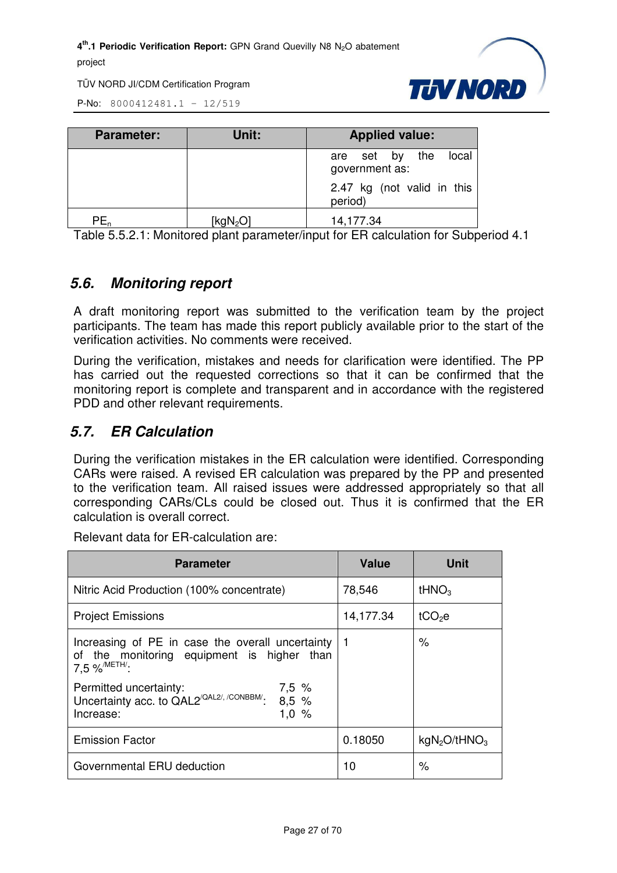TÜV NORD JI/CDM Certification Program



P-No: 8000412481.1 – 12/519

| <b>Parameter:</b> | Unit:       | <b>Applied value:</b>                        |
|-------------------|-------------|----------------------------------------------|
|                   |             | the<br>local<br>are set by<br>government as: |
|                   |             | 2.47 kg (not valid in this<br>period)        |
| PE,               | [ $kgN2O$ ] | 14,177.34                                    |

Table 5.5.2.1: Monitored plant parameter/input for ER calculation for Subperiod 4.1

#### *5.6. Monitoring report*

A draft monitoring report was submitted to the verification team by the project participants. The team has made this report publicly available prior to the start of the verification activities. No comments were received.

During the verification, mistakes and needs for clarification were identified. The PP has carried out the requested corrections so that it can be confirmed that the monitoring report is complete and transparent and in accordance with the registered PDD and other relevant requirements.

#### *5.7. ER Calculation*

During the verification mistakes in the ER calculation were identified. Corresponding CARs were raised. A revised ER calculation was prepared by the PP and presented to the verification team. All raised issues were addressed appropriately so that all corresponding CARs/CLs could be closed out. Thus it is confirmed that the ER calculation is overall correct.

Relevant data for ER-calculation are:

| <b>Parameter</b>                                                                                                      | Value          | Unit                                 |
|-----------------------------------------------------------------------------------------------------------------------|----------------|--------------------------------------|
| Nitric Acid Production (100% concentrate)                                                                             | 78,546         | tHNO <sub>3</sub>                    |
| <b>Project Emissions</b>                                                                                              | 14,177.34      | tCO <sub>2</sub> e                   |
| Increasing of PE in case the overall uncertainty<br>of the monitoring equipment is higher than<br>7.5 % METH':        | $\overline{1}$ | ℅                                    |
| Permitted uncertainty:<br>7,5%<br>Uncertainty acc. to QAL2 <sup>/QAL2/, /CONBBM/</sup> .<br>8,5%<br>1,0%<br>Increase: |                |                                      |
| <b>Emission Factor</b>                                                                                                | 0.18050        | kgN <sub>2</sub> O/tHNO <sub>3</sub> |
| Governmental ERU deduction                                                                                            | 10             | %                                    |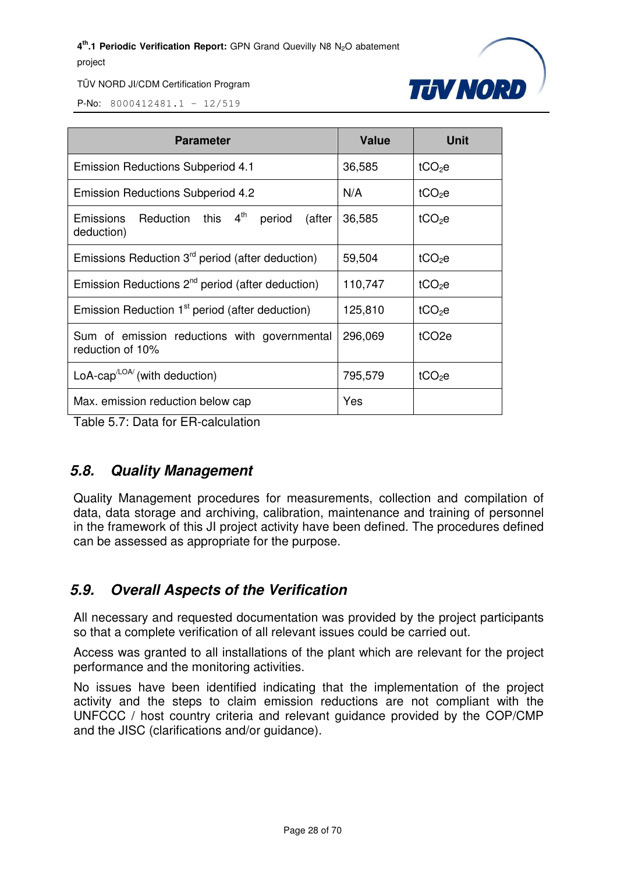

TÜV NORD JI/CDM Certification Program

P-No: 8000412481.1 – 12/519

| <b>Parameter</b>                                                              | <b>Value</b> | <b>Unit</b>        |
|-------------------------------------------------------------------------------|--------------|--------------------|
| <b>Emission Reductions Subperiod 4.1</b>                                      | 36,585       | tCO <sub>2</sub> e |
| <b>Emission Reductions Subperiod 4.2</b>                                      | N/A          | $tCO2$ e           |
| Reduction this 4 <sup>th</sup><br>period<br>Emissions<br>(after<br>deduction) | 36,585       | tCO <sub>2</sub> e |
| Emissions Reduction 3 <sup>rd</sup> period (after deduction)                  | 59,504       | tCO <sub>2</sub> e |
| Emission Reductions $2^{nd}$ period (after deduction)                         | 110,747      | $tCO2$ e           |
| Emission Reduction 1 <sup>st</sup> period (after deduction)                   | 125,810      | tCO <sub>2</sub> e |
| Sum of emission reductions with governmental<br>reduction of 10%              | 296,069      | tCO <sub>2e</sub>  |
| LoA-cap <sup><math>LOA</math></sup> (with deduction)                          | 795,579      | tCO <sub>2</sub> e |
| Max. emission reduction below cap                                             | Yes          |                    |

Table 5.7: Data for ER-calculation

#### *5.8. Quality Management*

Quality Management procedures for measurements, collection and compilation of data, data storage and archiving, calibration, maintenance and training of personnel in the framework of this JI project activity have been defined. The procedures defined can be assessed as appropriate for the purpose.

#### *5.9. Overall Aspects of the Verification*

All necessary and requested documentation was provided by the project participants so that a complete verification of all relevant issues could be carried out.

Access was granted to all installations of the plant which are relevant for the project performance and the monitoring activities.

No issues have been identified indicating that the implementation of the project activity and the steps to claim emission reductions are not compliant with the UNFCCC / host country criteria and relevant guidance provided by the COP/CMP and the JISC (clarifications and/or guidance).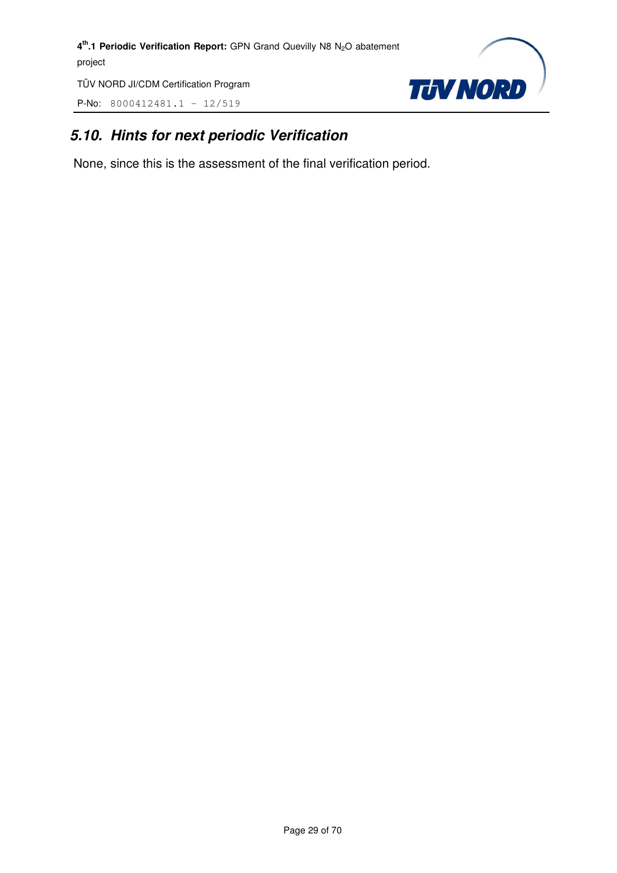TÜV NORD JI/CDM Certification Program

P-No: 8000412481.1 – 12/519



#### *5.10. Hints for next periodic Verification*

None, since this is the assessment of the final verification period.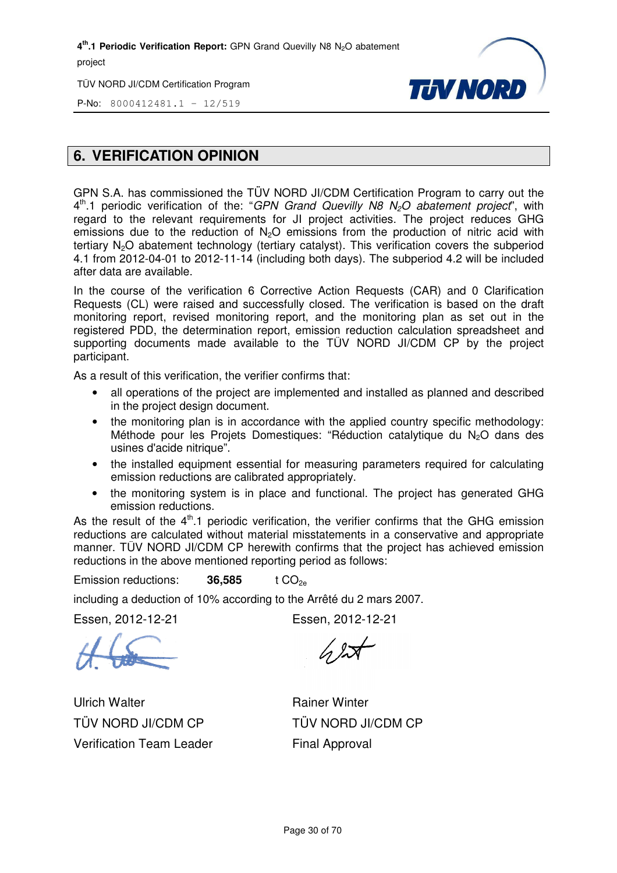TÜV NORD JI/CDM Certification Program



P-No: 8000412481.1 – 12/519

#### **6. VERIFICATION OPINION**

GPN S.A. has commissioned the TÜV NORD JI/CDM Certification P Program to carry out the GPN S.A. has commissioned the TUV NORD JI/CDM Certification Program to carry out the<br>4<sup>th</sup>.1 periodic verification of the: "*GPN Grand Quevilly N8 N<sub>2</sub>O abatement project*", with regard to the relevant requirements for JI project activities. The project reduces GHG emissions due to the reduction of  $N_2O$  emissions from the production of nitric acid with tertiary N<sub>2</sub>O abatement technology (tertiary catalyst). This verification covers the subperiod 4.1 from 2012-04-01 to 2012-11-14 (including both days). The subperiod 4.2 will be included after data are available. 4.1 from 2012-04-01 to 2012-11-14 (including both days). The subperiod 4.2 will be included<br>after data are available.<br>In the course of the verification 6 Corrective Action Requests (CAR) and 0 Clarification

Requests (CL) were raised and successfully closed. The verification is based on the draft Requests (CL) were raised and successfully closed. The verification is based on the draft<br>monitoring report, revised monitoring report, and the monitoring plan as set out in the registered PDD, the determination report, emission reduction calculation spreadsheet and supporting documents made available to the TÜV NORD JI/CDM CP by the project participant.

As a result of this verification, the verifier confirms that:

- all operations of the project are implemented and installed as planned and described in the project design document.
- the monitoring plan is in accordance with the applied country specific methodology: Méthode pour les Projets Domestiques: "Réduction catalytique du N <sup>2</sup>O dans des usines d'acide nitrique".
- the installed equipment essential for measuring parameters required for calculating emission reductions are calibrated appropriately.
- the monitoring system is in place and functional. The project has generated GHG emission reductions.

As the result of the  $4<sup>th</sup>$ .1 periodic verification, the verifier confirms that the GHG emission reductions are calculated without material misstatements in a conservative and appropriate manner. TUV NORD JI/CDM CP herewith confirms that the project has achieved emission reductions in the above mentioned reporting period as follows:

Emission reductions: **36,585 585** t CO2e

including a deduction of 10% according to the Arrêté du 2 mars 2007.

Essen, 2012-12-21

Essen, 2012-12-21

Ulrich Walter TÜV NORD JI/CDM CP Verification Team Leader

 $62$ 

Rainer Winter TÜV NORD JI/CDM CP Final Approval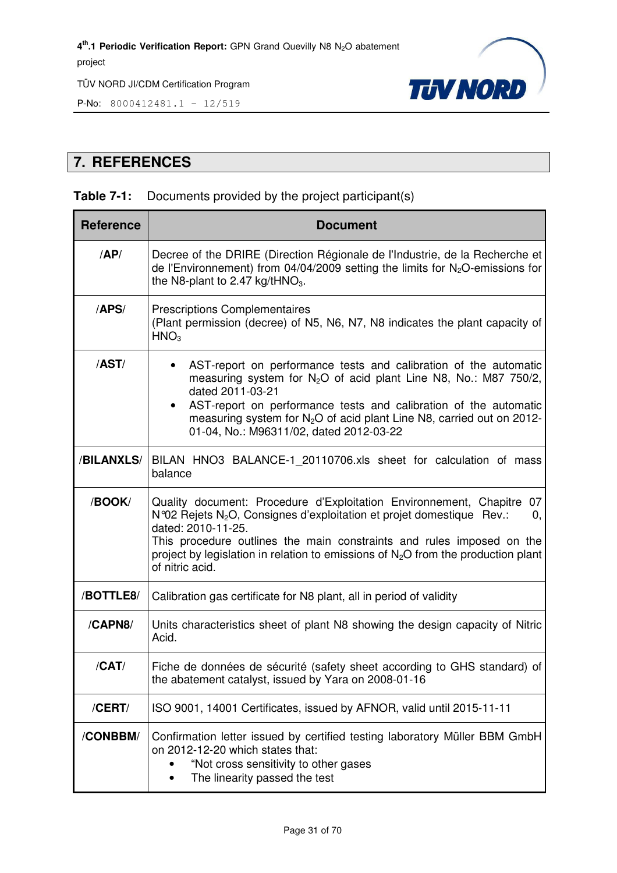

P-No: 8000412481.1 – 12/519

#### **7. REFERENCES**

#### **Table 7-1:** Documents provided by the project participant(s)

| <b>Reference</b> | <b>Document</b>                                                                                                                                                                                                                                                                                                                                                              |  |  |  |
|------------------|------------------------------------------------------------------------------------------------------------------------------------------------------------------------------------------------------------------------------------------------------------------------------------------------------------------------------------------------------------------------------|--|--|--|
| AP/              | Decree of the DRIRE (Direction Régionale de l'Industrie, de la Recherche et<br>de l'Environnement) from 04/04/2009 setting the limits for $N_2O$ -emissions for<br>the N8-plant to 2.47 kg/tHNO <sub>3</sub> .                                                                                                                                                               |  |  |  |
| /APS/            | <b>Prescriptions Complementaires</b><br>(Plant permission (decree) of N5, N6, N7, N8 indicates the plant capacity of<br>HNO <sub>3</sub>                                                                                                                                                                                                                                     |  |  |  |
| /AST/            | AST-report on performance tests and calibration of the automatic<br>measuring system for $N_2O$ of acid plant Line N8, No.: M87 750/2,<br>dated 2011-03-21<br>AST-report on performance tests and calibration of the automatic<br>measuring system for $N_2O$ of acid plant Line N8, carried out on 2012-<br>01-04, No.: M96311/02, dated 2012-03-22                         |  |  |  |
| /BILANXLS/       | BILAN HNO3 BALANCE-1_20110706.xls sheet for calculation of mass<br>balance                                                                                                                                                                                                                                                                                                   |  |  |  |
| /BOOK/           | Quality document: Procedure d'Exploitation Environnement, Chapitre<br>07<br>N°02 Rejets N <sub>2</sub> O, Consignes d'exploitation et projet domestique Rev.:<br>0,<br>dated: 2010-11-25.<br>This procedure outlines the main constraints and rules imposed on the<br>project by legislation in relation to emissions of $N_2O$ from the production plant<br>of nitric acid. |  |  |  |
| /BOTTLE8/        | Calibration gas certificate for N8 plant, all in period of validity                                                                                                                                                                                                                                                                                                          |  |  |  |
| /CAPN8/          | Units characteristics sheet of plant N8 showing the design capacity of Nitric<br>Acid.                                                                                                                                                                                                                                                                                       |  |  |  |
| /CAT/            | Fiche de données de sécurité (safety sheet according to GHS standard) of<br>the abatement catalyst, issued by Yara on 2008-01-16                                                                                                                                                                                                                                             |  |  |  |
| /CERT/           | ISO 9001, 14001 Certificates, issued by AFNOR, valid until 2015-11-11                                                                                                                                                                                                                                                                                                        |  |  |  |
| /CONBBM/         | Confirmation letter issued by certified testing laboratory Müller BBM GmbH<br>on 2012-12-20 which states that:<br>"Not cross sensitivity to other gases<br>The linearity passed the test                                                                                                                                                                                     |  |  |  |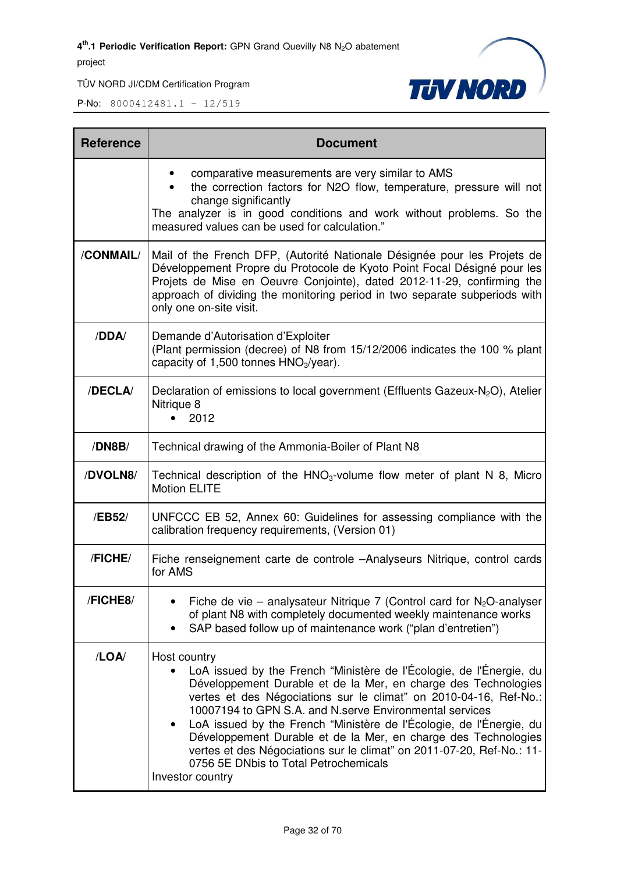TÜV NORD JI/CDM Certification Program



| <b>Reference</b> | <b>Document</b>                                                                                                                                                                                                                                                                                                                                                                                                                                                                                                                                                      |  |  |  |  |
|------------------|----------------------------------------------------------------------------------------------------------------------------------------------------------------------------------------------------------------------------------------------------------------------------------------------------------------------------------------------------------------------------------------------------------------------------------------------------------------------------------------------------------------------------------------------------------------------|--|--|--|--|
|                  | comparative measurements are very similar to AMS<br>the correction factors for N2O flow, temperature, pressure will not<br>change significantly<br>The analyzer is in good conditions and work without problems. So the<br>measured values can be used for calculation."                                                                                                                                                                                                                                                                                             |  |  |  |  |
| /CONMAIL/        | Mail of the French DFP, (Autorité Nationale Désignée pour les Projets de<br>Développement Propre du Protocole de Kyoto Point Focal Désigné pour les<br>Projets de Mise en Oeuvre Conjointe), dated 2012-11-29, confirming the<br>approach of dividing the monitoring period in two separate subperiods with<br>only one on-site visit.                                                                                                                                                                                                                               |  |  |  |  |
| /DDA/            | Demande d'Autorisation d'Exploiter<br>(Plant permission (decree) of N8 from 15/12/2006 indicates the 100 % plant<br>capacity of 1,500 tonnes $HNO3/year$ ).                                                                                                                                                                                                                                                                                                                                                                                                          |  |  |  |  |
| /DECLA/          | Declaration of emissions to local government (Effluents Gazeux-N <sub>2</sub> O), Atelier<br>Nitrique 8<br>2012                                                                                                                                                                                                                                                                                                                                                                                                                                                      |  |  |  |  |
| /DN8B/           | Technical drawing of the Ammonia-Boiler of Plant N8                                                                                                                                                                                                                                                                                                                                                                                                                                                                                                                  |  |  |  |  |
| /DVOLN8/         | Technical description of the $HNO3$ -volume flow meter of plant N 8, Micro<br><b>Motion ELITE</b>                                                                                                                                                                                                                                                                                                                                                                                                                                                                    |  |  |  |  |
| /EB52/           | UNFCCC EB 52, Annex 60: Guidelines for assessing compliance with the<br>calibration frequency requirements, (Version 01)                                                                                                                                                                                                                                                                                                                                                                                                                                             |  |  |  |  |
| /FICHE/          | Fiche renseignement carte de controle -Analyseurs Nitrique, control cards<br>for AMS                                                                                                                                                                                                                                                                                                                                                                                                                                                                                 |  |  |  |  |
| /FICHE8/         | Fiche de vie – analysateur Nitrique 7 (Control card for $N_2O$ -analyser<br>of plant N8 with completely documented weekly maintenance works<br>SAP based follow up of maintenance work ("plan d'entretien")                                                                                                                                                                                                                                                                                                                                                          |  |  |  |  |
| /LOA/            | Host country<br>LoA issued by the French "Ministère de l'Écologie, de l'Énergie, du<br>Développement Durable et de la Mer, en charge des Technologies<br>vertes et des Négociations sur le climat" on 2010-04-16, Ref-No.:<br>10007194 to GPN S.A. and N.serve Environmental services<br>LoA issued by the French "Ministère de l'Écologie, de l'Énergie, du<br>Développement Durable et de la Mer, en charge des Technologies<br>vertes et des Négociations sur le climat" on 2011-07-20, Ref-No.: 11-<br>0756 5E DNbis to Total Petrochemicals<br>Investor country |  |  |  |  |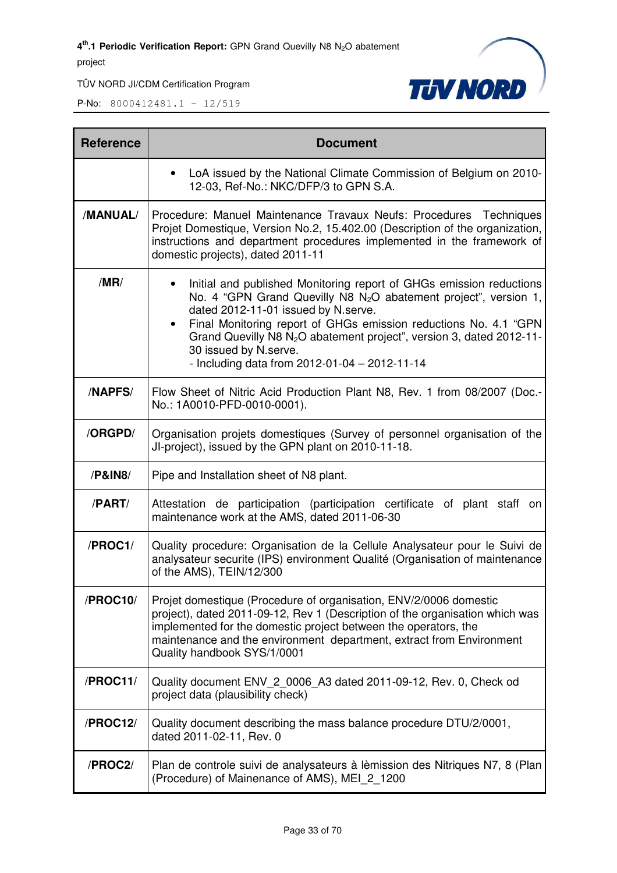

| <b>Reference</b> | <b>Document</b>                                                                                                                                                                                                                                                                                                                                                                                                                                     |  |  |  |
|------------------|-----------------------------------------------------------------------------------------------------------------------------------------------------------------------------------------------------------------------------------------------------------------------------------------------------------------------------------------------------------------------------------------------------------------------------------------------------|--|--|--|
|                  | LoA issued by the National Climate Commission of Belgium on 2010-<br>$\bullet$<br>12-03, Ref-No.: NKC/DFP/3 to GPN S.A.                                                                                                                                                                                                                                                                                                                             |  |  |  |
| /MANUAL/         | Procedure: Manuel Maintenance Travaux Neufs: Procedures Techniques<br>Projet Domestique, Version No.2, 15.402.00 (Description of the organization,<br>instructions and department procedures implemented in the framework of<br>domestic projects), dated 2011-11                                                                                                                                                                                   |  |  |  |
| /MR/             | Initial and published Monitoring report of GHGs emission reductions<br>No. 4 "GPN Grand Quevilly N8 N <sub>2</sub> O abatement project", version 1,<br>dated 2012-11-01 issued by N.serve.<br>Final Monitoring report of GHGs emission reductions No. 4.1 "GPN<br>$\bullet$<br>Grand Quevilly N8 N <sub>2</sub> O abatement project", version 3, dated 2012-11-<br>30 issued by N.serve.<br>- Including data from $2012 - 01 - 04 - 2012 - 11 - 14$ |  |  |  |
| <b>/NAPFS/</b>   | Flow Sheet of Nitric Acid Production Plant N8, Rev. 1 from 08/2007 (Doc.-<br>No.: 1A0010-PFD-0010-0001).                                                                                                                                                                                                                                                                                                                                            |  |  |  |
| /ORGPD/          | Organisation projets domestiques (Survey of personnel organisation of the<br>JI-project), issued by the GPN plant on 2010-11-18.                                                                                                                                                                                                                                                                                                                    |  |  |  |
| /P&IN8           | Pipe and Installation sheet of N8 plant.                                                                                                                                                                                                                                                                                                                                                                                                            |  |  |  |
| /PART/           | Attestation de participation (participation certificate of plant staff on<br>maintenance work at the AMS, dated 2011-06-30                                                                                                                                                                                                                                                                                                                          |  |  |  |
| /PROC1/          | Quality procedure: Organisation de la Cellule Analysateur pour le Suivi de<br>analysateur securite (IPS) environment Qualité (Organisation of maintenance<br>of the AMS), TEIN/12/300                                                                                                                                                                                                                                                               |  |  |  |
| /PROC10/         | Projet domestique (Procedure of organisation, ENV/2/0006 domestic<br>project), dated 2011-09-12, Rev 1 (Description of the organisation which was<br>implemented for the domestic project between the operators, the<br>maintenance and the environment department, extract from Environment<br>Quality handbook SYS/1/0001                                                                                                                         |  |  |  |
| /PROC11/         | Quality document ENV_2_0006_A3 dated 2011-09-12, Rev. 0, Check od<br>project data (plausibility check)                                                                                                                                                                                                                                                                                                                                              |  |  |  |
| /PROC12/         | Quality document describing the mass balance procedure DTU/2/0001,<br>dated 2011-02-11, Rev. 0                                                                                                                                                                                                                                                                                                                                                      |  |  |  |
| /PROC2/          | Plan de controle suivi de analysateurs à lèmission des Nitriques N7, 8 (Plan<br>(Procedure) of Mainenance of AMS), MEI 2 1200                                                                                                                                                                                                                                                                                                                       |  |  |  |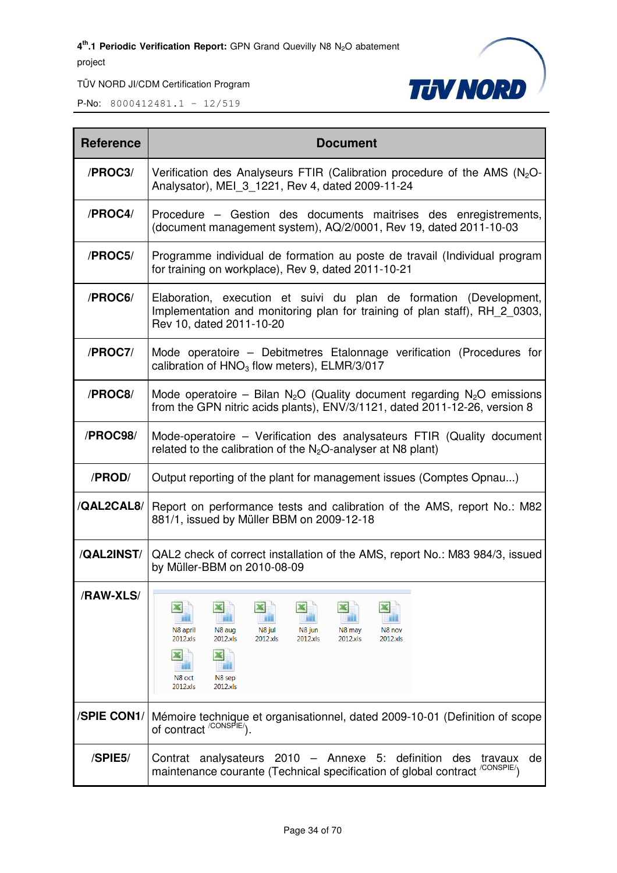TÜV NORD JI/CDM Certification Program



| <b>Reference</b> | <b>Document</b>                                                                                                                                                                                    |  |  |  |
|------------------|----------------------------------------------------------------------------------------------------------------------------------------------------------------------------------------------------|--|--|--|
| /PROC3/          | Verification des Analyseurs FTIR (Calibration procedure of the AMS $(N_2O - N_1)$<br>Analysator), MEI 3 1221, Rev 4, dated 2009-11-24                                                              |  |  |  |
| /PROC4/          | Procedure – Gestion des documents maitrises des enregistrements,<br>(document management system), AQ/2/0001, Rev 19, dated 2011-10-03                                                              |  |  |  |
| /PROC5/          | Programme individual de formation au poste de travail (Individual program<br>for training on workplace), Rev 9, dated 2011-10-21                                                                   |  |  |  |
| /PROC6/          | Elaboration, execution et suivi du plan de formation (Development,<br>Implementation and monitoring plan for training of plan staff), RH 2 0303,<br>Rev 10, dated 2011-10-20                       |  |  |  |
| /PROC7/          | Mode operatoire – Debitmetres Etalonnage verification (Procedures for<br>calibration of $HNO3$ flow meters), ELMR/3/017                                                                            |  |  |  |
| /PROC8/          | Mode operatoire – Bilan N <sub>2</sub> O (Quality document regarding N <sub>2</sub> O emissions<br>from the GPN nitric acids plants), ENV/3/1121, dated 2011-12-26, version 8                      |  |  |  |
| /PROC98/         | Mode-operatoire – Verification des analysateurs FTIR (Quality document<br>related to the calibration of the $N_2O$ -analyser at N8 plant)                                                          |  |  |  |
| /PROD/           | Output reporting of the plant for management issues (Comptes Opnau)                                                                                                                                |  |  |  |
| /QAL2CAL8/       | Report on performance tests and calibration of the AMS, report No.: M82<br>881/1, issued by Müller BBM on 2009-12-18                                                                               |  |  |  |
| /QAL2INST/       | QAL2 check of correct installation of the AMS, report No.: M83 984/3, issued<br>by Müller-BBM on 2010-08-09                                                                                        |  |  |  |
| /RAW-XLS/        | N8 aug<br>N8 jul<br>N8 jun<br>N8 nov<br>N8 april<br>N8 may<br>2012.xls<br>2012.xls<br>2012.xls<br>2012.xls<br>2012.xls<br>2012.xls<br>$\mathbf x$<br>ш<br>N8 oct<br>N8 sep<br>2012.xls<br>2012.xls |  |  |  |
| /SPIE CON1/      | Mémoire technique et organisationnel, dated 2009-10-01 (Definition of scope<br>of contract <sup>/CONSPIE/</sup> ).                                                                                 |  |  |  |
| /SPIE5/          | Contrat analysateurs 2010 - Annexe 5: definition des<br>travaux<br>de<br>maintenance courante (Technical specification of global contract <sup>/CONSPIE/</sup> )                                   |  |  |  |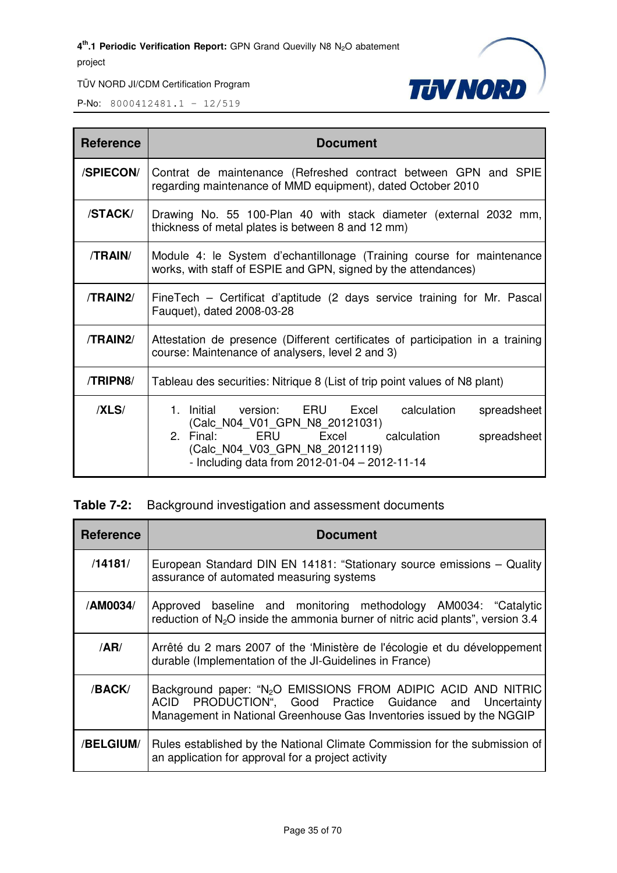



P-No: 8000412481.1 – 12/519

| <b>Reference</b> | <b>Document</b>                                                                                                                                                                                                                    |  |  |  |  |
|------------------|------------------------------------------------------------------------------------------------------------------------------------------------------------------------------------------------------------------------------------|--|--|--|--|
| /SPIECON/        | Contrat de maintenance (Refreshed contract between GPN and SPIE<br>regarding maintenance of MMD equipment), dated October 2010                                                                                                     |  |  |  |  |
| /STACK/          | Drawing No. 55 100-Plan 40 with stack diameter (external 2032 mm,<br>thickness of metal plates is between 8 and 12 mm)                                                                                                             |  |  |  |  |
| /TRAIN/          | Module 4: le System d'echantillonage (Training course for maintenance<br>works, with staff of ESPIE and GPN, signed by the attendances)                                                                                            |  |  |  |  |
| /TRAIN2/         | FineTech – Certificat d'aptitude (2 days service training for Mr. Pascal<br>Fauquet), dated 2008-03-28                                                                                                                             |  |  |  |  |
| /TRAIN2/         | Attestation de presence (Different certificates of participation in a training<br>course: Maintenance of analysers, level 2 and 3)                                                                                                 |  |  |  |  |
| /TRIPN8/         | Tableau des securities: Nitrique 8 (List of trip point values of N8 plant)                                                                                                                                                         |  |  |  |  |
| /XLS/            | 1. Initial version: ERU Excel<br>calculation<br>spreadsheet<br>(Calc_N04_V01_GPN_N8_20121031)<br>2. Final: ERU Excel calculation<br>spreadsheet<br>(Calc_N04_V03_GPN_N8_20121119)<br>- Including data from 2012-01-04 - 2012-11-14 |  |  |  |  |

#### **Table 7-2:** Background investigation and assessment documents

| <b>Reference</b> | <b>Document</b>                                                                                                                                                                                                   |  |  |  |
|------------------|-------------------------------------------------------------------------------------------------------------------------------------------------------------------------------------------------------------------|--|--|--|
| /14181/          | European Standard DIN EN 14181: "Stationary source emissions - Quality<br>assurance of automated measuring systems                                                                                                |  |  |  |
| /AM0034/         | Approved baseline and monitoring methodology AM0034: "Catalytic<br>reduction of N <sub>2</sub> O inside the ammonia burner of nitric acid plants", version 3.4                                                    |  |  |  |
| /AR/             | Arrêté du 2 mars 2007 of the 'Ministère de l'écologie et du développement<br>durable (Implementation of the JI-Guidelines in France)                                                                              |  |  |  |
| /BACK/           | Background paper: "N <sub>2</sub> O EMISSIONS FROM ADIPIC ACID AND NITRIC<br>PRODUCTION", Good Practice Guidance and Uncertainty<br>ACID<br>Management in National Greenhouse Gas Inventories issued by the NGGIP |  |  |  |
| <b>/BELGIUM/</b> | Rules established by the National Climate Commission for the submission of<br>an application for approval for a project activity                                                                                  |  |  |  |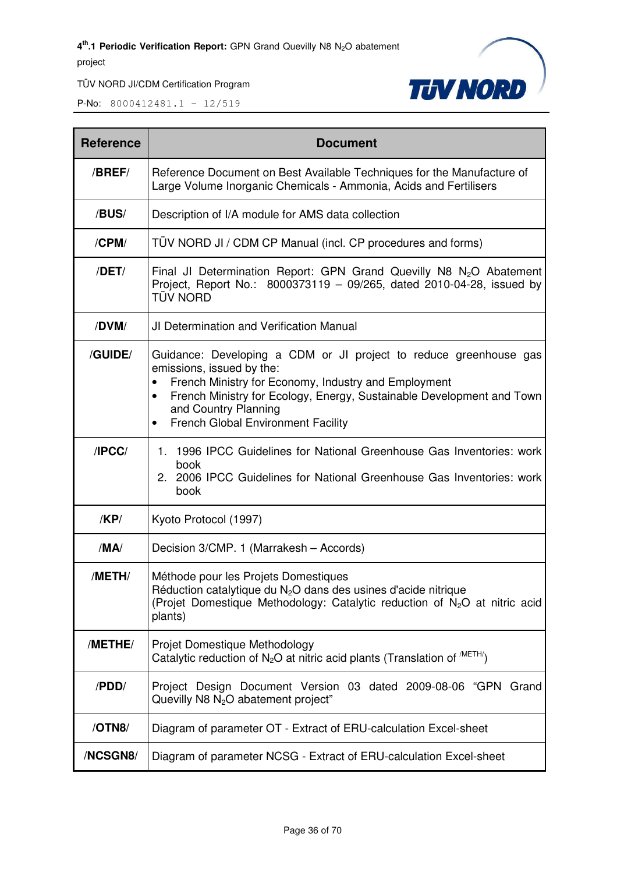

| <b>Reference</b> | <b>Document</b>                                                                                                                                                                                                                                                                                                                |  |  |  |  |
|------------------|--------------------------------------------------------------------------------------------------------------------------------------------------------------------------------------------------------------------------------------------------------------------------------------------------------------------------------|--|--|--|--|
| /BREF/           | Reference Document on Best Available Techniques for the Manufacture of<br>Large Volume Inorganic Chemicals - Ammonia, Acids and Fertilisers                                                                                                                                                                                    |  |  |  |  |
| /BUS/            | Description of I/A module for AMS data collection                                                                                                                                                                                                                                                                              |  |  |  |  |
| /CPM/            | TÜV NORD JI / CDM CP Manual (incl. CP procedures and forms)                                                                                                                                                                                                                                                                    |  |  |  |  |
| /DET/            | Final JI Determination Report: GPN Grand Quevilly N8 $N_2O$ Abatement<br>Project, Report No.: 8000373119 - 09/265, dated 2010-04-28, issued by<br>tüv Nord                                                                                                                                                                     |  |  |  |  |
| /DVM/            | JI Determination and Verification Manual                                                                                                                                                                                                                                                                                       |  |  |  |  |
| /GUIDE/          | Guidance: Developing a CDM or JI project to reduce greenhouse gas<br>emissions, issued by the:<br>French Ministry for Economy, Industry and Employment<br>French Ministry for Ecology, Energy, Sustainable Development and Town<br>$\bullet$<br>and Country Planning<br><b>French Global Environment Facility</b><br>$\bullet$ |  |  |  |  |
| IPCC/            | 1996 IPCC Guidelines for National Greenhouse Gas Inventories: work<br>1.<br>book<br>2. 2006 IPCC Guidelines for National Greenhouse Gas Inventories: work<br>book                                                                                                                                                              |  |  |  |  |
| /KP/             | Kyoto Protocol (1997)                                                                                                                                                                                                                                                                                                          |  |  |  |  |
| /MA/             | Decision 3/CMP. 1 (Marrakesh - Accords)                                                                                                                                                                                                                                                                                        |  |  |  |  |
| /METH/           | Méthode pour les Projets Domestiques<br>Réduction catalytique du $N2O$ dans des usines d'acide nitrique<br>(Projet Domestique Methodology: Catalytic reduction of N <sub>2</sub> O at nitric acid<br>plants)                                                                                                                   |  |  |  |  |
| /METHE/          | Projet Domestique Methodology<br>Catalytic reduction of $N_2O$ at nitric acid plants (Translation of $^{METH}$ )                                                                                                                                                                                                               |  |  |  |  |
| /PDD/            | Project Design Document Version 03 dated 2009-08-06 "GPN Grand<br>Quevilly N8 N <sub>2</sub> O abatement project"                                                                                                                                                                                                              |  |  |  |  |
| /OTN8/           | Diagram of parameter OT - Extract of ERU-calculation Excel-sheet                                                                                                                                                                                                                                                               |  |  |  |  |
| /NCSGN8/         | Diagram of parameter NCSG - Extract of ERU-calculation Excel-sheet                                                                                                                                                                                                                                                             |  |  |  |  |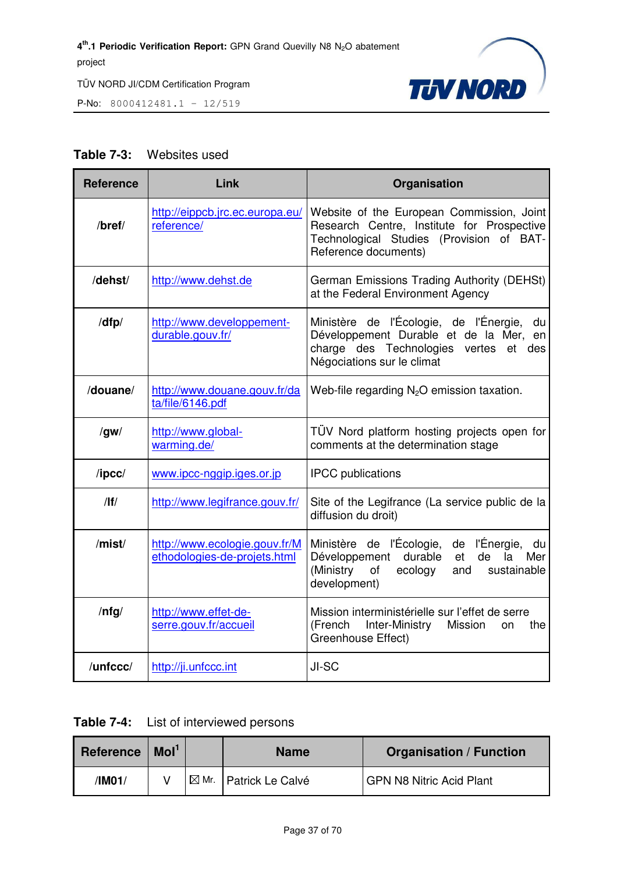

P-No: 8000412481.1 – 12/519

#### **Table 7-3:** Websites used

| <b>Reference</b> | Link                                                          | Organisation                                                                                                                                                          |  |  |
|------------------|---------------------------------------------------------------|-----------------------------------------------------------------------------------------------------------------------------------------------------------------------|--|--|
| /bref/           | http://eippcb.jrc.ec.europa.eu/<br>reference/                 | Website of the European Commission, Joint<br>Research Centre, Institute for Prospective<br>Technological Studies (Provision of BAT-<br>Reference documents)           |  |  |
| /dehst/          | http://www.dehst.de                                           | German Emissions Trading Authority (DEHSt)<br>at the Federal Environment Agency                                                                                       |  |  |
| /dfp/            | http://www.developpement-<br>durable.gouv.fr/                 | Ministère de l'Écologie, de l'Énergie,<br>du<br>Développement Durable et de la Mer, en<br>charge des Technologies<br>vertes<br>et des<br>Négociations sur le climat   |  |  |
| /douane/         | http://www.douane.gouv.fr/da<br>ta/file/6146.pdf              | Web-file regarding $N_2O$ emission taxation.                                                                                                                          |  |  |
| /gw/             | http://www.global-<br>warming.de/                             | TÜV Nord platform hosting projects open for<br>comments at the determination stage                                                                                    |  |  |
| $/$ ipcc $/$     | www.ipcc-nggip.iges.or.jp                                     | <b>IPCC</b> publications                                                                                                                                              |  |  |
| /                | http://www.legifrance.gouv.fr/                                | Site of the Legifrance (La service public de la<br>diffusion du droit)                                                                                                |  |  |
| /mist/           | http://www.ecologie.gouv.fr/M<br>ethodologies-de-projets.html | Ministère de l'Écologie, de l'Énergie,<br>du<br>de<br>Développement<br>durable<br>et<br>la<br>Mer<br>(Ministry<br>of<br>ecology<br>sustainable<br>and<br>development) |  |  |
| $/$ nfg $/$      | http://www.effet-de-<br>serre.gouv.fr/accueil                 | Mission interministérielle sur l'effet de serre<br>(French<br>Inter-Ministry<br>Mission<br>the<br>on<br>Greenhouse Effect)                                            |  |  |
| /unfccc/         | http://ji.unfccc.int                                          | JI-SC                                                                                                                                                                 |  |  |

| <b>Table 7-4:</b> | List of interviewed persons |  |
|-------------------|-----------------------------|--|
|-------------------|-----------------------------|--|

| <b>Reference</b> | Mol <sup>1</sup> | <b>Name</b>                        | <b>Organisation / Function</b>  |
|------------------|------------------|------------------------------------|---------------------------------|
| /IM01/           |                  | $\boxtimes$ Mr.   Patrick Le Calvé | <b>GPN N8 Nitric Acid Plant</b> |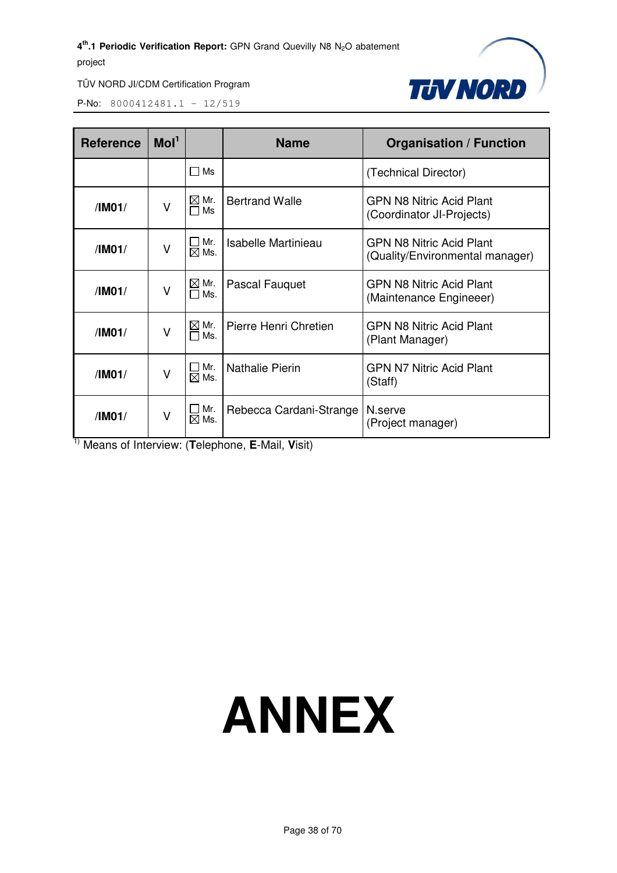

TÜV NORD JI/CDM Certification Program

P-No: 8000412481.1 – 12/519

| <b>Reference</b> | Mol <sup>1</sup> |                         | <b>Name</b>             | <b>Organisation / Function</b>                               |  |
|------------------|------------------|-------------------------|-------------------------|--------------------------------------------------------------|--|
|                  |                  | $\square$ Ms            |                         | (Technical Director)                                         |  |
| /IM01/           | $\vee$           | $\boxtimes$ Mr.<br>□ Ms | <b>Bertrand Walle</b>   | <b>GPN N8 Nitric Acid Plant</b><br>(Coordinator JI-Projects) |  |
| /IM01/           | $\vee$           | Mr.<br>$\boxtimes$ Ms.  | Isabelle Martinieau     | GPN N8 Nitric Acid Plant<br>(Quality/Environmental manager)  |  |
| /IMO1/           | $\vee$           | $\boxtimes$ Mr.<br>□Ms. | Pascal Fauguet          | <b>GPN N8 Nitric Acid Plant</b><br>(Maintenance Engineeer)   |  |
| /IM01/           | $\vee$           | $\boxtimes$ Mr.<br>□Ms. | Pierre Henri Chretien   | <b>GPN N8 Nitric Acid Plant</b><br>(Plant Manager)           |  |
| /IM01/           | $\vee$           | Mr.<br>$\boxtimes$ Ms.  | <b>Nathalie Pierin</b>  | GPN N7 Nitric Acid Plant<br>(Staff)                          |  |
| /IM01/           | $\vee$           | Mr.<br>$\boxtimes$ Ms.  | Rebecca Cardani-Strange | N.serve<br>(Project manager)                                 |  |

1) Means of Interview: (**T**elephone, **E**-Mail, **V**isit)

# **ANNEX**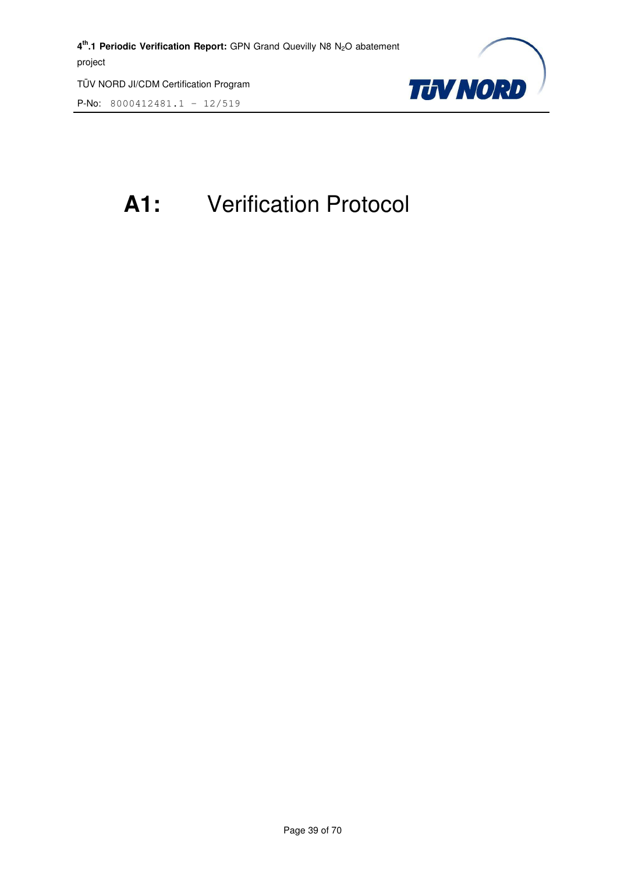P-No: 8000412481.1 – 12/519



## **A1:** Verification Protocol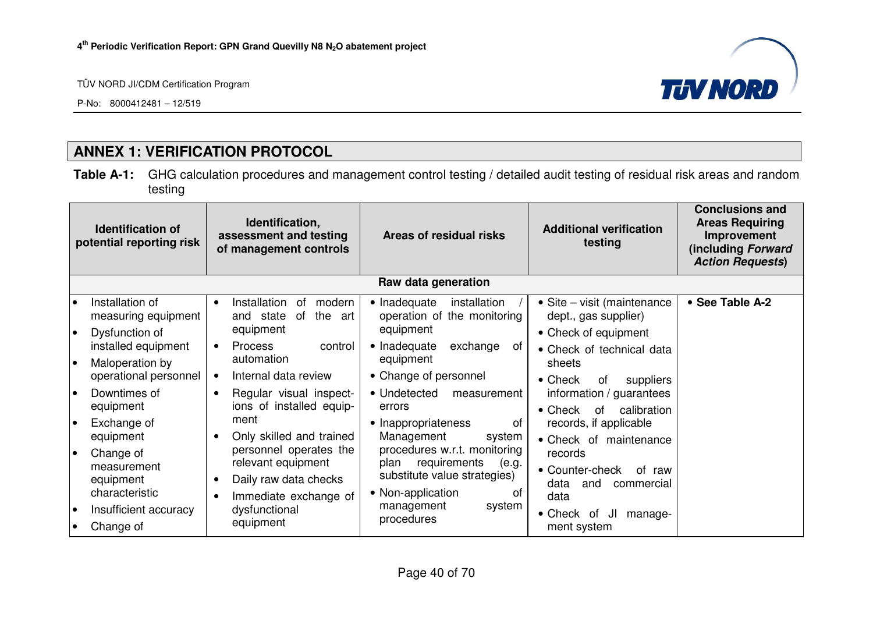P-No: 8000412481 – 12/519



#### **ANNEX 1: VERIFICATION PROTOCOL**

**Table A-1:** GHG calculation procedures and management control testing / detailed audit testing of residual risk areas and random testing

|                 | <b>Identification of</b><br>potential reporting risk                              | Identification,<br>assessment and testing<br>of management controls                                         | Areas of residual risks                                                                                                  | <b>Additional verification</b><br>testing                                                         | <b>Conclusions and</b><br><b>Areas Requiring</b><br>Improvement<br>(including Forward<br><b>Action Requests)</b> |  |  |  |  |  |
|-----------------|-----------------------------------------------------------------------------------|-------------------------------------------------------------------------------------------------------------|--------------------------------------------------------------------------------------------------------------------------|---------------------------------------------------------------------------------------------------|------------------------------------------------------------------------------------------------------------------|--|--|--|--|--|
|                 | Raw data generation                                                               |                                                                                                             |                                                                                                                          |                                                                                                   |                                                                                                                  |  |  |  |  |  |
| $\bullet$<br>I۰ | Installation of<br>measuring equipment                                            | Installation<br>оf<br>modern<br>$\bullet$<br>the<br>and state<br>of<br>art<br>equipment                     | • Inadequate<br>installation<br>operation of the monitoring<br>equipment                                                 | • Site – visit (maintenance<br>dept., gas supplier)                                               | • See Table A-2                                                                                                  |  |  |  |  |  |
| I۰              | Dysfunction of<br>installed equipment<br>Maloperation by<br>operational personnel | <b>Process</b><br>control<br>$\bullet$<br>automation<br>Internal data review                                | • Inadequate<br>exchange<br>of<br>equipment<br>• Change of personnel                                                     | • Check of equipment<br>• Check of technical data<br>sheets<br>$\bullet$ Check<br>suppliers<br>0f |                                                                                                                  |  |  |  |  |  |
| l o             | Downtimes of<br>equipment                                                         | Regular visual inspect-<br>$\bullet$<br>ions of installed equip-                                            | • Undetected<br>measurement<br>errors                                                                                    | information / guarantees<br>calibration<br>$\bullet$ Check<br>of                                  |                                                                                                                  |  |  |  |  |  |
| I۰              | Exchange of<br>equipment                                                          | ment<br>Only skilled and trained                                                                            | • Inappropriateness<br>0f<br>Management<br>system                                                                        | records, if applicable<br>• Check of maintenance                                                  |                                                                                                                  |  |  |  |  |  |
| le              | Change of<br>measurement<br>equipment<br>characteristic                           | personnel operates the<br>relevant equipment<br>Daily raw data checks<br>$\bullet$<br>Immediate exchange of | procedures w.r.t. monitoring<br>requirements<br>(e.g.<br>plan<br>substitute value strategies)<br>• Non-application<br>of | records<br>• Counter-check<br>of raw<br>data<br>and<br>commercial<br>data                         |                                                                                                                  |  |  |  |  |  |
| $\bullet$       | Insufficient accuracy<br>Change of                                                | dysfunctional<br>equipment                                                                                  | management<br>system<br>procedures                                                                                       | $\bullet$ Check<br>JI<br>manage-<br>of<br>ment system                                             |                                                                                                                  |  |  |  |  |  |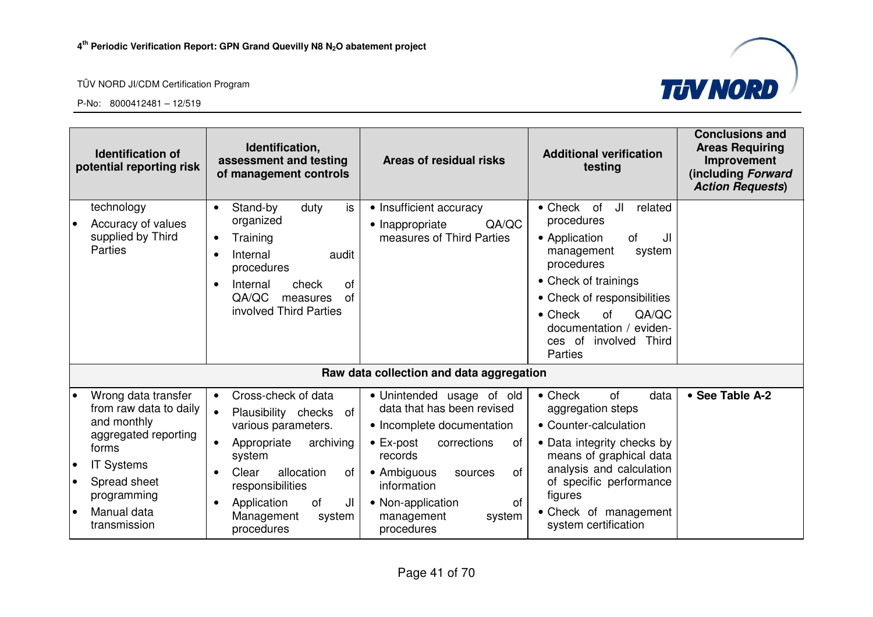



| <b>Identification of</b><br>potential reporting risk                                                                                                                                                       | Identification,<br>assessment and testing<br>of management controls                                                                                                                                                                                       | Areas of residual risks                                                                                                                                                                                                                                                  | <b>Additional verification</b><br>testing                                                                                                                                                                                                                                              | <b>Conclusions and</b><br><b>Areas Requiring</b><br>Improvement<br>(including Forward<br><b>Action Requests)</b> |
|------------------------------------------------------------------------------------------------------------------------------------------------------------------------------------------------------------|-----------------------------------------------------------------------------------------------------------------------------------------------------------------------------------------------------------------------------------------------------------|--------------------------------------------------------------------------------------------------------------------------------------------------------------------------------------------------------------------------------------------------------------------------|----------------------------------------------------------------------------------------------------------------------------------------------------------------------------------------------------------------------------------------------------------------------------------------|------------------------------------------------------------------------------------------------------------------|
| technology<br>Accuracy of values<br>$\bullet$<br>supplied by Third<br>Parties                                                                                                                              | is<br>Stand-by<br>duty<br>$\bullet$<br>organized<br>Training<br>$\bullet$<br>Internal<br>audit<br>$\bullet$<br>procedures<br>Internal<br>check<br>of<br>QA/QC<br>0f<br>measures<br>involved Third Parties                                                 | • Insufficient accuracy<br>QA/QC<br>• Inappropriate<br>measures of Third Parties                                                                                                                                                                                         | $\bullet$ Check<br>JI<br><b>of</b><br>related<br>procedures<br>• Application<br>of<br>JI<br>management<br>system<br>procedures<br>• Check of trainings<br>• Check of responsibilities<br>QA/QC<br>$\bullet$ Check<br>of<br>documentation / eviden-<br>ces of involved Third<br>Parties |                                                                                                                  |
|                                                                                                                                                                                                            |                                                                                                                                                                                                                                                           | Raw data collection and data aggregation                                                                                                                                                                                                                                 |                                                                                                                                                                                                                                                                                        |                                                                                                                  |
| Wrong data transfer<br>from raw data to daily<br>and monthly<br>aggregated reporting<br>forms<br><b>IT Systems</b><br>Spread sheet<br>$\bullet$<br>programming<br>Manual data<br>$\bullet$<br>transmission | Cross-check of data<br>$\bullet$<br>Plausibility checks<br>of<br>various parameters.<br>Appropriate<br>archiving<br>$\bullet$<br>system<br>Clear<br>allocation<br>οf<br>responsibilities<br>JI<br>Application<br>of<br>Management<br>system<br>procedures | • Unintended usage of old<br>data that has been revised<br>• Incomplete documentation<br>corrections<br>$\bullet$ Ex-post<br>of<br>records<br>• Ambiguous<br><b>of</b><br>sources<br>information<br><b>of</b><br>• Non-application<br>system<br>management<br>procedures | $\bullet$ Check<br>of<br>data<br>aggregation steps<br>• Counter-calculation<br>• Data integrity checks by<br>means of graphical data<br>analysis and calculation<br>of specific performance<br>figures<br>• Check of management<br>system certification                                | • See Table A-2                                                                                                  |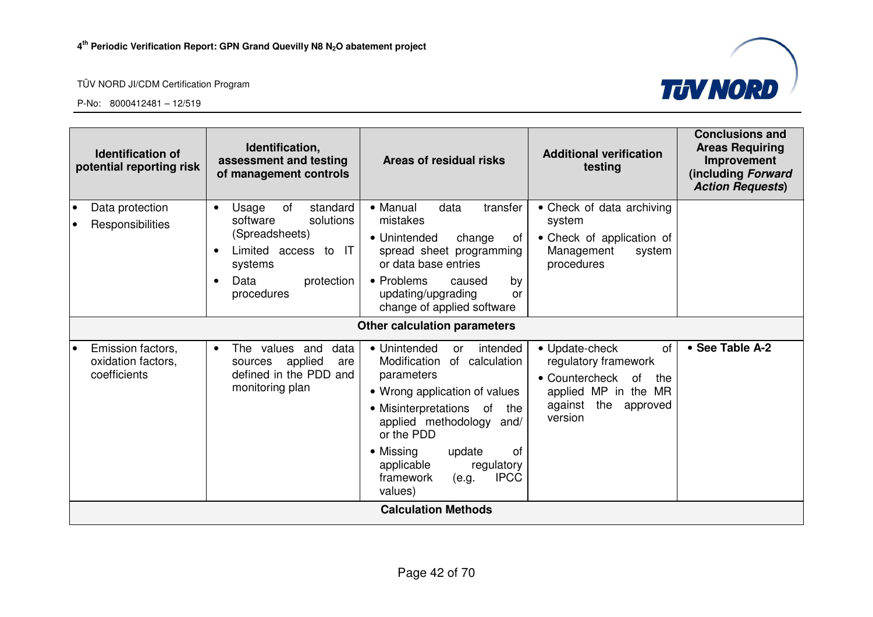



| <b>Identification of</b><br>potential reporting risk                 | Identification,<br>assessment and testing<br>of management controls                                                                                                 | Areas of residual risks                                                                                                                                                                                                                                                                              | <b>Additional verification</b><br>testing                                                                                                        | <b>Conclusions and</b><br><b>Areas Requiring</b><br>Improvement<br>(including Forward<br><b>Action Requests)</b> |
|----------------------------------------------------------------------|---------------------------------------------------------------------------------------------------------------------------------------------------------------------|------------------------------------------------------------------------------------------------------------------------------------------------------------------------------------------------------------------------------------------------------------------------------------------------------|--------------------------------------------------------------------------------------------------------------------------------------------------|------------------------------------------------------------------------------------------------------------------|
| Data protection<br>$\bullet$<br>Responsibilities                     | standard<br>Usage<br>of<br>$\bullet$<br>software<br>solutions<br>(Spreadsheets)<br>Limited access to IT<br>systems<br>Data<br>protection<br>$\bullet$<br>procedures | • Manual<br>data<br>transfer<br>mistakes<br>• Unintended<br>change<br>0t<br>spread sheet programming<br>or data base entries<br>• Problems<br>by<br>caused<br>updating/upgrading<br>or<br>change of applied software                                                                                 | • Check of data archiving<br>system<br>• Check of application of<br>Management<br>system<br>procedures                                           |                                                                                                                  |
|                                                                      |                                                                                                                                                                     | Other calculation parameters                                                                                                                                                                                                                                                                         |                                                                                                                                                  |                                                                                                                  |
| Emission factors,<br>$\bullet$<br>oxidation factors,<br>coefficients | The values and<br>data<br>$\bullet$<br>applied<br>sources<br>are<br>defined in the PDD and<br>monitoring plan                                                       | • Unintended<br>intended<br>or<br>Modification<br>of calculation<br>parameters<br>• Wrong application of values<br>• Misinterpretations of<br>the<br>applied methodology and/<br>or the PDD<br>• Missing<br>of<br>update<br>applicable<br>regulatory<br><b>IPCC</b><br>framework<br>(e.g.<br>values) | • Update-check<br>of<br>regulatory framework<br>• Countercheck<br><b>of</b><br>the<br>applied MP in the MR<br>against the<br>approved<br>version | • See Table A-2                                                                                                  |
|                                                                      |                                                                                                                                                                     | <b>Calculation Methods</b>                                                                                                                                                                                                                                                                           |                                                                                                                                                  |                                                                                                                  |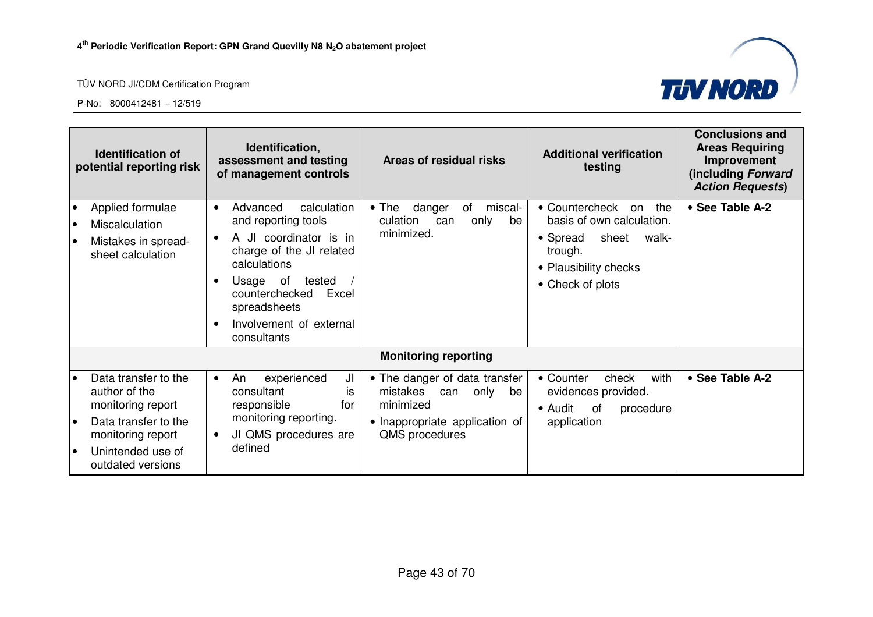

|    | <b>Identification of</b><br>potential reporting risk                                                                                              | Identification,<br><b>Additional verification</b><br>Areas of residual risks<br>assessment and testing<br>testing<br>of management controls                                                                                                                                                                                                                                                                                                                            | <b>Conclusions and</b><br><b>Areas Requiring</b><br>Improvement<br>(including Forward<br><b>Action Requests)</b> |
|----|---------------------------------------------------------------------------------------------------------------------------------------------------|------------------------------------------------------------------------------------------------------------------------------------------------------------------------------------------------------------------------------------------------------------------------------------------------------------------------------------------------------------------------------------------------------------------------------------------------------------------------|------------------------------------------------------------------------------------------------------------------|
|    | Applied formulae<br>Miscalculation<br>Mistakes in spread-<br>sheet calculation                                                                    | calculation<br>miscal-<br>• Countercheck on<br>Advanced<br>$\bullet$ The<br>danger<br>of<br>$\bullet$<br>basis of own calculation.<br>and reporting tools<br>culation<br>only<br>be<br>can<br>minimized.<br>A JI coordinator is in<br>• Spread<br>sheet<br>charge of the JI related<br>trough.<br>calculations<br>• Plausibility checks<br>Usage of<br>tested<br>• Check of plots<br>counterchecked<br>Excel<br>spreadsheets<br>Involvement of external<br>consultants | • See Table A-2<br>the<br>walk-                                                                                  |
|    |                                                                                                                                                   | <b>Monitoring reporting</b>                                                                                                                                                                                                                                                                                                                                                                                                                                            |                                                                                                                  |
| le | Data transfer to the<br>author of the<br>monitoring report<br>Data transfer to the<br>monitoring report<br>Unintended use of<br>outdated versions | JI<br>• The danger of data transfer<br>• Counter<br>experienced<br>check<br>An<br>$\bullet$<br>consultant<br>mistakes can<br>evidences provided.<br>only<br>is<br>be<br>minimized<br>responsible<br>for<br>$\bullet$ Audit<br>0f<br>monitoring reporting.<br>• Inappropriate application of<br>application<br>JI QMS procedures are<br>QMS procedures<br>defined                                                                                                       | • See Table A-2<br>with<br>procedure                                                                             |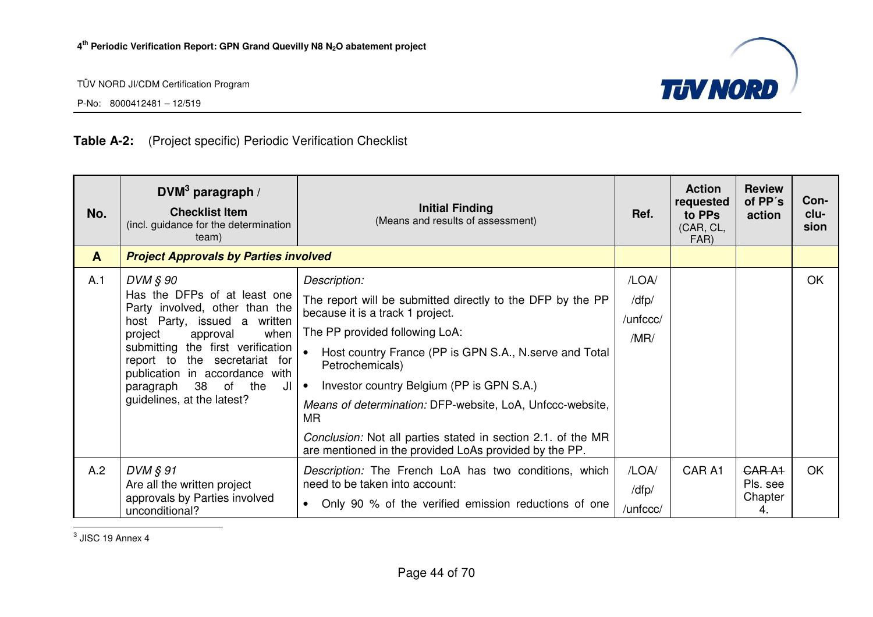

P-No: 8000412481 – 12/519

#### **Table A-2:** (Project specific) Periodic Verification Checklist

| No.          | DVM <sup>3</sup> paragraph /<br><b>Checklist Item</b><br>(incl. guidance for the determination<br>team)                                                                                                                                                                                                         | <b>Initial Finding</b><br>(Means and results of assessment)                                                                                                                                                                                                                                                                                                                                                                                                                                  | Ref.                               | <b>Action</b><br>requested<br>to PPs<br>(CAR, CL,<br>FAR) | <b>Review</b><br>of PP's<br>action  | Con-<br>clu-<br>sion |
|--------------|-----------------------------------------------------------------------------------------------------------------------------------------------------------------------------------------------------------------------------------------------------------------------------------------------------------------|----------------------------------------------------------------------------------------------------------------------------------------------------------------------------------------------------------------------------------------------------------------------------------------------------------------------------------------------------------------------------------------------------------------------------------------------------------------------------------------------|------------------------------------|-----------------------------------------------------------|-------------------------------------|----------------------|
| $\mathbf{A}$ | <b>Project Approvals by Parties involved</b>                                                                                                                                                                                                                                                                    |                                                                                                                                                                                                                                                                                                                                                                                                                                                                                              |                                    |                                                           |                                     |                      |
| A.1          | DVM § 90<br>Has the DFPs of at least one<br>Party involved, other than the<br>host Party, issued a written<br>project<br>when<br>approval<br>submitting the first verification<br>report to the secretariat for<br>publication in accordance with<br>38 of the<br>paragraph<br>JI<br>guidelines, at the latest? | Description:<br>The report will be submitted directly to the DFP by the PP<br>because it is a track 1 project.<br>The PP provided following LoA:<br>$\bullet$<br>Host country France (PP is GPN S.A., N. serve and Total<br>Petrochemicals)<br>Investor country Belgium (PP is GPN S.A.)<br>∣∙<br>Means of determination: DFP-website, LoA, Unfccc-website,<br>MR.<br>Conclusion: Not all parties stated in section 2.1. of the MR<br>are mentioned in the provided LoAs provided by the PP. | /LOA/<br>/dfp/<br>/unfccc/<br>/MR/ |                                                           |                                     | <b>OK</b>            |
| A.2          | $DVM \, \S\, 91$<br>Are all the written project<br>approvals by Parties involved<br>unconditional?                                                                                                                                                                                                              | Description: The French LoA has two conditions, which<br>need to be taken into account:<br>Only 90 % of the verified emission reductions of one<br>$\bullet$                                                                                                                                                                                                                                                                                                                                 | /LOA/<br>/dfp/<br>/unfccc/         | CAR A1                                                    | GAR A1<br>Pls. see<br>Chapter<br>4. | OK                   |

 $3$  JISC 19 Annex 4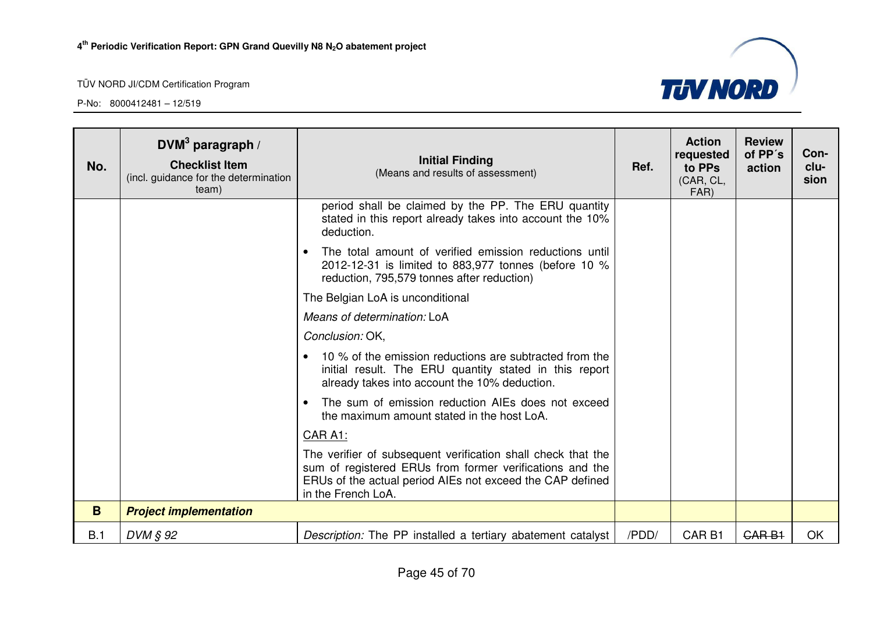

| No. | DVM <sup>3</sup> paragraph /<br><b>Checklist Item</b><br>(incl. guidance for the determination<br>team) | <b>Initial Finding</b><br>(Means and results of assessment)                                                                                                                                                 | Ref.  | <b>Action</b><br>requested<br>to PPs<br>(CAR, CL,<br>FAR) | <b>Review</b><br>of PP's<br>action | Con-<br>clu-<br>sion |
|-----|---------------------------------------------------------------------------------------------------------|-------------------------------------------------------------------------------------------------------------------------------------------------------------------------------------------------------------|-------|-----------------------------------------------------------|------------------------------------|----------------------|
|     |                                                                                                         | period shall be claimed by the PP. The ERU quantity<br>stated in this report already takes into account the 10%<br>deduction.                                                                               |       |                                                           |                                    |                      |
|     |                                                                                                         | The total amount of verified emission reductions until<br>$\bullet$<br>2012-12-31 is limited to 883,977 tonnes (before 10 %<br>reduction, 795,579 tonnes after reduction)                                   |       |                                                           |                                    |                      |
|     |                                                                                                         | The Belgian LoA is unconditional                                                                                                                                                                            |       |                                                           |                                    |                      |
|     |                                                                                                         | Means of determination: LoA                                                                                                                                                                                 |       |                                                           |                                    |                      |
|     |                                                                                                         | Conclusion: OK,                                                                                                                                                                                             |       |                                                           |                                    |                      |
|     |                                                                                                         | 10 % of the emission reductions are subtracted from the<br>initial result. The ERU quantity stated in this report<br>already takes into account the 10% deduction.                                          |       |                                                           |                                    |                      |
|     |                                                                                                         | The sum of emission reduction AIEs does not exceed<br>$\bullet$<br>the maximum amount stated in the host LoA.                                                                                               |       |                                                           |                                    |                      |
|     |                                                                                                         | <b>CAR A1:</b>                                                                                                                                                                                              |       |                                                           |                                    |                      |
|     |                                                                                                         | The verifier of subsequent verification shall check that the<br>sum of registered ERUs from former verifications and the<br>ERUs of the actual period AIEs not exceed the CAP defined<br>in the French LoA. |       |                                                           |                                    |                      |
| B   | <b>Project implementation</b>                                                                           |                                                                                                                                                                                                             |       |                                                           |                                    |                      |
| B.1 | DVM § 92                                                                                                | Description: The PP installed a tertiary abatement catalyst                                                                                                                                                 | /PDD/ | CAR <sub>B1</sub>                                         | <b>CARB1</b>                       | <b>OK</b>            |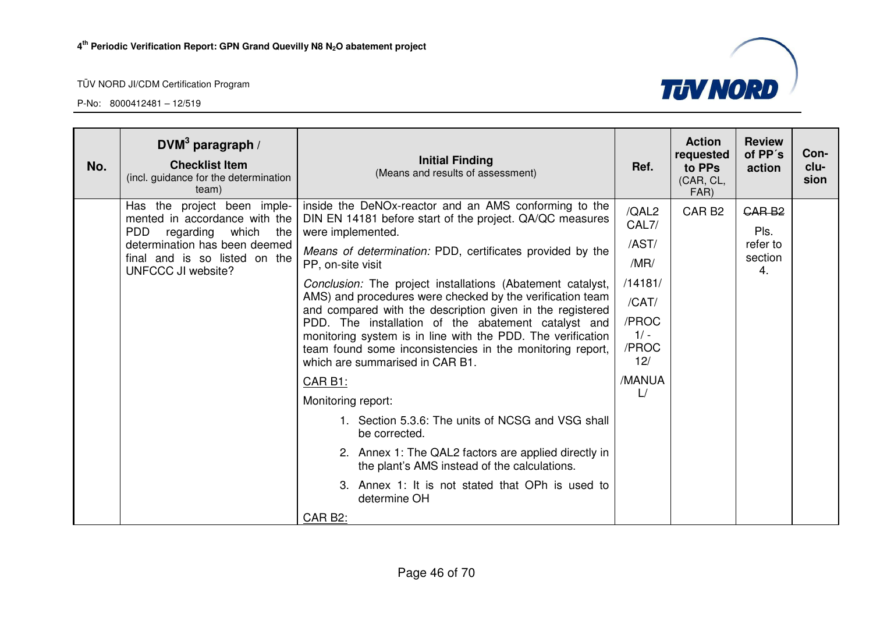

| No. | DVM <sup>3</sup> paragraph /<br><b>Checklist Item</b><br>(incl. guidance for the determination<br>team)                                                                                   | <b>Initial Finding</b><br>(Means and results of assessment)                                                                                                                                                                                                                                                                                                                                                                                                                                                                                                                                                                                                                                                                                                                                                                                                                                                               | Ref.                                                                                                   | <b>Action</b><br>requested<br>to PPs<br>(CAR, CL,<br>FAR) | <b>Review</b><br>of PP's<br>action                     | Con-<br>clu-<br>sion |
|-----|-------------------------------------------------------------------------------------------------------------------------------------------------------------------------------------------|---------------------------------------------------------------------------------------------------------------------------------------------------------------------------------------------------------------------------------------------------------------------------------------------------------------------------------------------------------------------------------------------------------------------------------------------------------------------------------------------------------------------------------------------------------------------------------------------------------------------------------------------------------------------------------------------------------------------------------------------------------------------------------------------------------------------------------------------------------------------------------------------------------------------------|--------------------------------------------------------------------------------------------------------|-----------------------------------------------------------|--------------------------------------------------------|----------------------|
|     | Has the project been imple-<br>mented in accordance with the<br><b>PDD</b><br>regarding which the<br>determination has been deemed<br>final and is so listed on the<br>UNFCCC JI website? | inside the DeNOx-reactor and an AMS conforming to the<br>DIN EN 14181 before start of the project. QA/QC measures<br>were implemented.<br>Means of determination: PDD, certificates provided by the<br>PP, on-site visit<br>Conclusion: The project installations (Abatement catalyst,<br>AMS) and procedures were checked by the verification team<br>and compared with the description given in the registered<br>PDD. The installation of the abatement catalyst and<br>monitoring system is in line with the PDD. The verification<br>team found some inconsistencies in the monitoring report,<br>which are summarised in CAR B1.<br>CAR B1:<br>Monitoring report:<br>1. Section 5.3.6: The units of NCSG and VSG shall<br>be corrected.<br>2. Annex 1: The QAL2 factors are applied directly in<br>the plant's AMS instead of the calculations.<br>3. Annex 1: It is not stated that OPh is used to<br>determine OH | /QAL2<br>CAL7/<br>/AST/<br>/MR/<br>/14181/<br>/CAT/<br>/PROC<br>$1/ -$<br>/PROC<br>12/<br>/MANUA<br>L/ | CAR <sub>B2</sub>                                         | GAR <sub>B2</sub><br>Pls.<br>refer to<br>section<br>4. |                      |
|     |                                                                                                                                                                                           | CAR B2:                                                                                                                                                                                                                                                                                                                                                                                                                                                                                                                                                                                                                                                                                                                                                                                                                                                                                                                   |                                                                                                        |                                                           |                                                        |                      |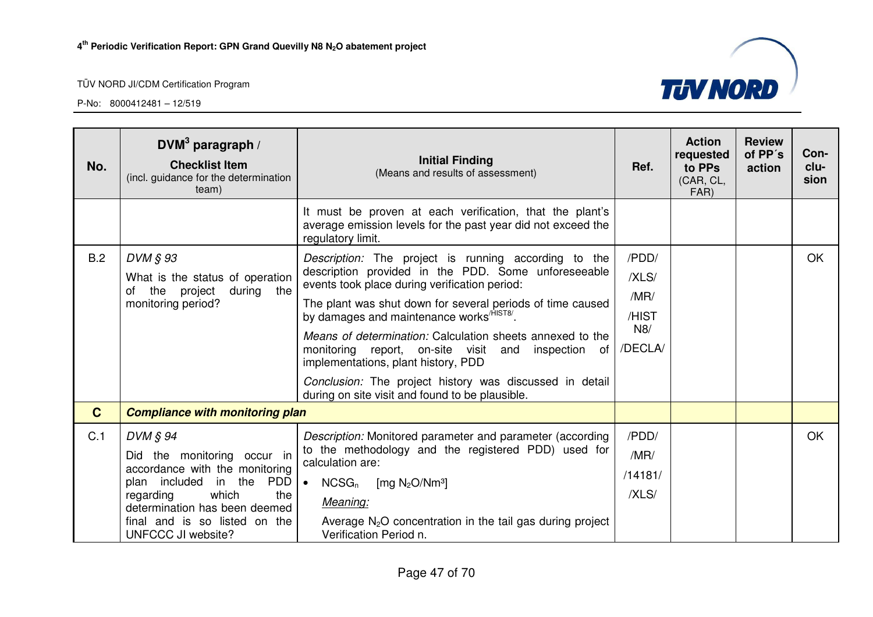

| No.          | DVM <sup>3</sup> paragraph /<br><b>Checklist Item</b><br>(incl. guidance for the determination<br>team)                                                                                                                          | <b>Initial Finding</b><br>(Means and results of assessment)                                                                                                                                                                                                                                                                                                                                                                                                                                                                                                       | Ref.                                              | <b>Action</b><br>requested<br>to PPs<br>(CAR, CL,<br>FAR) | <b>Review</b><br>of PP's<br>action | Con-<br>clu-<br>sion |
|--------------|----------------------------------------------------------------------------------------------------------------------------------------------------------------------------------------------------------------------------------|-------------------------------------------------------------------------------------------------------------------------------------------------------------------------------------------------------------------------------------------------------------------------------------------------------------------------------------------------------------------------------------------------------------------------------------------------------------------------------------------------------------------------------------------------------------------|---------------------------------------------------|-----------------------------------------------------------|------------------------------------|----------------------|
|              |                                                                                                                                                                                                                                  | It must be proven at each verification, that the plant's<br>average emission levels for the past year did not exceed the<br>regulatory limit.                                                                                                                                                                                                                                                                                                                                                                                                                     |                                                   |                                                           |                                    |                      |
| B.2          | DVM § 93<br>What is the status of operation<br>the project<br>during the<br>of<br>monitoring period?                                                                                                                             | Description: The project is running according to the<br>description provided in the PDD. Some unforeseeable<br>events took place during verification period:<br>The plant was shut down for several periods of time caused<br>by damages and maintenance works <sup>/HIST8/</sup> .<br>Means of determination: Calculation sheets annexed to the<br>monitoring report, on-site visit and<br>inspection<br>of<br>implementations, plant history, PDD<br>Conclusion: The project history was discussed in detail<br>during on site visit and found to be plausible. | /PDD/<br>/XLS/<br>/MR/<br>/HIST<br>N8/<br>/DECLA/ |                                                           |                                    | OK                   |
| $\mathbf{C}$ | <b>Compliance with monitoring plan</b>                                                                                                                                                                                           |                                                                                                                                                                                                                                                                                                                                                                                                                                                                                                                                                                   |                                                   |                                                           |                                    |                      |
| C.1          | DVM § 94<br>Did the monitoring occur in<br>accordance with the monitoring<br>PDD<br>plan included<br>in the<br>which<br>the<br>regarding<br>determination has been deemed<br>final and is so listed on the<br>UNFCCC JI website? | Description: Monitored parameter and parameter (according<br>to the methodology and the registered PDD) used for<br>calculation are:<br>$NCSG_n$<br>[mg $N_2O/Nm^3$ ]<br>$\bullet$<br>Meaning:<br>Average $N_2O$ concentration in the tail gas during project<br>Verification Period n.                                                                                                                                                                                                                                                                           | /PDD/<br>/MR/<br>/14181/<br>/XLS/                 |                                                           |                                    | <b>OK</b>            |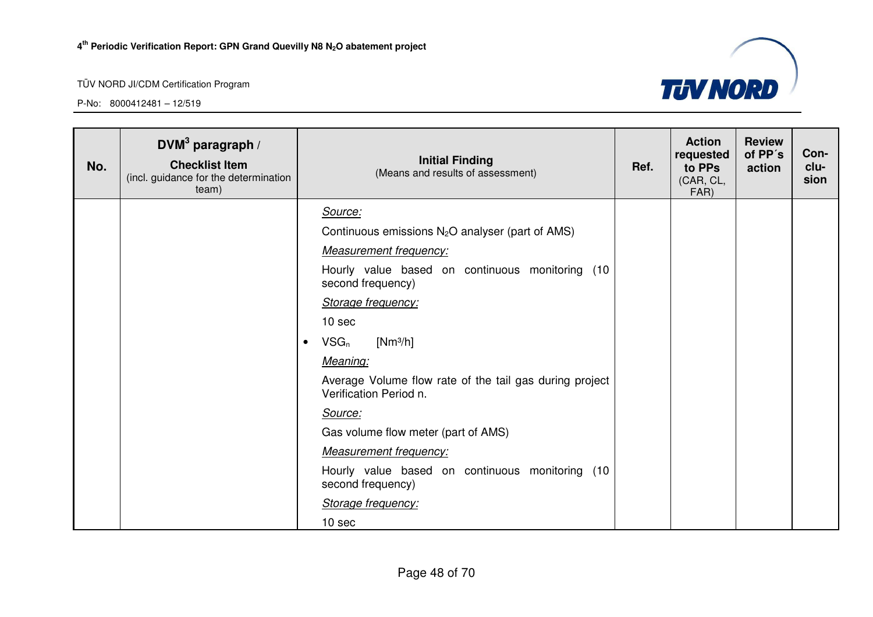

| No. | $DWM3$ paragraph /<br><b>Checklist Item</b><br>(incl. guidance for the determination<br>team) |           | <b>Initial Finding</b><br>(Means and results of assessment)                       | Ref. | <b>Action</b><br>requested<br>to PPs<br>(CAR, CL,<br>FAR) | <b>Review</b><br>of PP's<br>action | Con-<br>clu-<br>sion |
|-----|-----------------------------------------------------------------------------------------------|-----------|-----------------------------------------------------------------------------------|------|-----------------------------------------------------------|------------------------------------|----------------------|
|     |                                                                                               |           | Source:                                                                           |      |                                                           |                                    |                      |
|     |                                                                                               |           | Continuous emissions $N_2O$ analyser (part of AMS)                                |      |                                                           |                                    |                      |
|     |                                                                                               |           | <b>Measurement frequency:</b>                                                     |      |                                                           |                                    |                      |
|     |                                                                                               |           | Hourly value based on continuous monitoring (10<br>second frequency)              |      |                                                           |                                    |                      |
|     |                                                                                               |           | Storage frequency:                                                                |      |                                                           |                                    |                      |
|     |                                                                                               |           | 10 sec                                                                            |      |                                                           |                                    |                      |
|     |                                                                                               | $\bullet$ | $VSG_n$<br>$[Nm^3/h]$                                                             |      |                                                           |                                    |                      |
|     |                                                                                               |           | Meaning:                                                                          |      |                                                           |                                    |                      |
|     |                                                                                               |           | Average Volume flow rate of the tail gas during project<br>Verification Period n. |      |                                                           |                                    |                      |
|     |                                                                                               |           | Source:                                                                           |      |                                                           |                                    |                      |
|     |                                                                                               |           | Gas volume flow meter (part of AMS)                                               |      |                                                           |                                    |                      |
|     |                                                                                               |           | <b>Measurement frequency:</b>                                                     |      |                                                           |                                    |                      |
|     |                                                                                               |           | Hourly value based on continuous monitoring (10<br>second frequency)              |      |                                                           |                                    |                      |
|     |                                                                                               |           | Storage frequency:                                                                |      |                                                           |                                    |                      |
|     |                                                                                               |           | 10 sec                                                                            |      |                                                           |                                    |                      |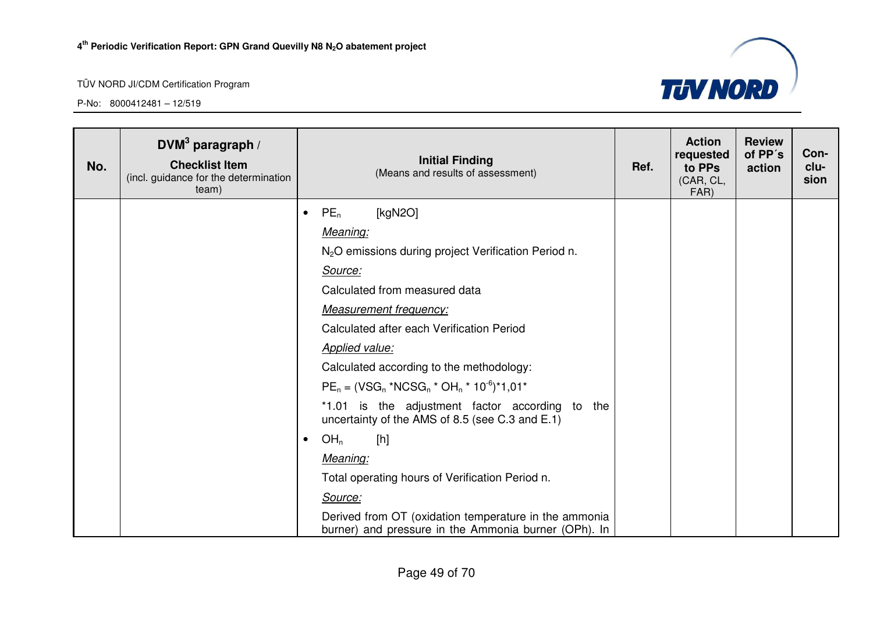

| No. | $DWM3$ paragraph /<br><b>Checklist Item</b><br>(incl. guidance for the determination<br>team) |           | <b>Initial Finding</b><br>(Means and results of assessment)                                                   | Ref. | <b>Action</b><br>requested<br>to PPs<br>(CAR, CL,<br>FAR) | <b>Review</b><br>of PP's<br>action | Con-<br>clu-<br>sion |
|-----|-----------------------------------------------------------------------------------------------|-----------|---------------------------------------------------------------------------------------------------------------|------|-----------------------------------------------------------|------------------------------------|----------------------|
|     |                                                                                               | $\bullet$ | $PE_n$<br>[kgN2O]                                                                                             |      |                                                           |                                    |                      |
|     |                                                                                               |           | Meaning:                                                                                                      |      |                                                           |                                    |                      |
|     |                                                                                               |           | N <sub>2</sub> O emissions during project Verification Period n.                                              |      |                                                           |                                    |                      |
|     |                                                                                               |           | Source:                                                                                                       |      |                                                           |                                    |                      |
|     |                                                                                               |           | Calculated from measured data                                                                                 |      |                                                           |                                    |                      |
|     |                                                                                               |           | <b>Measurement frequency:</b>                                                                                 |      |                                                           |                                    |                      |
|     |                                                                                               |           | Calculated after each Verification Period                                                                     |      |                                                           |                                    |                      |
|     |                                                                                               |           | <b>Applied value:</b>                                                                                         |      |                                                           |                                    |                      |
|     |                                                                                               |           | Calculated according to the methodology:                                                                      |      |                                                           |                                    |                      |
|     |                                                                                               |           | $PE_n = (VSG_n * NCSG_n * OH_n * 10^{-6}) * 1,01*$                                                            |      |                                                           |                                    |                      |
|     |                                                                                               |           | *1.01 is the adjustment factor according to the<br>uncertainty of the AMS of 8.5 (see C.3 and E.1)            |      |                                                           |                                    |                      |
|     |                                                                                               | $\bullet$ | OH <sub>n</sub><br>[h]                                                                                        |      |                                                           |                                    |                      |
|     |                                                                                               |           | Meaning:                                                                                                      |      |                                                           |                                    |                      |
|     |                                                                                               |           | Total operating hours of Verification Period n.                                                               |      |                                                           |                                    |                      |
|     |                                                                                               |           | Source:                                                                                                       |      |                                                           |                                    |                      |
|     |                                                                                               |           | Derived from OT (oxidation temperature in the ammonia<br>burner) and pressure in the Ammonia burner (OPh). In |      |                                                           |                                    |                      |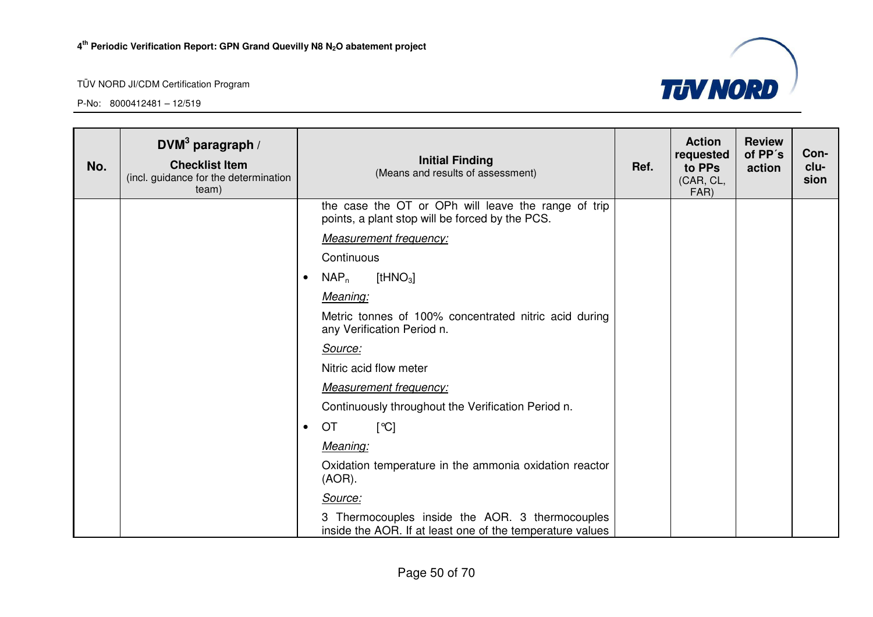

| No. | DVM <sup>3</sup> paragraph /<br><b>Checklist Item</b><br>(incl. guidance for the determination<br>team) | <b>Initial Finding</b><br>(Means and results of assessment)                                                  | Ref. | <b>Action</b><br>requested<br>to PPs<br>(CAR, CL,<br>FAR) | <b>Review</b><br>of PP's<br>action | Con-<br>clu-<br>sion |
|-----|---------------------------------------------------------------------------------------------------------|--------------------------------------------------------------------------------------------------------------|------|-----------------------------------------------------------|------------------------------------|----------------------|
|     |                                                                                                         | the case the OT or OPh will leave the range of trip<br>points, a plant stop will be forced by the PCS.       |      |                                                           |                                    |                      |
|     |                                                                                                         | <b>Measurement frequency:</b>                                                                                |      |                                                           |                                    |                      |
|     |                                                                                                         | Continuous                                                                                                   |      |                                                           |                                    |                      |
|     |                                                                                                         | $NAP_n$<br>$[$ tHNO $_3]$<br>$\bullet$                                                                       |      |                                                           |                                    |                      |
|     |                                                                                                         | Meaning:                                                                                                     |      |                                                           |                                    |                      |
|     |                                                                                                         | Metric tonnes of 100% concentrated nitric acid during<br>any Verification Period n.                          |      |                                                           |                                    |                      |
|     |                                                                                                         | Source:                                                                                                      |      |                                                           |                                    |                      |
|     |                                                                                                         | Nitric acid flow meter                                                                                       |      |                                                           |                                    |                      |
|     |                                                                                                         | <b>Measurement frequency:</b>                                                                                |      |                                                           |                                    |                      |
|     |                                                                                                         | Continuously throughout the Verification Period n.                                                           |      |                                                           |                                    |                      |
|     |                                                                                                         | <b>OT</b><br>[°C]<br>$\bullet$                                                                               |      |                                                           |                                    |                      |
|     |                                                                                                         | Meaning:                                                                                                     |      |                                                           |                                    |                      |
|     |                                                                                                         | Oxidation temperature in the ammonia oxidation reactor<br>$(AOR)$ .                                          |      |                                                           |                                    |                      |
|     |                                                                                                         | Source:                                                                                                      |      |                                                           |                                    |                      |
|     |                                                                                                         | 3 Thermocouples inside the AOR. 3 thermocouples<br>inside the AOR. If at least one of the temperature values |      |                                                           |                                    |                      |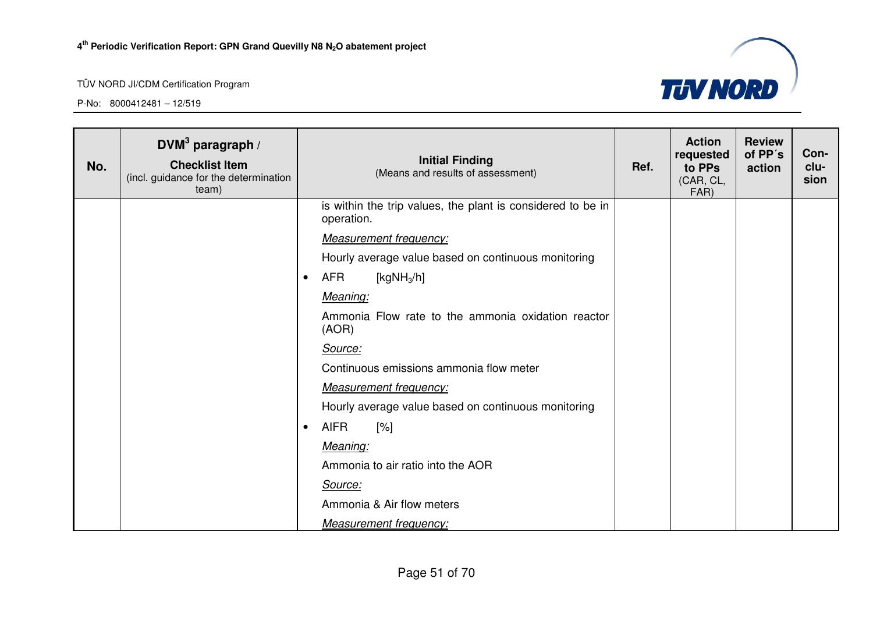

| No. | DVM <sup>3</sup> paragraph /<br><b>Checklist Item</b><br>(incl. guidance for the determination<br>team) | <b>Initial Finding</b><br>(Means and results of assessment)               | Ref. | <b>Action</b><br>requested<br>to PPs<br>(CAR, CL,<br>FAR) | <b>Review</b><br>of PP's<br>action | Con-<br>clu-<br>sion |
|-----|---------------------------------------------------------------------------------------------------------|---------------------------------------------------------------------------|------|-----------------------------------------------------------|------------------------------------|----------------------|
|     |                                                                                                         | is within the trip values, the plant is considered to be in<br>operation. |      |                                                           |                                    |                      |
|     |                                                                                                         | <b>Measurement frequency:</b>                                             |      |                                                           |                                    |                      |
|     |                                                                                                         | Hourly average value based on continuous monitoring                       |      |                                                           |                                    |                      |
|     |                                                                                                         | <b>AFR</b><br>[kg $NH_3/h$ ]<br>$\bullet$                                 |      |                                                           |                                    |                      |
|     |                                                                                                         | Meaning:                                                                  |      |                                                           |                                    |                      |
|     |                                                                                                         | Ammonia Flow rate to the ammonia oxidation reactor<br>(AOR)               |      |                                                           |                                    |                      |
|     |                                                                                                         | Source:                                                                   |      |                                                           |                                    |                      |
|     |                                                                                                         | Continuous emissions ammonia flow meter                                   |      |                                                           |                                    |                      |
|     |                                                                                                         | <b>Measurement frequency:</b>                                             |      |                                                           |                                    |                      |
|     |                                                                                                         | Hourly average value based on continuous monitoring                       |      |                                                           |                                    |                      |
|     |                                                                                                         | <b>AIFR</b><br>[%]<br>$\bullet$                                           |      |                                                           |                                    |                      |
|     |                                                                                                         | Meaning:                                                                  |      |                                                           |                                    |                      |
|     |                                                                                                         | Ammonia to air ratio into the AOR                                         |      |                                                           |                                    |                      |
|     |                                                                                                         | Source:                                                                   |      |                                                           |                                    |                      |
|     |                                                                                                         | Ammonia & Air flow meters                                                 |      |                                                           |                                    |                      |
|     |                                                                                                         | Measurement frequency:                                                    |      |                                                           |                                    |                      |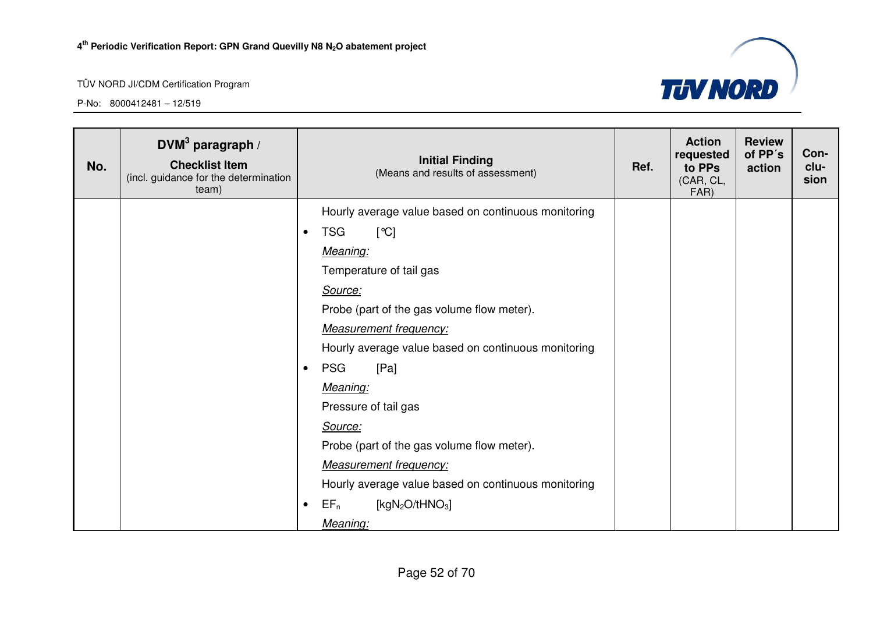

| No. | $DVM3$ paragraph /<br><b>Checklist Item</b><br>(incl. guidance for the determination<br>team) |           | <b>Initial Finding</b><br>(Means and results of assessment) | Ref. | <b>Action</b><br>requested<br>to PPs<br>(CAR, CL,<br>FAR) | <b>Review</b><br>of PP's<br>action | Con-<br>clu-<br>sion |
|-----|-----------------------------------------------------------------------------------------------|-----------|-------------------------------------------------------------|------|-----------------------------------------------------------|------------------------------------|----------------------|
|     |                                                                                               |           | Hourly average value based on continuous monitoring         |      |                                                           |                                    |                      |
|     |                                                                                               | $\bullet$ | <b>TSG</b><br>[°C]                                          |      |                                                           |                                    |                      |
|     |                                                                                               |           | Meaning:                                                    |      |                                                           |                                    |                      |
|     |                                                                                               |           | Temperature of tail gas                                     |      |                                                           |                                    |                      |
|     |                                                                                               |           | Source:                                                     |      |                                                           |                                    |                      |
|     |                                                                                               |           | Probe (part of the gas volume flow meter).                  |      |                                                           |                                    |                      |
|     |                                                                                               |           | <b>Measurement frequency:</b>                               |      |                                                           |                                    |                      |
|     |                                                                                               |           | Hourly average value based on continuous monitoring         |      |                                                           |                                    |                      |
|     |                                                                                               | $\bullet$ | <b>PSG</b><br>[Pa]                                          |      |                                                           |                                    |                      |
|     |                                                                                               |           | Meaning:                                                    |      |                                                           |                                    |                      |
|     |                                                                                               |           | Pressure of tail gas                                        |      |                                                           |                                    |                      |
|     |                                                                                               |           | Source:                                                     |      |                                                           |                                    |                      |
|     |                                                                                               |           | Probe (part of the gas volume flow meter).                  |      |                                                           |                                    |                      |
|     |                                                                                               |           | <b>Measurement frequency:</b>                               |      |                                                           |                                    |                      |
|     |                                                                                               |           | Hourly average value based on continuous monitoring         |      |                                                           |                                    |                      |
|     |                                                                                               | $\bullet$ | [ $kgN_2O/tHNO_3$ ]<br>$EF_n$                               |      |                                                           |                                    |                      |
|     |                                                                                               |           | Meaning:                                                    |      |                                                           |                                    |                      |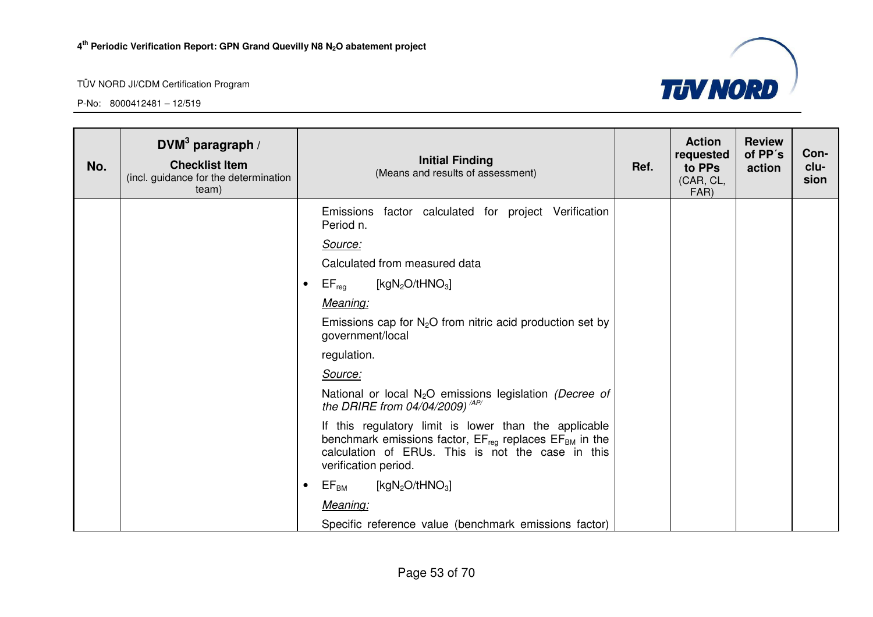

| No. | $DWM3$ paragraph /<br><b>Checklist Item</b><br>(incl. guidance for the determination<br>team) | <b>Initial Finding</b><br>(Means and results of assessment)                                                                                                                                            | Ref. | <b>Action</b><br>requested<br>to PPs<br>(CAR, CL,<br>FAR) | <b>Review</b><br>of PP's<br>action | Con-<br>clu-<br>sion |
|-----|-----------------------------------------------------------------------------------------------|--------------------------------------------------------------------------------------------------------------------------------------------------------------------------------------------------------|------|-----------------------------------------------------------|------------------------------------|----------------------|
|     |                                                                                               | factor calculated for project Verification<br><b>Emissions</b><br>Period n.                                                                                                                            |      |                                                           |                                    |                      |
|     |                                                                                               | Source:                                                                                                                                                                                                |      |                                                           |                                    |                      |
|     |                                                                                               | Calculated from measured data                                                                                                                                                                          |      |                                                           |                                    |                      |
|     |                                                                                               | $\mathsf{EF}_\mathsf{reg}$<br>[kg $N_2O$ /tHNO <sub>3</sub> ]<br>٠                                                                                                                                     |      |                                                           |                                    |                      |
|     |                                                                                               | Meaning:                                                                                                                                                                                               |      |                                                           |                                    |                      |
|     |                                                                                               | Emissions cap for $N_2O$ from nitric acid production set by<br>government/local                                                                                                                        |      |                                                           |                                    |                      |
|     |                                                                                               | regulation.                                                                                                                                                                                            |      |                                                           |                                    |                      |
|     |                                                                                               | Source:                                                                                                                                                                                                |      |                                                           |                                    |                      |
|     |                                                                                               | National or local N <sub>2</sub> O emissions legislation (Decree of<br>the DRIRE from 04/04/2009) <sup><math>AP/</math></sup>                                                                          |      |                                                           |                                    |                      |
|     |                                                                                               | If this regulatory limit is lower than the applicable<br>benchmark emissions factor, $EF_{req}$ replaces $EF_{BM}$ in the<br>calculation of ERUs. This is not the case in this<br>verification period. |      |                                                           |                                    |                      |
|     |                                                                                               | $\mathsf{EF}_\mathsf{BM}$<br>[ $kgN_2O/tHNO_3$ ]<br>$\bullet$                                                                                                                                          |      |                                                           |                                    |                      |
|     |                                                                                               | Meaning:                                                                                                                                                                                               |      |                                                           |                                    |                      |
|     |                                                                                               | Specific reference value (benchmark emissions factor)                                                                                                                                                  |      |                                                           |                                    |                      |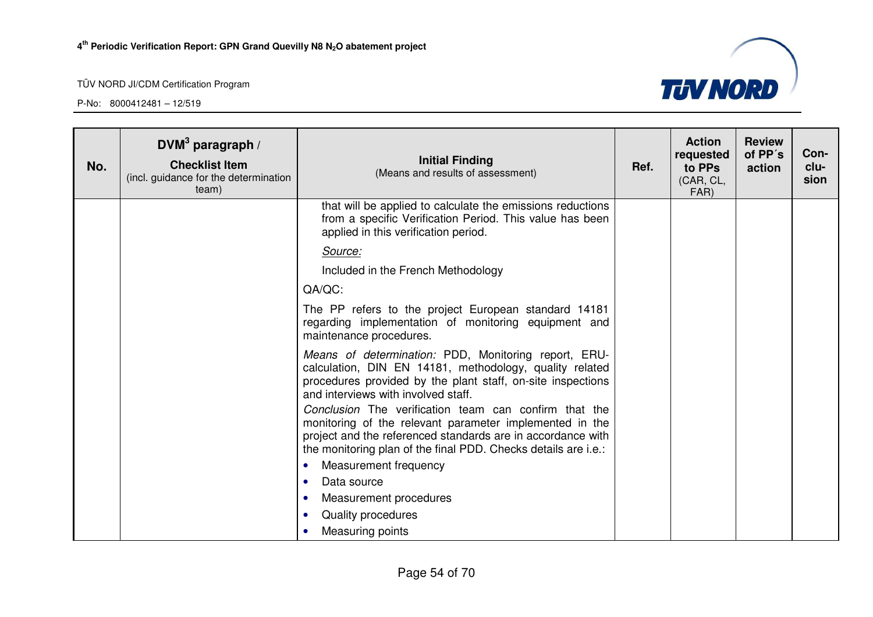

| No. | DVM <sup>3</sup> paragraph /<br><b>Checklist Item</b><br>(incl. guidance for the determination<br>team) | <b>Initial Finding</b><br>(Means and results of assessment)                                                                                                                                                                                       | Ref. | <b>Action</b><br>requested<br>to PPs<br>(CAR, CL,<br>FAR) | <b>Review</b><br>of PP's<br>action | Con-<br>clu-<br>sion |
|-----|---------------------------------------------------------------------------------------------------------|---------------------------------------------------------------------------------------------------------------------------------------------------------------------------------------------------------------------------------------------------|------|-----------------------------------------------------------|------------------------------------|----------------------|
|     |                                                                                                         | that will be applied to calculate the emissions reductions<br>from a specific Verification Period. This value has been<br>applied in this verification period.                                                                                    |      |                                                           |                                    |                      |
|     |                                                                                                         | Source:                                                                                                                                                                                                                                           |      |                                                           |                                    |                      |
|     |                                                                                                         | Included in the French Methodology                                                                                                                                                                                                                |      |                                                           |                                    |                      |
|     |                                                                                                         | QA/QC:                                                                                                                                                                                                                                            |      |                                                           |                                    |                      |
|     |                                                                                                         | The PP refers to the project European standard 14181<br>regarding implementation of monitoring equipment and<br>maintenance procedures.                                                                                                           |      |                                                           |                                    |                      |
|     |                                                                                                         | Means of determination: PDD, Monitoring report, ERU-<br>calculation, DIN EN 14181, methodology, quality related<br>procedures provided by the plant staff, on-site inspections<br>and interviews with involved staff.                             |      |                                                           |                                    |                      |
|     |                                                                                                         | Conclusion The verification team can confirm that the<br>monitoring of the relevant parameter implemented in the<br>project and the referenced standards are in accordance with<br>the monitoring plan of the final PDD. Checks details are i.e.: |      |                                                           |                                    |                      |
|     |                                                                                                         | Measurement frequency<br>$\bullet$                                                                                                                                                                                                                |      |                                                           |                                    |                      |
|     |                                                                                                         | Data source<br>$\bullet$                                                                                                                                                                                                                          |      |                                                           |                                    |                      |
|     |                                                                                                         | Measurement procedures<br>$\bullet$                                                                                                                                                                                                               |      |                                                           |                                    |                      |
|     |                                                                                                         | Quality procedures<br>$\bullet$                                                                                                                                                                                                                   |      |                                                           |                                    |                      |
|     |                                                                                                         | Measuring points                                                                                                                                                                                                                                  |      |                                                           |                                    |                      |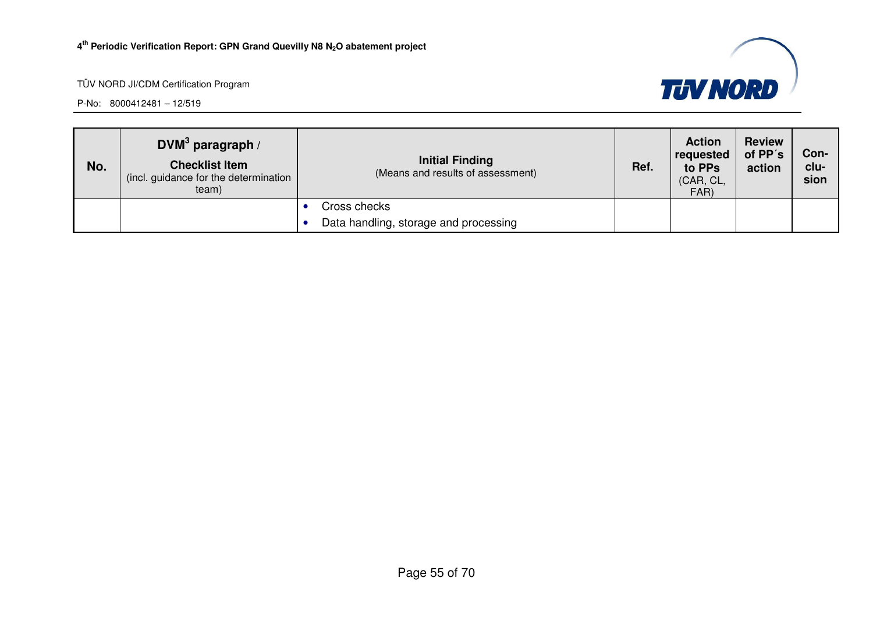



| No. | DVM $3$ paragraph /<br><b>Checklist Item</b><br>(incl. guidance for the determination<br>team) | <b>Initial Finding</b><br>(Means and results of assessment) | Ref. | <b>Action</b><br>requested<br>to PPs<br>(CAR, CL,<br>FAR) | <b>Review</b><br>of PP's<br>action | Con-<br>clu-<br>sion |
|-----|------------------------------------------------------------------------------------------------|-------------------------------------------------------------|------|-----------------------------------------------------------|------------------------------------|----------------------|
|     |                                                                                                | Cross checks                                                |      |                                                           |                                    |                      |
|     |                                                                                                | Data handling, storage and processing                       |      |                                                           |                                    |                      |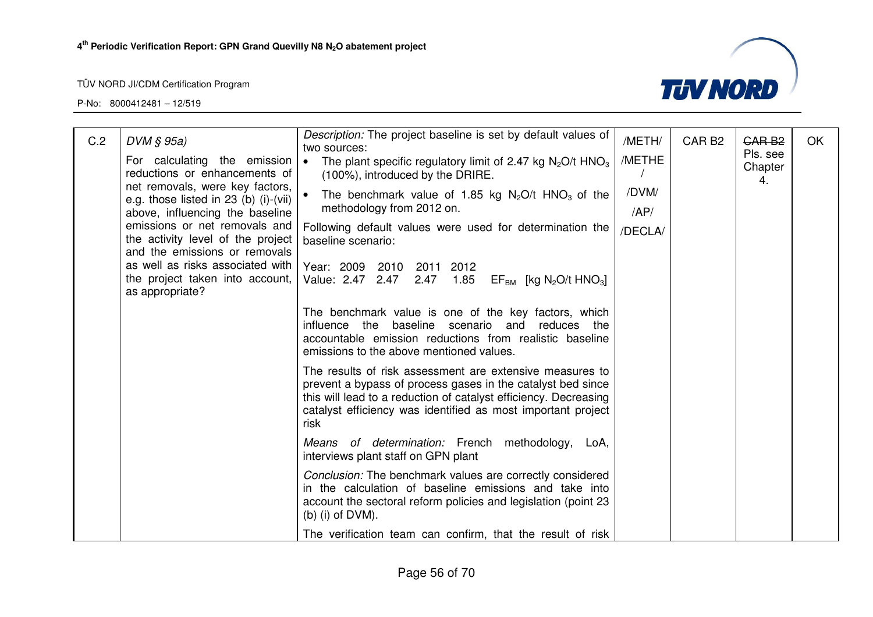

| C.2 | $DVM \S 95a$                                                                                                            | Description: The project baseline is set by default values of<br>two sources:                                                                                                                                                                                       | /METH/       | CAR <sub>B2</sub> | GAR <sub>B2</sub>         | <b>OK</b> |
|-----|-------------------------------------------------------------------------------------------------------------------------|---------------------------------------------------------------------------------------------------------------------------------------------------------------------------------------------------------------------------------------------------------------------|--------------|-------------------|---------------------------|-----------|
|     | For calculating the emission<br>reductions or enhancements of                                                           | The plant specific regulatory limit of 2.47 kg $N_2O/t$ HNO <sub>3</sub><br>∣ •<br>(100%), introduced by the DRIRE.                                                                                                                                                 | /METHE       |                   | Pls. see<br>Chapter<br>4. |           |
|     | net removals, were key factors,<br>e.g. those listed in $23$ (b) (i)-(vii)                                              | The benchmark value of 1.85 kg $N_2O/t$ HNO <sub>3</sub> of the<br>methodology from 2012 on.                                                                                                                                                                        | /DVM/<br>AP/ |                   |                           |           |
|     | above, influencing the baseline<br>emissions or net removals and<br>the activity level of the project                   | Following default values were used for determination the<br>baseline scenario:                                                                                                                                                                                      | /DECLA/      |                   |                           |           |
|     | and the emissions or removals<br>as well as risks associated with<br>the project taken into account,<br>as appropriate? | Year: 2009 2010 2011<br>2012<br>Value: 2.47 2.47<br>2.47 1.85<br>$EF_{BM}$ [kg N <sub>2</sub> O/t HNO <sub>3</sub> ]                                                                                                                                                |              |                   |                           |           |
|     |                                                                                                                         | The benchmark value is one of the key factors, which<br>influence the baseline scenario and<br>reduces the<br>accountable emission reductions from realistic baseline<br>emissions to the above mentioned values.                                                   |              |                   |                           |           |
|     |                                                                                                                         | The results of risk assessment are extensive measures to<br>prevent a bypass of process gases in the catalyst bed since<br>this will lead to a reduction of catalyst efficiency. Decreasing<br>catalyst efficiency was identified as most important project<br>risk |              |                   |                           |           |
|     |                                                                                                                         | Means of determination: French methodology,<br>LoA,<br>interviews plant staff on GPN plant                                                                                                                                                                          |              |                   |                           |           |
|     |                                                                                                                         | Conclusion: The benchmark values are correctly considered<br>in the calculation of baseline emissions and take into<br>account the sectoral reform policies and legislation (point 23<br>$(b)$ (i) of DVM).                                                         |              |                   |                           |           |
|     |                                                                                                                         | The verification team can confirm, that the result of risk                                                                                                                                                                                                          |              |                   |                           |           |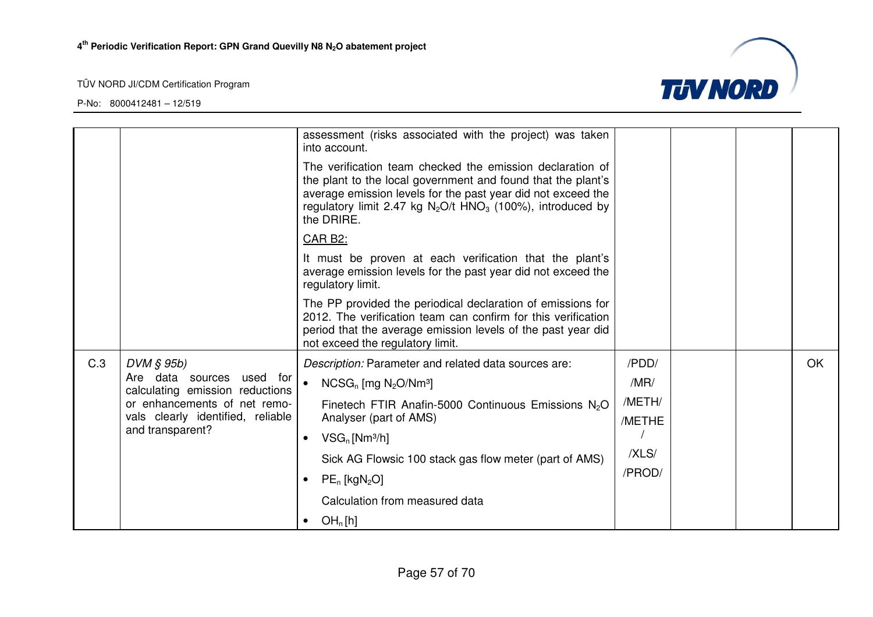

|     |                                                              | assessment (risks associated with the project) was taken<br>into account.                                                                                                                                                                                                           |        |  |     |
|-----|--------------------------------------------------------------|-------------------------------------------------------------------------------------------------------------------------------------------------------------------------------------------------------------------------------------------------------------------------------------|--------|--|-----|
|     |                                                              | The verification team checked the emission declaration of<br>the plant to the local government and found that the plant's<br>average emission levels for the past year did not exceed the<br>regulatory limit 2.47 kg $N_2O/t$ HNO <sub>3</sub> (100%), introduced by<br>the DRIRE. |        |  |     |
|     |                                                              | <b>CAR B2:</b>                                                                                                                                                                                                                                                                      |        |  |     |
|     |                                                              | It must be proven at each verification that the plant's<br>average emission levels for the past year did not exceed the<br>regulatory limit.                                                                                                                                        |        |  |     |
|     |                                                              | The PP provided the periodical declaration of emissions for<br>2012. The verification team can confirm for this verification<br>period that the average emission levels of the past year did<br>not exceed the regulatory limit.                                                    |        |  |     |
| C.3 | $DVM \S 95b$                                                 | Description: Parameter and related data sources are:                                                                                                                                                                                                                                | /PDD/  |  | OK. |
|     | Are data sources used for<br>calculating emission reductions | $NCSG_n$ [mg $N_2O/Nm^3$ ]                                                                                                                                                                                                                                                          | /MR/   |  |     |
|     | or enhancements of net remo-                                 | Finetech FTIR Anafin-5000 Continuous Emissions N <sub>2</sub> O                                                                                                                                                                                                                     | /METH/ |  |     |
|     | vals clearly identified, reliable<br>and transparent?        | Analyser (part of AMS)                                                                                                                                                                                                                                                              | /METHE |  |     |
|     |                                                              | $VSG_n$ [Nm <sup>3</sup> /h]<br>$\bullet$                                                                                                                                                                                                                                           | /XLS/  |  |     |
|     |                                                              | Sick AG Flowsic 100 stack gas flow meter (part of AMS)                                                                                                                                                                                                                              | /PROD/ |  |     |
|     |                                                              | $PE_n$ [kgN <sub>2</sub> O]                                                                                                                                                                                                                                                         |        |  |     |
|     |                                                              | Calculation from measured data                                                                                                                                                                                                                                                      |        |  |     |
|     |                                                              | OH <sub>n</sub> [h]<br>٠                                                                                                                                                                                                                                                            |        |  |     |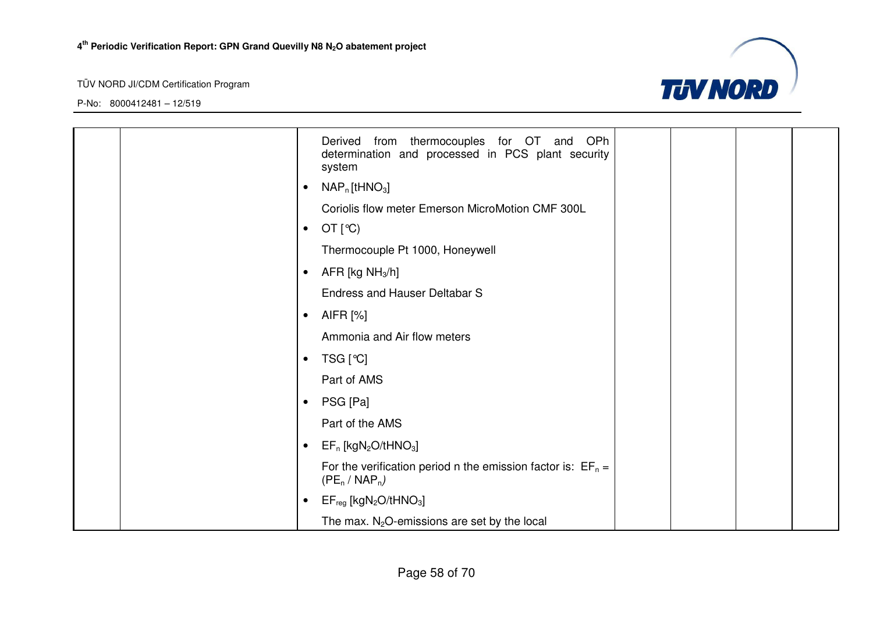

|  |           | from thermocouples for OT and OPh<br>Derived<br>determination and processed in PCS plant security<br>system |  |  |
|--|-----------|-------------------------------------------------------------------------------------------------------------|--|--|
|  | $\bullet$ | $NAP_n$ [tHNO <sub>3</sub> ]                                                                                |  |  |
|  |           | Coriolis flow meter Emerson MicroMotion CMF 300L                                                            |  |  |
|  | $\bullet$ | OT $[°C)$                                                                                                   |  |  |
|  |           | Thermocouple Pt 1000, Honeywell                                                                             |  |  |
|  | $\bullet$ | AFR [kg $NH3/h$ ]                                                                                           |  |  |
|  |           | <b>Endress and Hauser Deltabar S</b>                                                                        |  |  |
|  | $\bullet$ | AIFR [%]                                                                                                    |  |  |
|  |           | Ammonia and Air flow meters                                                                                 |  |  |
|  | $\bullet$ | TSG [℃]                                                                                                     |  |  |
|  |           | Part of AMS                                                                                                 |  |  |
|  | $\bullet$ | PSG [Pa]                                                                                                    |  |  |
|  |           | Part of the AMS                                                                                             |  |  |
|  | $\bullet$ | $EF_n$ [kgN <sub>2</sub> O/tHNO <sub>3</sub> ]                                                              |  |  |
|  |           | For the verification period n the emission factor is: $EF_n =$<br>$(PE_n / NAP_n)$                          |  |  |
|  | $\bullet$ | $EF_{reg}$ [kgN <sub>2</sub> O/tHNO <sub>3</sub> ]                                                          |  |  |
|  |           | The max. $N_2O$ -emissions are set by the local                                                             |  |  |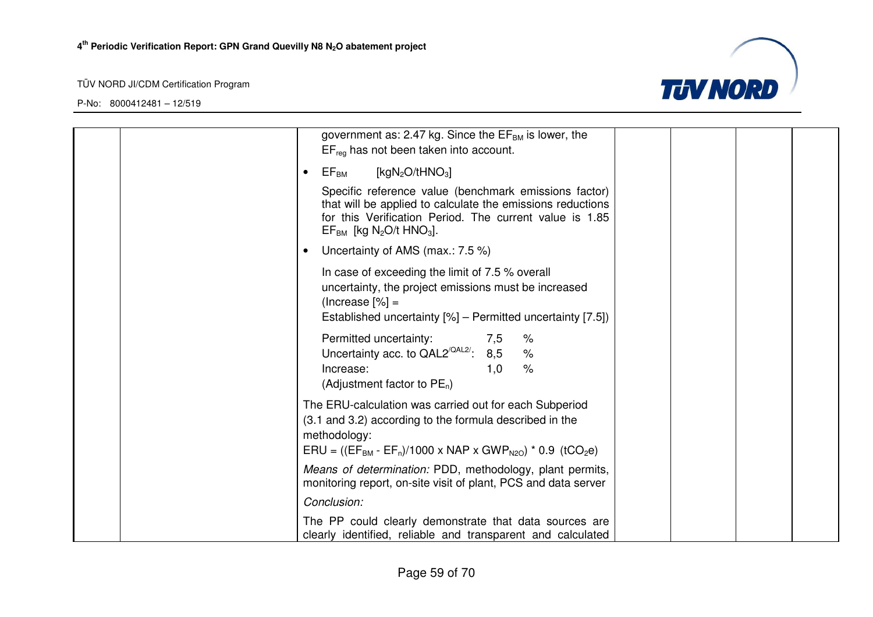

| government as: 2.47 kg. Since the $EF_{BM}$ is lower, the<br>$EF_{req}$ has not been taken into account.                                                                                                                               |
|----------------------------------------------------------------------------------------------------------------------------------------------------------------------------------------------------------------------------------------|
| [kgN <sub>2</sub> O/tHNO <sub>3</sub> ]<br>$EF_{BM}$                                                                                                                                                                                   |
| Specific reference value (benchmark emissions factor)<br>that will be applied to calculate the emissions reductions<br>for this Verification Period. The current value is 1.85<br>$EF_{BM}$ [kg N <sub>2</sub> O/t HNO <sub>3</sub> ]. |
| Uncertainty of AMS (max.: 7.5 %)                                                                                                                                                                                                       |
| In case of exceeding the limit of 7.5 % overall<br>uncertainty, the project emissions must be increased<br>$ %$ = (Increase $ %$ )<br>Established uncertainty [%] - Permitted uncertainty [7.5])                                       |
| Permitted uncertainty:<br>%<br>7,5<br>Uncertainty acc. to $QAL2^{\text{QAL2}'}$ : 8,5<br>$\%$<br>$\%$<br>Increase:<br>1,0<br>(Adjustment factor to $PE_n$ )                                                                            |
| The ERU-calculation was carried out for each Subperiod<br>(3.1 and 3.2) according to the formula described in the<br>methodology:<br>$ERU = ((EF_{BM} - EF_n)/1000 \times NAP \times GWP_{N2O}) * 0.9$ (tCO <sub>2</sub> e)            |
| Means of determination: PDD, methodology, plant permits,<br>monitoring report, on-site visit of plant, PCS and data server                                                                                                             |
| Conclusion:                                                                                                                                                                                                                            |
| The PP could clearly demonstrate that data sources are<br>clearly identified, reliable and transparent and calculated                                                                                                                  |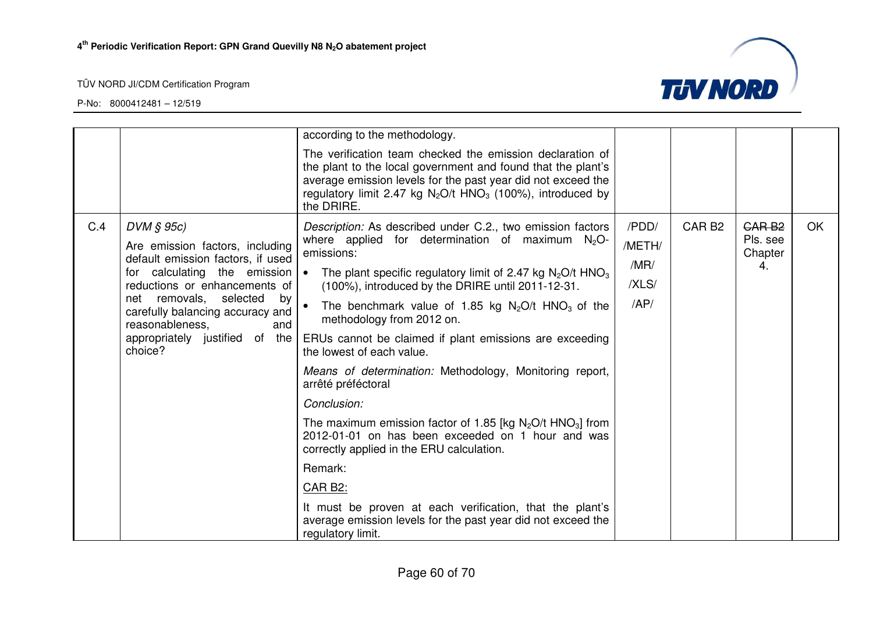

|     |                                                                                            | according to the methodology.                                                                                                                                                                                                                                                       |        |                   |                     |           |
|-----|--------------------------------------------------------------------------------------------|-------------------------------------------------------------------------------------------------------------------------------------------------------------------------------------------------------------------------------------------------------------------------------------|--------|-------------------|---------------------|-----------|
|     |                                                                                            | The verification team checked the emission declaration of<br>the plant to the local government and found that the plant's<br>average emission levels for the past year did not exceed the<br>regulatory limit 2.47 kg $N_2O/t$ HNO <sub>3</sub> (100%), introduced by<br>the DRIRE. |        |                   |                     |           |
| C.4 | $DVM \S 95c$                                                                               | Description: As described under C.2., two emission factors                                                                                                                                                                                                                          | /PDD/  | CAR <sub>B2</sub> | <b>CARB2</b>        | <b>OK</b> |
|     | Are emission factors, including                                                            | where applied for determination of maximum $N_2O$ -<br>emissions:                                                                                                                                                                                                                   | /METH/ |                   | Pls. see<br>Chapter |           |
|     | default emission factors, if used<br>for calculating the emission                          | The plant specific regulatory limit of 2.47 kg $N_2O/t$ HNO <sub>3</sub><br>$\bullet$                                                                                                                                                                                               | /MR/   |                   | 4.                  |           |
|     | reductions or enhancements of                                                              | (100%), introduced by the DRIRE until 2011-12-31.                                                                                                                                                                                                                                   | /XLS/  |                   |                     |           |
|     | net removals, selected<br>by<br>carefully balancing accuracy and<br>reasonableness,<br>and | The benchmark value of 1.85 kg $N_2O/t$ HNO <sub>3</sub> of the<br>$\bullet$<br>methodology from 2012 on.                                                                                                                                                                           | AP/    |                   |                     |           |
|     | appropriately justified of the<br>choice?                                                  | ERUs cannot be claimed if plant emissions are exceeding<br>the lowest of each value.                                                                                                                                                                                                |        |                   |                     |           |
|     |                                                                                            | Means of determination: Methodology, Monitoring report,<br>arrêté préféctoral                                                                                                                                                                                                       |        |                   |                     |           |
|     |                                                                                            | Conclusion:                                                                                                                                                                                                                                                                         |        |                   |                     |           |
|     |                                                                                            | The maximum emission factor of 1.85 [kg $N_2O/t$ HNO <sub>3</sub> ] from<br>2012-01-01 on has been exceeded on 1 hour and was<br>correctly applied in the ERU calculation.                                                                                                          |        |                   |                     |           |
|     |                                                                                            | Remark:                                                                                                                                                                                                                                                                             |        |                   |                     |           |
|     |                                                                                            | CAR B2:                                                                                                                                                                                                                                                                             |        |                   |                     |           |
|     |                                                                                            | It must be proven at each verification, that the plant's<br>average emission levels for the past year did not exceed the<br>regulatory limit.                                                                                                                                       |        |                   |                     |           |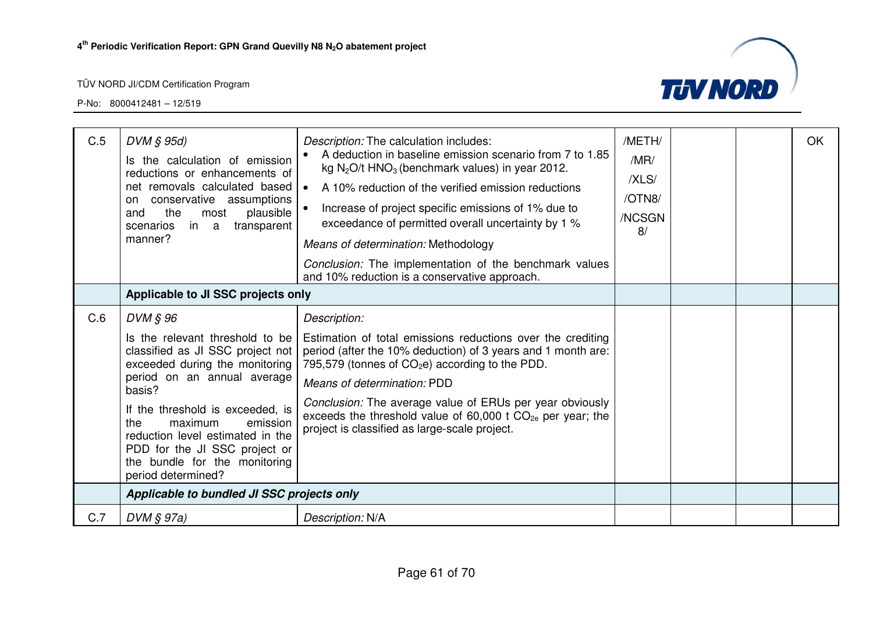

| C.5 | $DVM \S 95d$<br>Is the calculation of emission<br>reductions or enhancements of<br>net removals calculated based<br>conservative assumptions<br>on<br>plausible<br>the<br>most<br>and<br>transparent<br>scenarios<br>in a<br>manner?<br>Applicable to JI SSC projects only                                                                               | <i>Description:</i> The calculation includes:<br>A deduction in baseline emission scenario from 7 to 1.85<br>kg $N_2O/t$ HNO <sub>3</sub> (benchmark values) in year 2012.<br>A 10% reduction of the verified emission reductions<br>$\bullet$<br>Increase of project specific emissions of 1% due to<br>exceedance of permitted overall uncertainty by 1 %<br>Means of determination: Methodology<br>Conclusion: The implementation of the benchmark values<br>and 10% reduction is a conservative approach. | /METH/<br>/MR/<br>/XLS/<br>/OTN8/<br>/NCSGN<br>8/ |  | OK |
|-----|----------------------------------------------------------------------------------------------------------------------------------------------------------------------------------------------------------------------------------------------------------------------------------------------------------------------------------------------------------|---------------------------------------------------------------------------------------------------------------------------------------------------------------------------------------------------------------------------------------------------------------------------------------------------------------------------------------------------------------------------------------------------------------------------------------------------------------------------------------------------------------|---------------------------------------------------|--|----|
| C.6 | DVM § 96<br>Is the relevant threshold to be<br>classified as JI SSC project not<br>exceeded during the monitoring<br>period on an annual average<br>basis?<br>If the threshold is exceeded, is<br>the<br>maximum<br>emission<br>reduction level estimated in the<br>PDD for the JI SSC project or<br>the bundle for the monitoring<br>period determined? | Description:<br>Estimation of total emissions reductions over the crediting<br>period (after the 10% deduction) of 3 years and 1 month are:<br>795,579 (tonnes of $CO2e$ ) according to the PDD.<br>Means of determination: PDD<br>Conclusion: The average value of ERUs per year obviously<br>exceeds the threshold value of 60,000 t $CO_{2e}$ per year; the<br>project is classified as large-scale project.                                                                                               |                                                   |  |    |
|     | Applicable to bundled JI SSC projects only                                                                                                                                                                                                                                                                                                               |                                                                                                                                                                                                                                                                                                                                                                                                                                                                                                               |                                                   |  |    |
| C.7 | $DVM \S 97a)$                                                                                                                                                                                                                                                                                                                                            | Description: N/A                                                                                                                                                                                                                                                                                                                                                                                                                                                                                              |                                                   |  |    |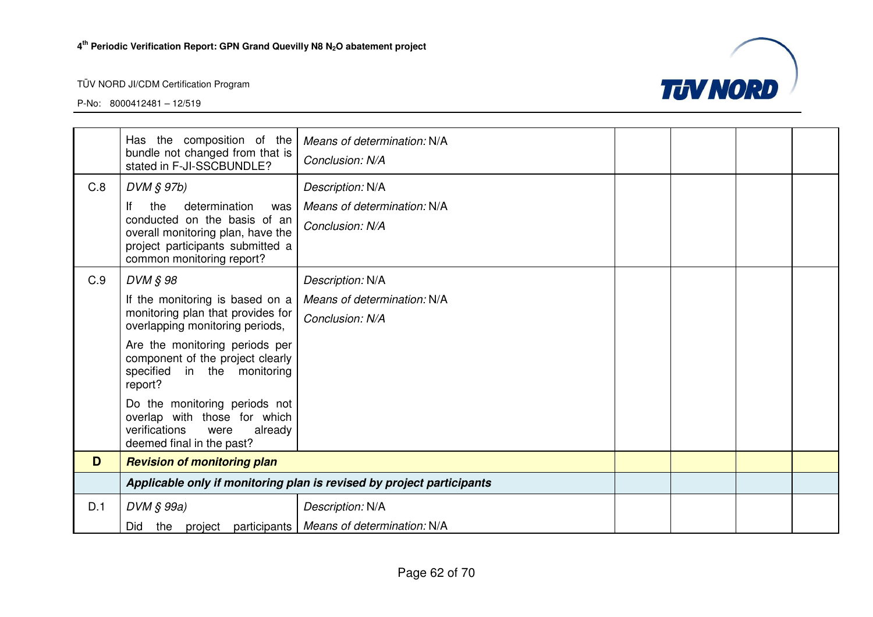

|     | Has the composition of the<br>bundle not changed from that is<br>stated in F-JI-SSCBUNDLE?                                                                                                                                                                                                                                                                            | Means of determination: N/A<br>Conclusion: N/A                             |  |  |  |
|-----|-----------------------------------------------------------------------------------------------------------------------------------------------------------------------------------------------------------------------------------------------------------------------------------------------------------------------------------------------------------------------|----------------------------------------------------------------------------|--|--|--|
| C.8 | $DVM \S 97b$<br>lf<br>the<br>determination<br>was<br>conducted on the basis of an<br>overall monitoring plan, have the<br>project participants submitted a<br>common monitoring report?                                                                                                                                                                               | Description: N/A<br>Means of determination: N/A<br>Conclusion: N/A         |  |  |  |
| C.9 | DVM § 98<br>If the monitoring is based on a<br>monitoring plan that provides for<br>overlapping monitoring periods,<br>Are the monitoring periods per<br>component of the project clearly<br>specified in the monitoring<br>report?<br>Do the monitoring periods not<br>overlap with those for which<br>verifications<br>already<br>were<br>deemed final in the past? | Description: N/A<br>Means of determination: N/A<br>Conclusion: N/A         |  |  |  |
| D   | <b>Revision of monitoring plan</b>                                                                                                                                                                                                                                                                                                                                    |                                                                            |  |  |  |
|     | Applicable only if monitoring plan is revised by project participants                                                                                                                                                                                                                                                                                                 |                                                                            |  |  |  |
| D.1 | $DVM \S 99a)$<br>Did                                                                                                                                                                                                                                                                                                                                                  | Description: N/A<br>the project participants   Means of determination: N/A |  |  |  |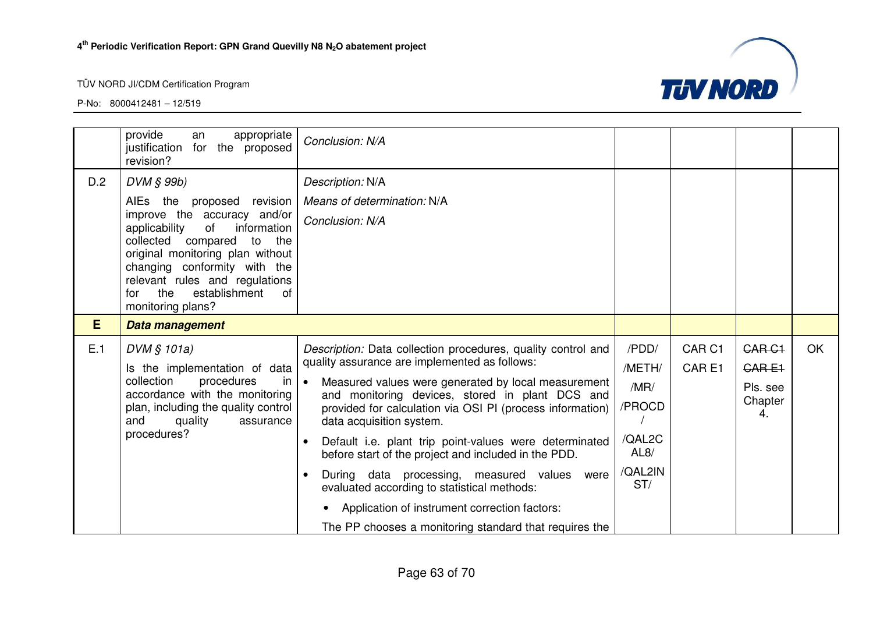

|     | provide<br>appropriate<br>an<br>for the proposed<br>justification<br>revision?                                                                                                                                                                                                                                   | Conclusion: N/A                                                                                                                                                                                                                                                                                                                                                                                                                                                                                                                                                                                                                                                                                    |                                                                       |                                        |                                                                |           |
|-----|------------------------------------------------------------------------------------------------------------------------------------------------------------------------------------------------------------------------------------------------------------------------------------------------------------------|----------------------------------------------------------------------------------------------------------------------------------------------------------------------------------------------------------------------------------------------------------------------------------------------------------------------------------------------------------------------------------------------------------------------------------------------------------------------------------------------------------------------------------------------------------------------------------------------------------------------------------------------------------------------------------------------------|-----------------------------------------------------------------------|----------------------------------------|----------------------------------------------------------------|-----------|
| D.2 | DVM § 99b)<br>AIEs the proposed revision<br>improve the accuracy and/or<br>applicability<br>of<br>information<br>collected compared<br>to<br>the<br>original monitoring plan without<br>changing conformity with the<br>relevant rules and regulations<br>establishment<br>the<br>for<br>0f<br>monitoring plans? | Description: N/A<br>Means of determination: N/A<br>Conclusion: N/A                                                                                                                                                                                                                                                                                                                                                                                                                                                                                                                                                                                                                                 |                                                                       |                                        |                                                                |           |
| E   | Data management                                                                                                                                                                                                                                                                                                  |                                                                                                                                                                                                                                                                                                                                                                                                                                                                                                                                                                                                                                                                                                    |                                                                       |                                        |                                                                |           |
| E.1 | DVM § 101a)<br>Is the implementation of data<br>collection<br>procedures<br>-in<br>accordance with the monitoring<br>plan, including the quality control<br>and<br>quality<br>assurance<br>procedures?                                                                                                           | Description: Data collection procedures, quality control and<br>quality assurance are implemented as follows:<br>Measured values were generated by local measurement<br>$\overline{\phantom{a}}$<br>and monitoring devices, stored in plant DCS and<br>provided for calculation via OSI PI (process information)<br>data acquisition system.<br>Default i.e. plant trip point-values were determinated<br>$\bullet$<br>before start of the project and included in the PDD.<br>During data processing, measured values were<br>$\bullet$<br>evaluated according to statistical methods:<br>Application of instrument correction factors:<br>The PP chooses a monitoring standard that requires the | /PDD/<br>/METH/<br>/MR/<br>/PROCD<br>/QAL2C<br>AL8/<br>/QAL2IN<br>ST/ | CAR <sub>C1</sub><br>CAR <sub>E1</sub> | CAR <sub>C1</sub><br><b>CARE1</b><br>Pls. see<br>Chapter<br>4. | <b>OK</b> |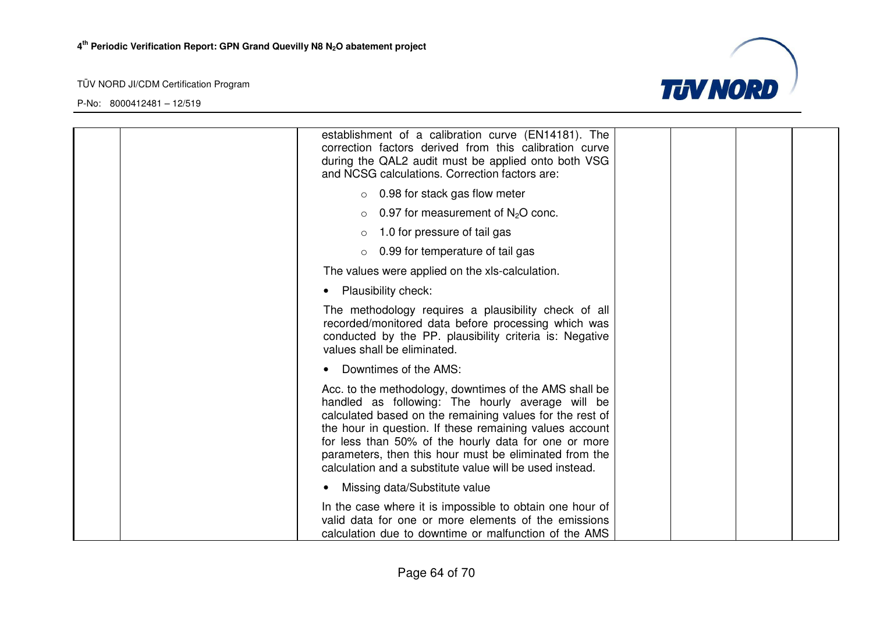

| establishment of a calibration curve (EN14181). The<br>correction factors derived from this calibration curve<br>during the QAL2 audit must be applied onto both VSG<br>and NCSG calculations. Correction factors are:                                                                                                                                                                                          |
|-----------------------------------------------------------------------------------------------------------------------------------------------------------------------------------------------------------------------------------------------------------------------------------------------------------------------------------------------------------------------------------------------------------------|
| $\circ$ 0.98 for stack gas flow meter                                                                                                                                                                                                                                                                                                                                                                           |
| 0.97 for measurement of $N2O$ conc.                                                                                                                                                                                                                                                                                                                                                                             |
| 1.0 for pressure of tail gas                                                                                                                                                                                                                                                                                                                                                                                    |
| 0.99 for temperature of tail gas<br>$\circ$                                                                                                                                                                                                                                                                                                                                                                     |
| The values were applied on the xls-calculation.                                                                                                                                                                                                                                                                                                                                                                 |
| <b>Plausibility check:</b>                                                                                                                                                                                                                                                                                                                                                                                      |
| The methodology requires a plausibility check of all<br>recorded/monitored data before processing which was<br>conducted by the PP. plausibility criteria is: Negative<br>values shall be eliminated.                                                                                                                                                                                                           |
| Downtimes of the AMS:                                                                                                                                                                                                                                                                                                                                                                                           |
| Acc. to the methodology, downtimes of the AMS shall be<br>handled as following: The hourly average will be<br>calculated based on the remaining values for the rest of<br>the hour in question. If these remaining values account<br>for less than 50% of the hourly data for one or more<br>parameters, then this hour must be eliminated from the<br>calculation and a substitute value will be used instead. |
| Missing data/Substitute value<br>$\bullet$                                                                                                                                                                                                                                                                                                                                                                      |
| In the case where it is impossible to obtain one hour of<br>valid data for one or more elements of the emissions<br>calculation due to downtime or malfunction of the AMS                                                                                                                                                                                                                                       |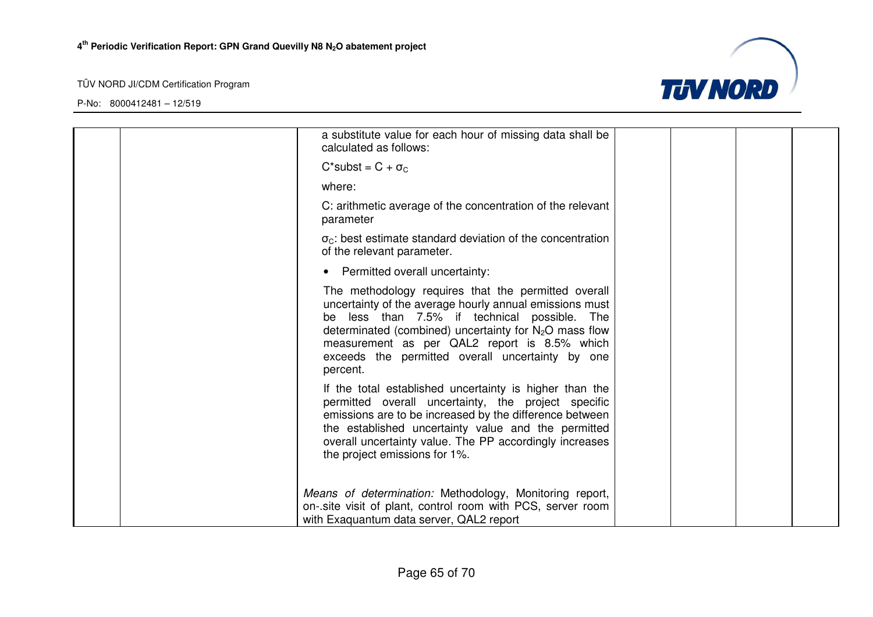

| a substitute value for each hour of missing data shall be<br>calculated as follows:                                                                                                                                                                                                                                                        |  |  |
|--------------------------------------------------------------------------------------------------------------------------------------------------------------------------------------------------------------------------------------------------------------------------------------------------------------------------------------------|--|--|
| $C^*$ subst = $C + \sigma_C$                                                                                                                                                                                                                                                                                                               |  |  |
| where:                                                                                                                                                                                                                                                                                                                                     |  |  |
| C: arithmetic average of the concentration of the relevant<br>parameter                                                                                                                                                                                                                                                                    |  |  |
| $\sigma_{\rm C}$ : best estimate standard deviation of the concentration<br>of the relevant parameter.                                                                                                                                                                                                                                     |  |  |
| • Permitted overall uncertainty:                                                                                                                                                                                                                                                                                                           |  |  |
| The methodology requires that the permitted overall<br>uncertainty of the average hourly annual emissions must<br>be less than 7.5% if technical possible. The<br>determinated (combined) uncertainty for $N_2O$ mass flow<br>measurement as per QAL2 report is 8.5% which<br>exceeds the permitted overall uncertainty by one<br>percent. |  |  |
| If the total established uncertainty is higher than the<br>permitted overall uncertainty, the project specific<br>emissions are to be increased by the difference between<br>the established uncertainty value and the permitted<br>overall uncertainty value. The PP accordingly increases<br>the project emissions for 1%.               |  |  |
| Means of determination: Methodology, Monitoring report,<br>on-.site visit of plant, control room with PCS, server room<br>with Exaquantum data server, QAL2 report                                                                                                                                                                         |  |  |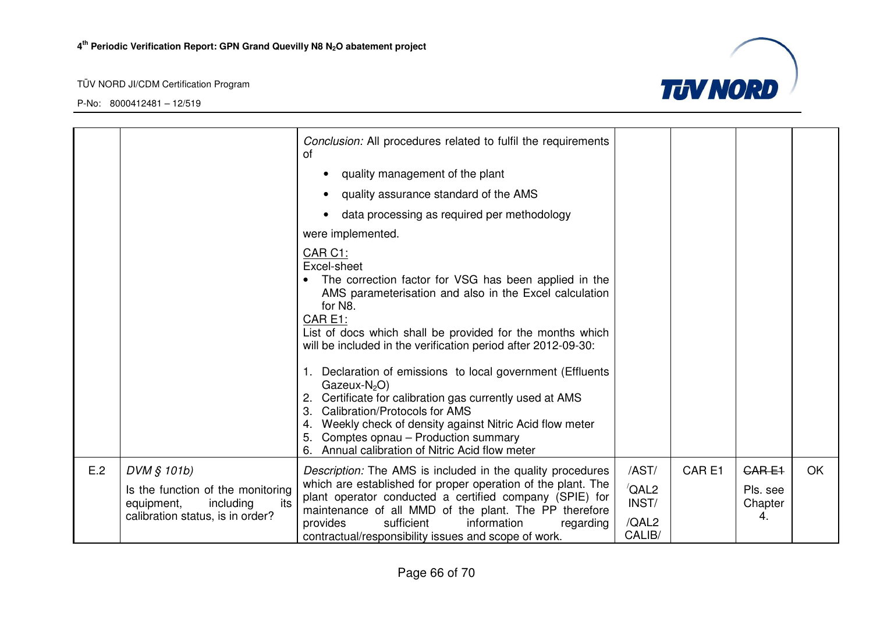

|     |                                                                                                                        | Conclusion: All procedures related to fulfil the requirements<br>0f                                                                                                                                                                                                                                                                                                                                                                         |                                                             |                   |                                    |    |
|-----|------------------------------------------------------------------------------------------------------------------------|---------------------------------------------------------------------------------------------------------------------------------------------------------------------------------------------------------------------------------------------------------------------------------------------------------------------------------------------------------------------------------------------------------------------------------------------|-------------------------------------------------------------|-------------------|------------------------------------|----|
|     |                                                                                                                        | quality management of the plant                                                                                                                                                                                                                                                                                                                                                                                                             |                                                             |                   |                                    |    |
|     |                                                                                                                        | quality assurance standard of the AMS<br>$\bullet$                                                                                                                                                                                                                                                                                                                                                                                          |                                                             |                   |                                    |    |
|     |                                                                                                                        | data processing as required per methodology                                                                                                                                                                                                                                                                                                                                                                                                 |                                                             |                   |                                    |    |
|     |                                                                                                                        | were implemented.                                                                                                                                                                                                                                                                                                                                                                                                                           |                                                             |                   |                                    |    |
|     |                                                                                                                        | CAR C1:<br>Excel-sheet<br>The correction factor for VSG has been applied in the<br>AMS parameterisation and also in the Excel calculation<br>for N8.<br>CAR E1:<br>List of docs which shall be provided for the months which<br>will be included in the verification period after 2012-09-30:<br>Declaration of emissions to local government (Effluents<br>Gazeux- $N_2O$ )<br>Certificate for calibration gas currently used at AMS<br>2. |                                                             |                   |                                    |    |
|     |                                                                                                                        | <b>Calibration/Protocols for AMS</b><br>3.<br>Weekly check of density against Nitric Acid flow meter<br>4.<br>Comptes opnau – Production summary<br>5.<br>Annual calibration of Nitric Acid flow meter<br>6.                                                                                                                                                                                                                                |                                                             |                   |                                    |    |
| E.2 | DVM § 101b)<br>Is the function of the monitoring<br>including<br>equipment,<br>its<br>calibration status, is in order? | Description: The AMS is included in the quality procedures<br>which are established for proper operation of the plant. The<br>plant operator conducted a certified company (SPIE) for<br>maintenance of all MMD of the plant. The PP therefore<br>information<br>provides<br>sufficient<br>regarding<br>contractual/responsibility issues and scope of work.                                                                                | /AST/<br>$\sqrt{\mathsf{QAL2}}$<br>INST/<br>/QAL2<br>CALIB/ | CAR <sub>E1</sub> | CARE1<br>Pls. see<br>Chapter<br>4. | OK |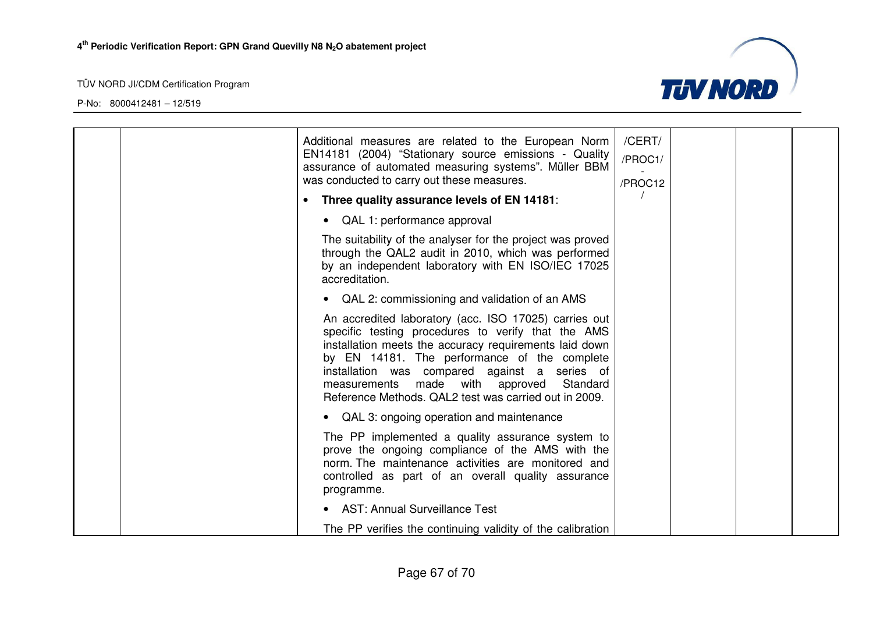

|  | Additional measures are related to the European Norm<br>EN14181 (2004) "Stationary source emissions - Quality<br>assurance of automated measuring systems". Müller BBM<br>was conducted to carry out these measures.                                                                                                                                                           | /CERT/<br>/PROC1/<br>/PROC12 |  |  |
|--|--------------------------------------------------------------------------------------------------------------------------------------------------------------------------------------------------------------------------------------------------------------------------------------------------------------------------------------------------------------------------------|------------------------------|--|--|
|  | Three quality assurance levels of EN 14181:                                                                                                                                                                                                                                                                                                                                    |                              |  |  |
|  | QAL 1: performance approval                                                                                                                                                                                                                                                                                                                                                    |                              |  |  |
|  | The suitability of the analyser for the project was proved<br>through the QAL2 audit in 2010, which was performed<br>by an independent laboratory with EN ISO/IEC 17025<br>accreditation.                                                                                                                                                                                      |                              |  |  |
|  | QAL 2: commissioning and validation of an AMS                                                                                                                                                                                                                                                                                                                                  |                              |  |  |
|  | An accredited laboratory (acc. ISO 17025) carries out<br>specific testing procedures to verify that the AMS<br>installation meets the accuracy requirements laid down<br>by EN 14181. The performance of the complete<br>installation was compared against a series of<br>measurements made with approved<br>Standard<br>Reference Methods. QAL2 test was carried out in 2009. |                              |  |  |
|  | QAL 3: ongoing operation and maintenance                                                                                                                                                                                                                                                                                                                                       |                              |  |  |
|  | The PP implemented a quality assurance system to<br>prove the ongoing compliance of the AMS with the<br>norm. The maintenance activities are monitored and<br>controlled as part of an overall quality assurance<br>programme.                                                                                                                                                 |                              |  |  |
|  | • AST: Annual Surveillance Test                                                                                                                                                                                                                                                                                                                                                |                              |  |  |
|  | The PP verifies the continuing validity of the calibration                                                                                                                                                                                                                                                                                                                     |                              |  |  |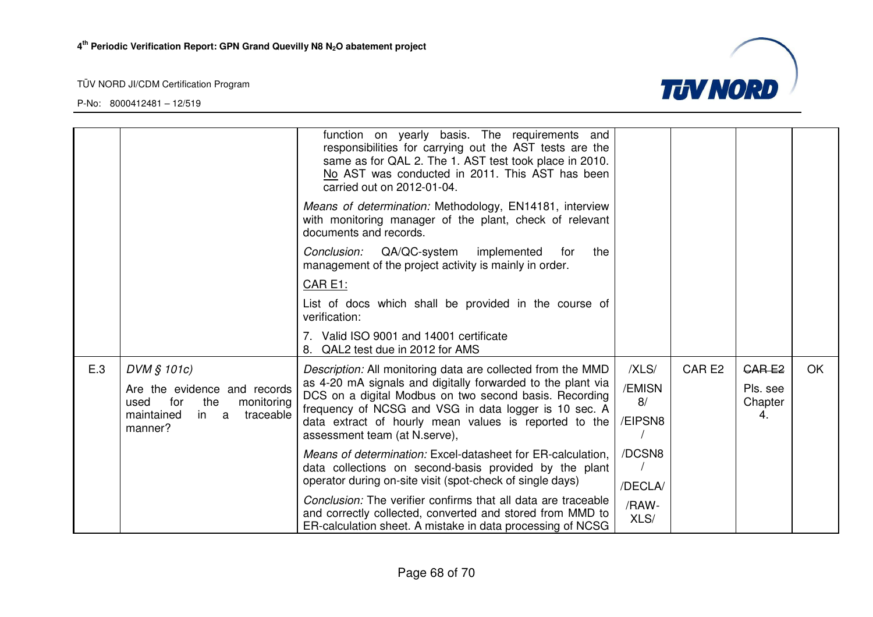

|     |                                                                  | function on yearly basis. The requirements and<br>responsibilities for carrying out the AST tests are the<br>same as for QAL 2. The 1. AST test took place in 2010.<br>No AST was conducted in 2011. This AST has been<br>carried out on 2012-01-04. |               |                   |                     |           |
|-----|------------------------------------------------------------------|------------------------------------------------------------------------------------------------------------------------------------------------------------------------------------------------------------------------------------------------------|---------------|-------------------|---------------------|-----------|
|     |                                                                  | Means of determination: Methodology, EN14181, interview<br>with monitoring manager of the plant, check of relevant<br>documents and records.                                                                                                         |               |                   |                     |           |
|     |                                                                  | QA/QC-system implemented<br>the<br>Conclusion:<br>for<br>management of the project activity is mainly in order.                                                                                                                                      |               |                   |                     |           |
|     |                                                                  | CAR E1:                                                                                                                                                                                                                                              |               |                   |                     |           |
|     |                                                                  | List of docs which shall be provided in the course of<br>verification:                                                                                                                                                                               |               |                   |                     |           |
|     |                                                                  | 7. Valid ISO 9001 and 14001 certificate<br>8. QAL2 test due in 2012 for AMS                                                                                                                                                                          |               |                   |                     |           |
| E.3 | DVM § 101c)                                                      | Description: All monitoring data are collected from the MMD                                                                                                                                                                                          | /XLS/         | CAR <sub>E2</sub> | <b>CARE2</b>        | <b>OK</b> |
|     | Are the evidence and records<br>for<br>monitoring<br>used<br>the | as 4-20 mA signals and digitally forwarded to the plant via<br>DCS on a digital Modbus on two second basis. Recording                                                                                                                                | /EMISN<br>8/  |                   | Pls. see<br>Chapter |           |
|     | maintained<br>in a<br>traceable                                  | frequency of NCSG and VSG in data logger is 10 sec. A<br>data extract of hourly mean values is reported to the                                                                                                                                       | /EIPSN8       |                   | 4.                  |           |
|     | manner?                                                          | assessment team (at N.serve),                                                                                                                                                                                                                        |               |                   |                     |           |
|     |                                                                  | Means of determination: Excel-datasheet for ER-calculation,                                                                                                                                                                                          | /DCSN8        |                   |                     |           |
|     |                                                                  | data collections on second-basis provided by the plant<br>operator during on-site visit (spot-check of single days)                                                                                                                                  | /DECLA/       |                   |                     |           |
|     |                                                                  | Conclusion: The verifier confirms that all data are traceable<br>and correctly collected, converted and stored from MMD to<br>ER-calculation sheet. A mistake in data processing of NCSG                                                             | /RAW-<br>XLS/ |                   |                     |           |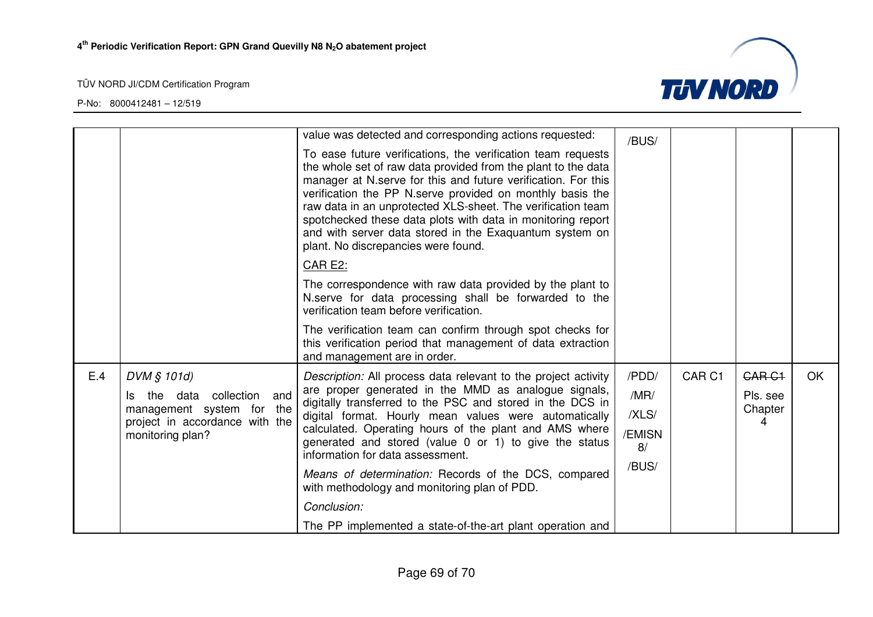



|     |                                                             | value was detected and corresponding actions requested:                                                                                                                                                                                                                                                                                                                                                                                                                                     | /BUS/        |                   |                   |     |
|-----|-------------------------------------------------------------|---------------------------------------------------------------------------------------------------------------------------------------------------------------------------------------------------------------------------------------------------------------------------------------------------------------------------------------------------------------------------------------------------------------------------------------------------------------------------------------------|--------------|-------------------|-------------------|-----|
|     |                                                             | To ease future verifications, the verification team requests<br>the whole set of raw data provided from the plant to the data<br>manager at N.serve for this and future verification. For this<br>verification the PP N.serve provided on monthly basis the<br>raw data in an unprotected XLS-sheet. The verification team<br>spotchecked these data plots with data in monitoring report<br>and with server data stored in the Exaquantum system on<br>plant. No discrepancies were found. |              |                   |                   |     |
|     |                                                             | <b>CAR E2:</b>                                                                                                                                                                                                                                                                                                                                                                                                                                                                              |              |                   |                   |     |
|     |                                                             | The correspondence with raw data provided by the plant to<br>N.serve for data processing shall be forwarded to the<br>verification team before verification.                                                                                                                                                                                                                                                                                                                                |              |                   |                   |     |
|     |                                                             | The verification team can confirm through spot checks for<br>this verification period that management of data extraction<br>and management are in order.                                                                                                                                                                                                                                                                                                                                    |              |                   |                   |     |
| E.4 | DVM § 101d)                                                 | Description: All process data relevant to the project activity                                                                                                                                                                                                                                                                                                                                                                                                                              | /PDD/        | CAR <sub>C1</sub> | CAR <sub>C1</sub> | OK. |
|     | the data collection<br>and<br>ls.                           | are proper generated in the MMD as analogue signals,<br>digitally transferred to the PSC and stored in the DCS in                                                                                                                                                                                                                                                                                                                                                                           | /MR/         |                   | Pls. see          |     |
|     | management system for the<br>project in accordance with the | digital format. Hourly mean values were automatically                                                                                                                                                                                                                                                                                                                                                                                                                                       | /XLS/        |                   | Chapter<br>4      |     |
|     | monitoring plan?                                            | calculated. Operating hours of the plant and AMS where<br>generated and stored (value 0 or 1) to give the status<br>information for data assessment.                                                                                                                                                                                                                                                                                                                                        | /EMISN<br>8/ |                   |                   |     |
|     |                                                             | Means of determination: Records of the DCS, compared<br>with methodology and monitoring plan of PDD.                                                                                                                                                                                                                                                                                                                                                                                        | /BUS/        |                   |                   |     |
|     |                                                             | Conclusion:                                                                                                                                                                                                                                                                                                                                                                                                                                                                                 |              |                   |                   |     |
|     |                                                             | The PP implemented a state-of-the-art plant operation and                                                                                                                                                                                                                                                                                                                                                                                                                                   |              |                   |                   |     |